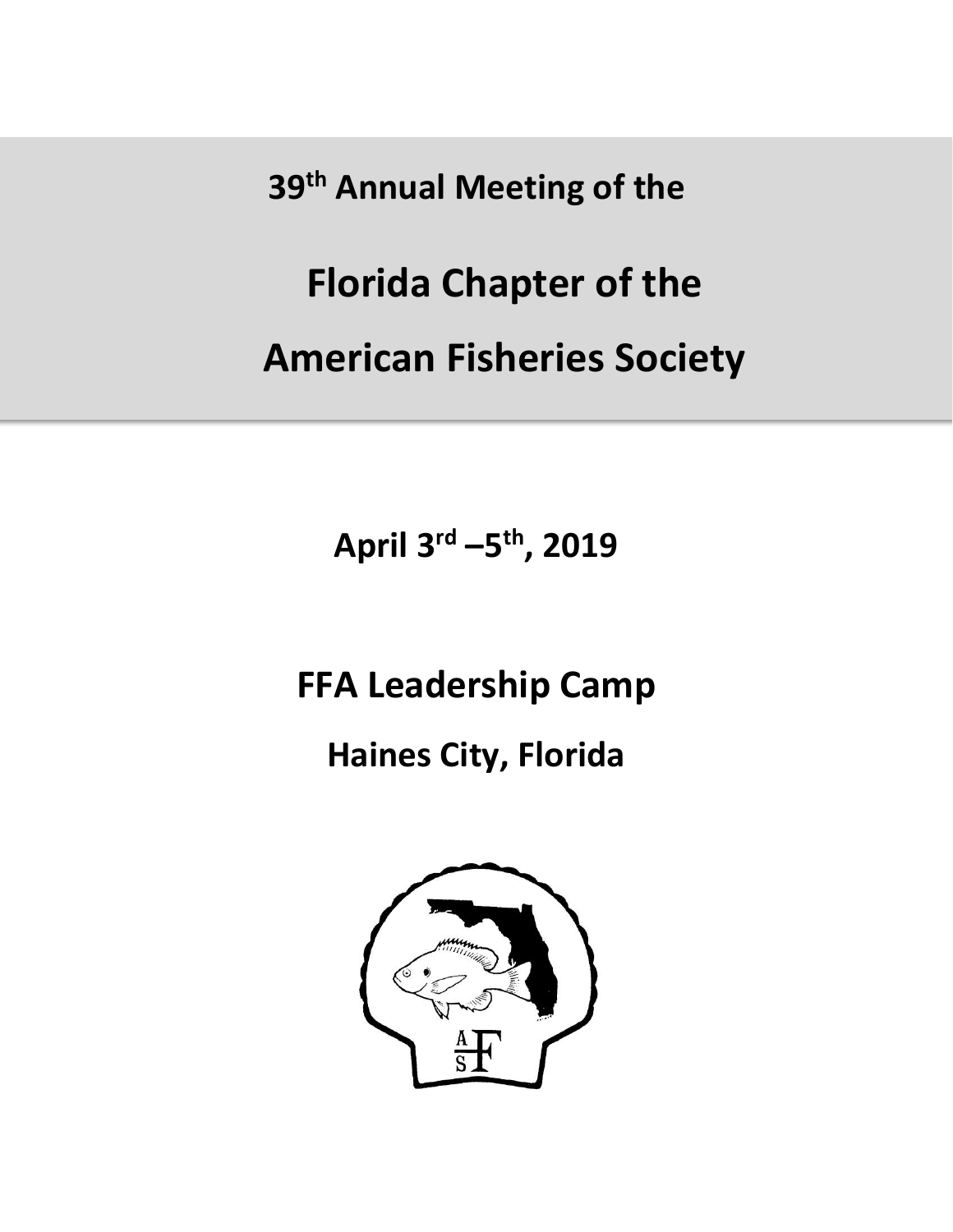**39th Annual Meeting of the** 

# **Florida Chapter of the**

**American Fisheries Society**

**April 3 rd –5 th, 2019**

## **FFA Leadership Camp**

### **Haines City, Florida**

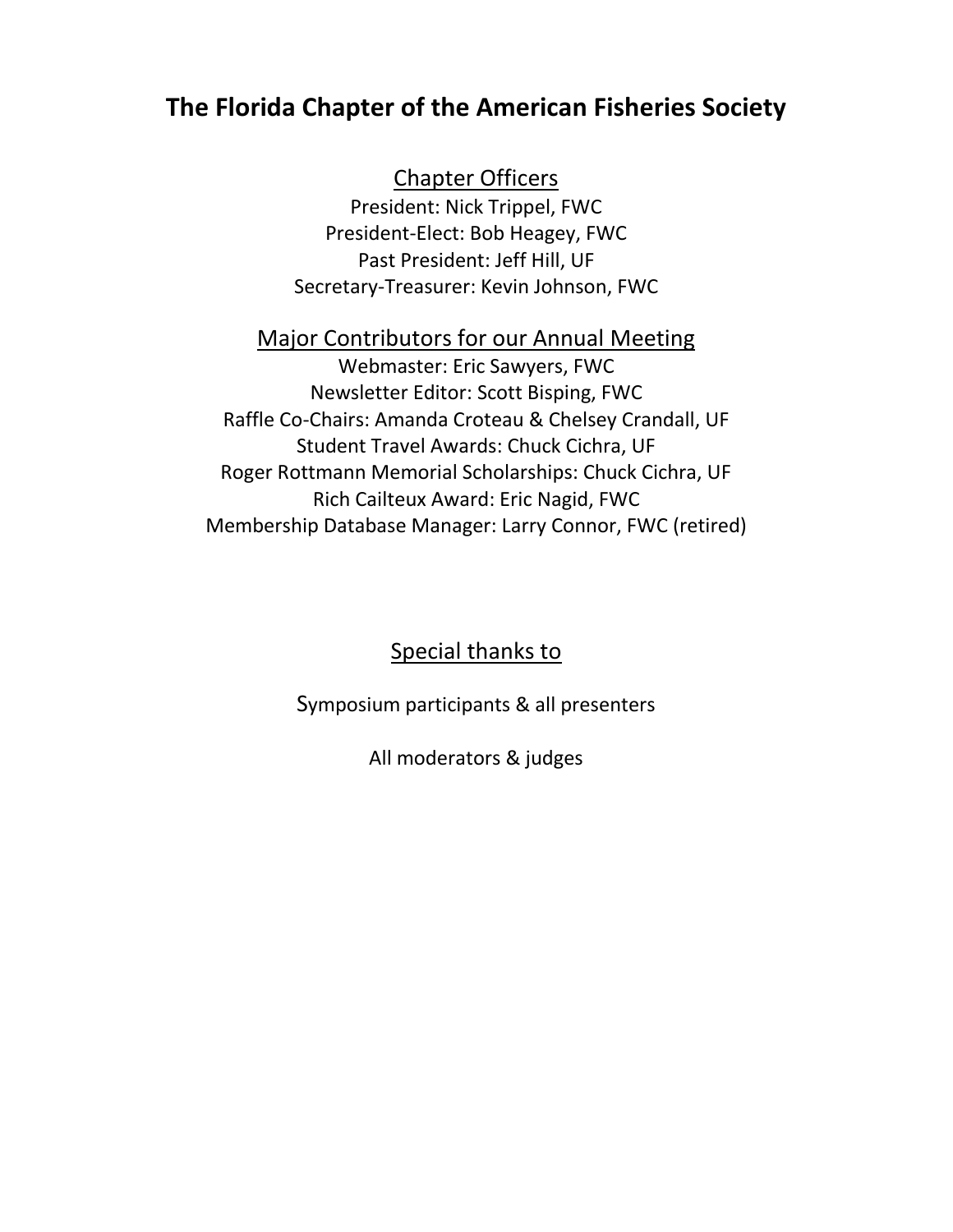#### **The Florida Chapter of the American Fisheries Society**

#### Chapter Officers

President: Nick Trippel, FWC President-Elect: Bob Heagey, FWC Past President: Jeff Hill, UF Secretary-Treasurer: Kevin Johnson, FWC

#### Major Contributors for our Annual Meeting

Webmaster: Eric Sawyers, FWC Newsletter Editor: Scott Bisping, FWC Raffle Co-Chairs: Amanda Croteau & Chelsey Crandall, UF Student Travel Awards: Chuck Cichra, UF Roger Rottmann Memorial Scholarships: Chuck Cichra, UF Rich Cailteux Award: Eric Nagid, FWC Membership Database Manager: Larry Connor, FWC (retired)

#### Special thanks to

Symposium participants & all presenters

All moderators & judges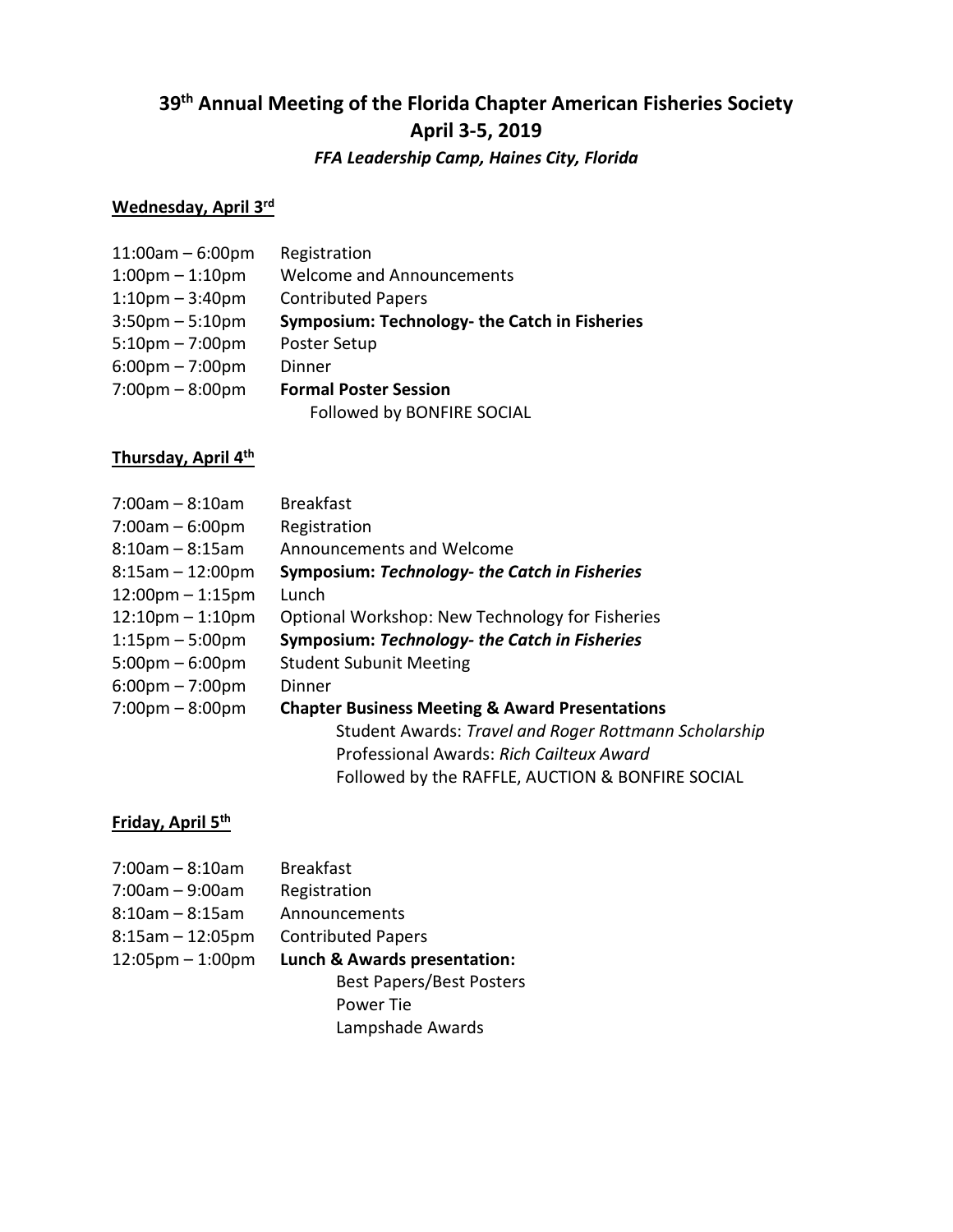### **39 th Annual Meeting of the Florida Chapter American Fisheries Society April 3-5, 2019**

#### *FFA Leadership Camp, Haines City, Florida*

#### **Wednesday, April 3 rd**

| $11:00am - 6:00pm$                | Registration                                  |
|-----------------------------------|-----------------------------------------------|
| $1:00$ pm $-1:10$ pm              | <b>Welcome and Announcements</b>              |
| $1:10$ pm – $3:40$ pm             | <b>Contributed Papers</b>                     |
| $3:50$ pm $-5:10$ pm              | Symposium: Technology- the Catch in Fisheries |
| $5:10$ pm – 7:00pm                | Poster Setup                                  |
| $6:00 \text{pm} - 7:00 \text{pm}$ | Dinner                                        |
| $7:00 \text{pm} - 8:00 \text{pm}$ | <b>Formal Poster Session</b>                  |
|                                   | Followed by BONFIRE SOCIAL                    |

#### **Thursday, April 4 th**

| $7:00$ am – 8:10am                | <b>Breakfast</b>                                          |
|-----------------------------------|-----------------------------------------------------------|
| $7:00am - 6:00pm$                 | Registration                                              |
| $8:10$ am – $8:15$ am             | Announcements and Welcome                                 |
| $8:15am - 12:00pm$                | Symposium: Technology- the Catch in Fisheries             |
| $12:00$ pm – 1:15pm               | Lunch                                                     |
| $12:10$ pm – 1:10pm               | Optional Workshop: New Technology for Fisheries           |
| $1:15 \text{pm} - 5:00 \text{pm}$ | Symposium: Technology- the Catch in Fisheries             |
| $5:00 \text{pm} - 6:00 \text{pm}$ | <b>Student Subunit Meeting</b>                            |
| $6:00 \text{pm} - 7:00 \text{pm}$ | Dinner                                                    |
| $7:00 \text{pm} - 8:00 \text{pm}$ | <b>Chapter Business Meeting &amp; Award Presentations</b> |
|                                   | Student Awards: Travel and Roger Rottmann Scholarship     |
|                                   | Professional Awards: Rich Cailteux Award                  |
|                                   | Followed by the RAFFLE, AUCTION & BONFIRE SOCIAL          |

#### **Friday, April 5 th**

| $7:00$ am $-8:10$ am               | <b>Breakfast</b>                |
|------------------------------------|---------------------------------|
| 7:00am - 9:00am                    | Registration                    |
| 8:10am – 8:15am                    | Announcements                   |
| 8:15am – 12:05pm                   | <b>Contributed Papers</b>       |
| $12:05 \text{pm} - 1:00 \text{pm}$ | Lunch & Awards presentation:    |
|                                    | <b>Best Papers/Best Posters</b> |
|                                    | Power Tie                       |
|                                    | Lampshade Awards                |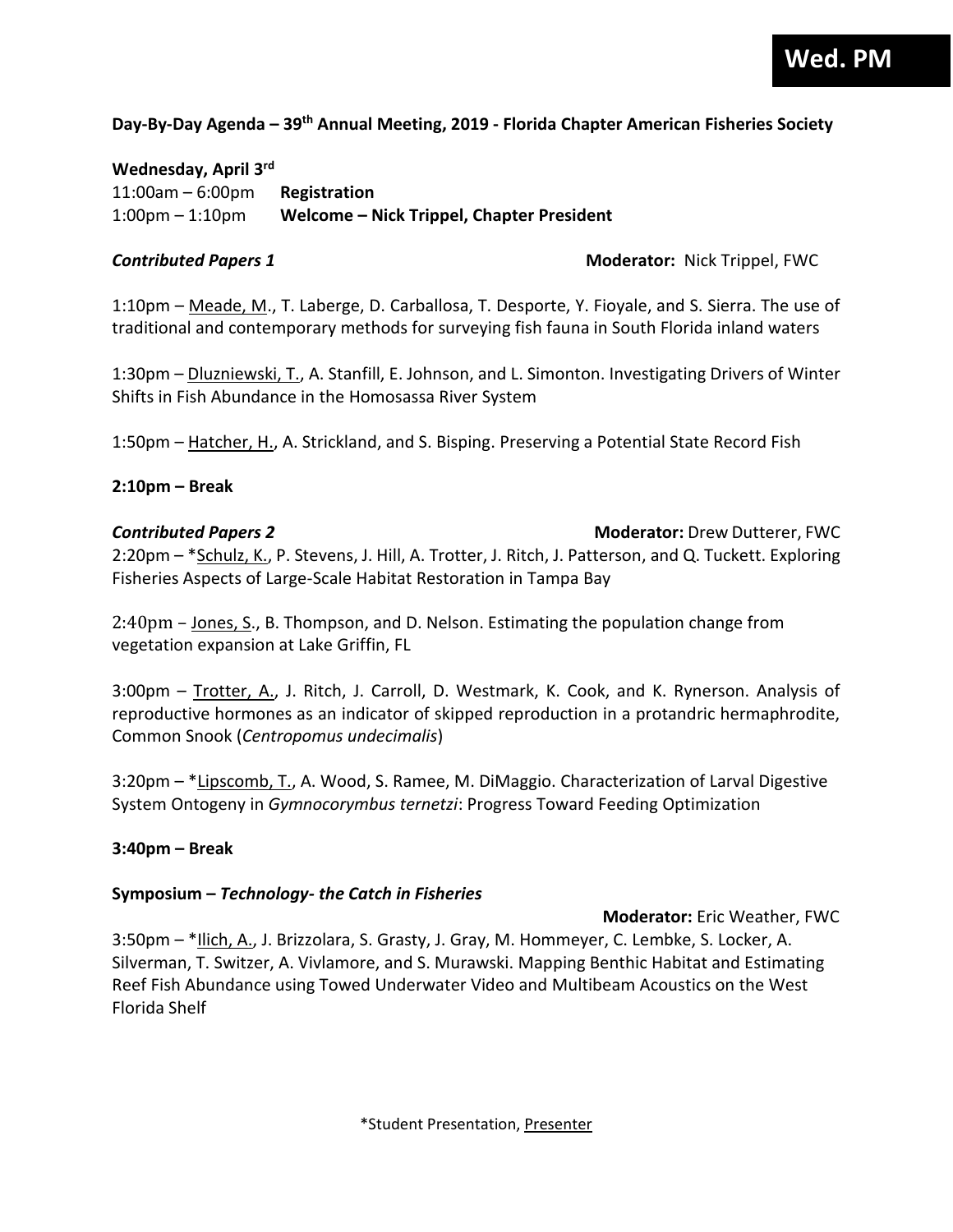#### **Day-By-Day Agenda – 39 th Annual Meeting, 2019 - Florida Chapter American Fisheries Society**

#### **Wednesday, April 3 rd**

11:00am – 6:00pm **Registration** 1:00pm – 1:10pm **Welcome – Nick Trippel, Chapter President**

*Contributed Papers 1* **Moderator:** Nick Trippel, FWC

1:10pm – Meade, M., T. Laberge, D. Carballosa, T. Desporte, Y. Fioyale, and S. Sierra. The use of traditional and contemporary methods for surveying fish fauna in South Florida inland waters

1:30pm – Dluzniewski, T., A. Stanfill, E. Johnson, and L. Simonton. Investigating Drivers of Winter Shifts in Fish Abundance in the Homosassa River System

1:50pm – Hatcher, H., A. Strickland, and S. Bisping. Preserving a Potential State Record Fish

#### **2:10pm – Break**

#### *Contributed Papers 2* **Moderator:** Drew Dutterer, FWC 2:20pm - \*Schulz, K., P. Stevens, J. Hill, A. Trotter, J. Ritch, J. Patterson, and Q. Tuckett. Exploring Fisheries Aspects of Large-Scale Habitat Restoration in Tampa Bay

2:40pm – Jones, S., B. Thompson, and D. Nelson. Estimating the population change from vegetation expansion at Lake Griffin, FL

3:00pm – Trotter, A., J. Ritch, J. Carroll, D. Westmark, K. Cook, and K. Rynerson. Analysis of reproductive hormones as an indicator of skipped reproduction in a protandric hermaphrodite, Common Snook (*Centropomus undecimalis*)

3:20pm – \*Lipscomb, T., A. Wood, S. Ramee, M. DiMaggio. Characterization of Larval Digestive System Ontogeny in *Gymnocorymbus ternetzi*: Progress Toward Feeding Optimization

#### **3:40pm – Break**

#### **Symposium –** *Technology- the Catch in Fisheries*

 **Moderator:** Eric Weather, FWC 3:50pm - \*Ilich, A., J. Brizzolara, S. Grasty, J. Gray, M. Hommeyer, C. Lembke, S. Locker, A.

Silverman, T. Switzer, A. Vivlamore, and S. Murawski. Mapping Benthic Habitat and Estimating Reef Fish Abundance using Towed Underwater Video and Multibeam Acoustics on the West Florida Shelf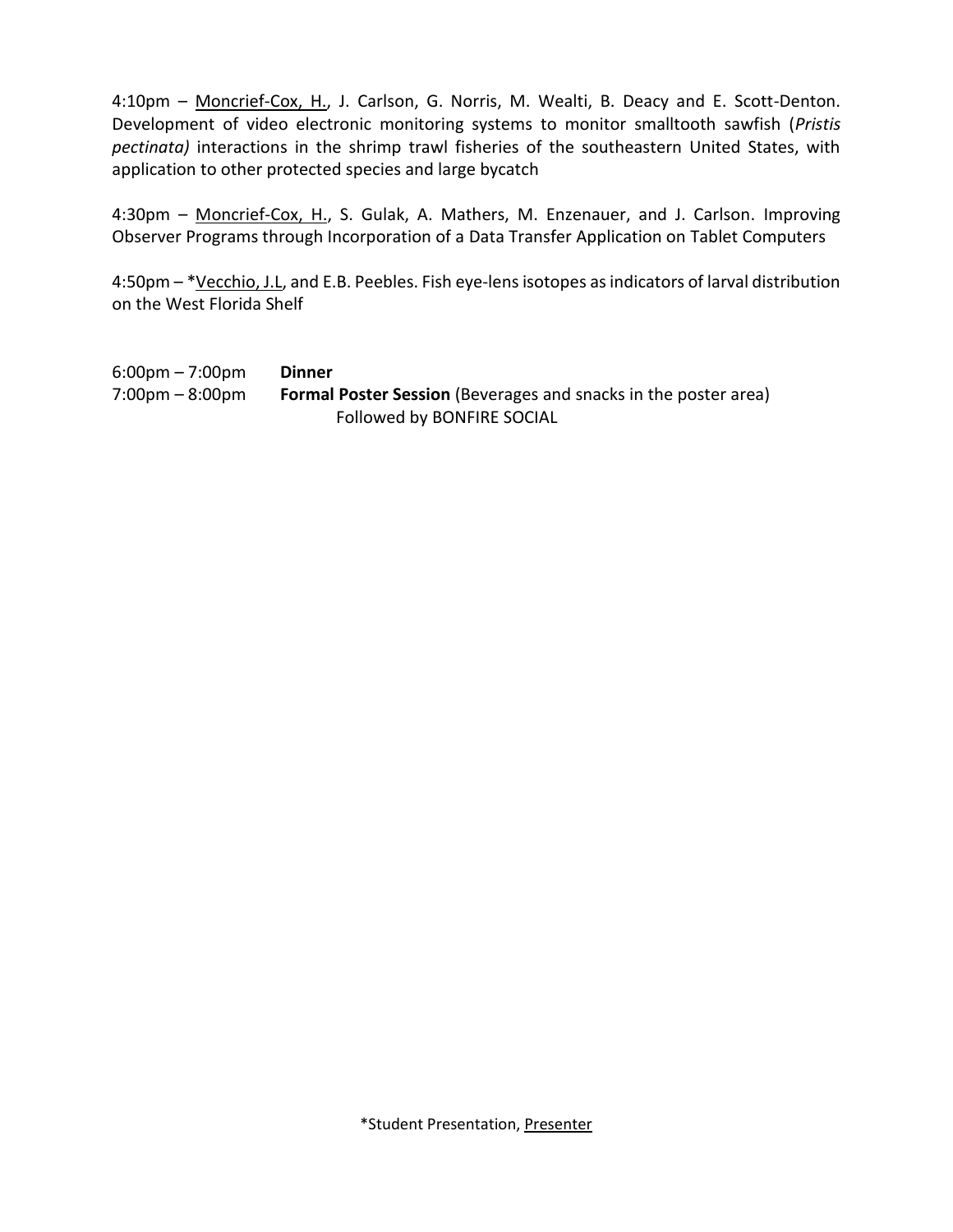4:10pm - Moncrief-Cox, H., J. Carlson, G. Norris, M. Wealti, B. Deacy and E. Scott-Denton. Development of video electronic monitoring systems to monitor smalltooth sawfish (*Pristis pectinata)* interactions in the shrimp trawl fisheries of the southeastern United States, with application to other protected species and large bycatch

4:30pm - Moncrief-Cox, H., S. Gulak, A. Mathers, M. Enzenauer, and J. Carlson. Improving Observer Programs through Incorporation of a Data Transfer Application on Tablet Computers

4:50pm – \*Vecchio, J.L, and E.B. Peebles. Fish eye-lens isotopes as indicators of larval distribution on the West Florida Shelf

6:00pm – 7:00pm **Dinner** 7:00pm – 8:00pm **Formal Poster Session** (Beverages and snacks in the poster area) Followed by BONFIRE SOCIAL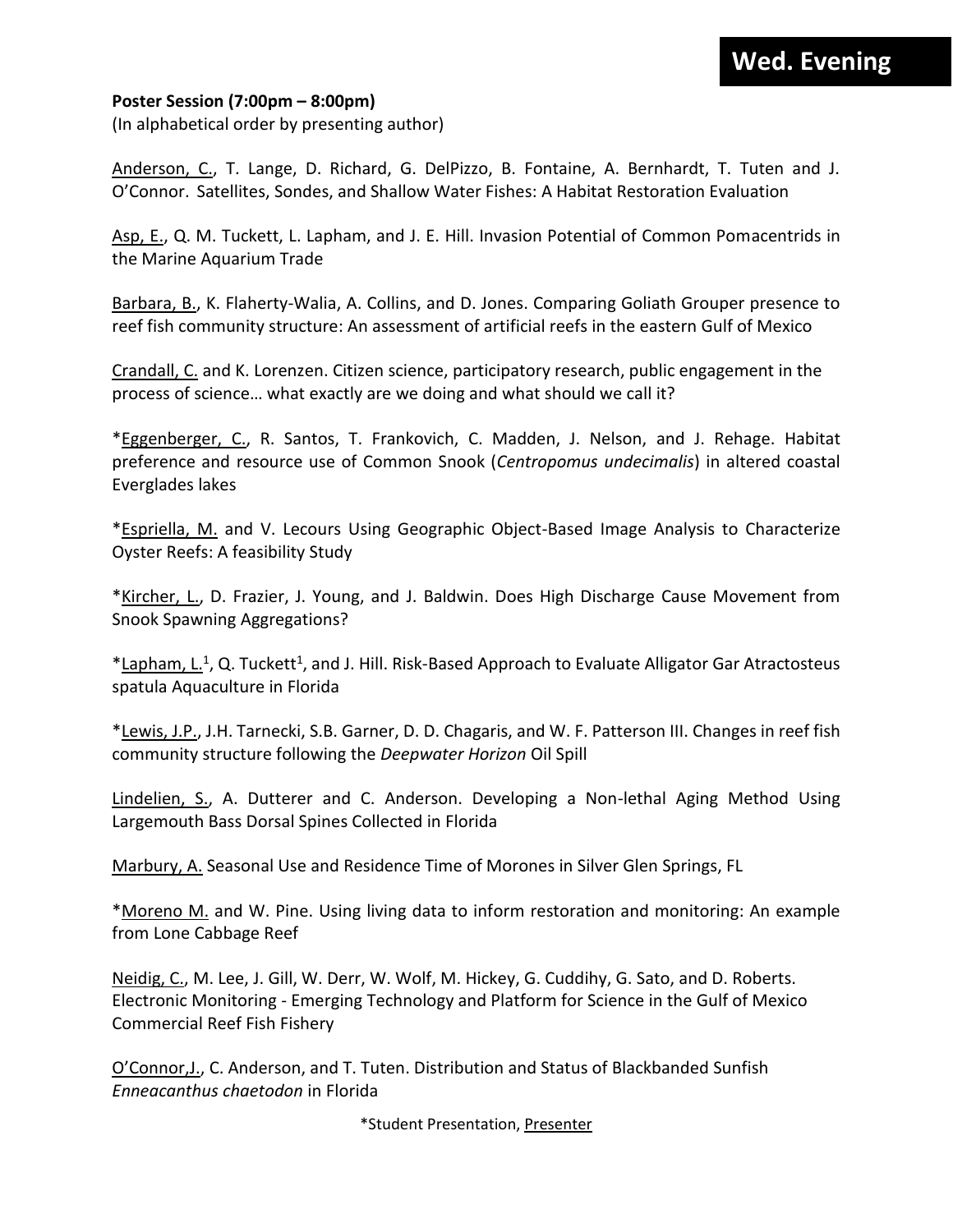#### **Wed. Evening**

#### **Poster Session (7:00pm – 8:00pm)**

(In alphabetical order by presenting author)

Anderson, C., T. Lange, D. Richard, G. DelPizzo, B. Fontaine, A. Bernhardt, T. Tuten and J. O'Connor. Satellites, Sondes, and Shallow Water Fishes: A Habitat Restoration Evaluation

Asp, E., Q. M. Tuckett, L. Lapham, and J. E. Hill. Invasion Potential of Common Pomacentrids in the Marine Aquarium Trade

Barbara, B., K. Flaherty-Walia, A. Collins, and D. Jones. Comparing Goliath Grouper presence to reef fish community structure: An assessment of artificial reefs in the eastern Gulf of Mexico

Crandall, C. and K. Lorenzen. Citizen science, participatory research, public engagement in the process of science… what exactly are we doing and what should we call it?

\*Eggenberger, C., R. Santos, T. Frankovich, C. Madden, J. Nelson, and J. Rehage. Habitat preference and resource use of Common Snook (*Centropomus undecimalis*) in altered coastal Everglades lakes

\*Espriella, M. and V. Lecours Using Geographic Object-Based Image Analysis to Characterize Oyster Reefs: A feasibility Study

\*Kircher, L., D. Frazier, J. Young, and J. Baldwin. Does High Discharge Cause Movement from Snook Spawning Aggregations?

\*Lapham, L.<sup>1</sup>, Q. Tuckett<sup>1</sup>, and J. Hill. Risk-Based Approach to Evaluate Alligator Gar Atractosteus spatula Aquaculture in Florida

\*Lewis, J.P., J.H. Tarnecki, S.B. Garner, D. D. Chagaris, and W. F. Patterson III. Changes in reef fish community structure following the *Deepwater Horizon* Oil Spill

Lindelien, S., A. Dutterer and C. Anderson. Developing a Non-lethal Aging Method Using Largemouth Bass Dorsal Spines Collected in Florida

Marbury, A. Seasonal Use and Residence Time of Morones in Silver Glen Springs, FL

\*Moreno M. and W. Pine. Using living data to inform restoration and monitoring: An example from Lone Cabbage Reef

Neidig, C., M. Lee, J. Gill, W. Derr, W. Wolf, M. Hickey, G. Cuddihy, G. Sato, and D. Roberts. Electronic Monitoring - Emerging Technology and Platform for Science in the Gulf of Mexico Commercial Reef Fish Fishery

O'Connor,J., C. Anderson, and T. Tuten. Distribution and Status of Blackbanded Sunfish *Enneacanthus chaetodon* in Florida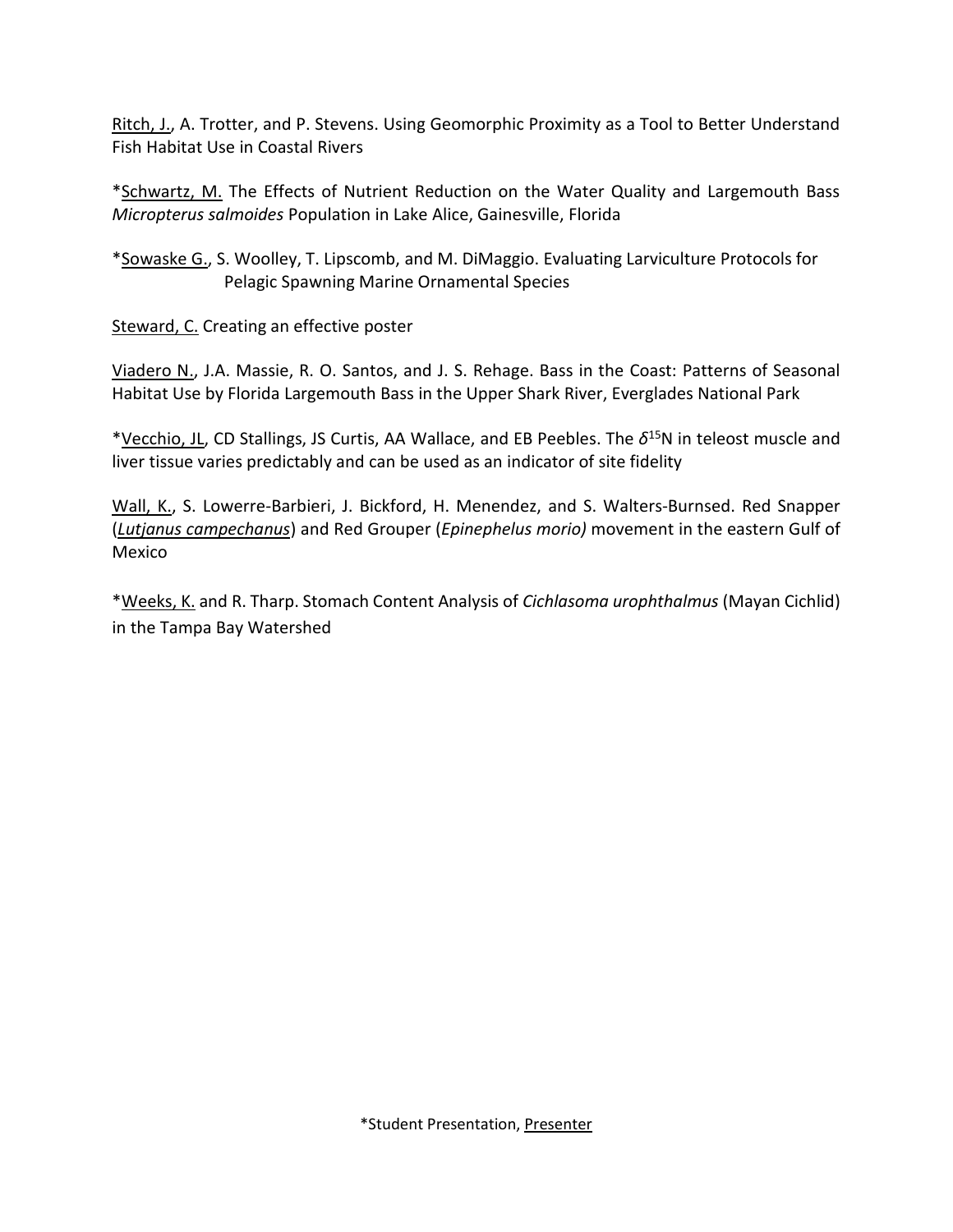Ritch, J., A. Trotter, and P. Stevens. Using Geomorphic Proximity as a Tool to Better Understand Fish Habitat Use in Coastal Rivers

\*Schwartz, M. The Effects of Nutrient Reduction on the Water Quality and Largemouth Bass *Micropterus salmoides* Population in Lake Alice, Gainesville, Florida

\*Sowaske G., S. Woolley, T. Lipscomb, and M. DiMaggio. Evaluating Larviculture Protocols for Pelagic Spawning Marine Ornamental Species

Steward, C. Creating an effective poster

Viadero N., J.A. Massie, R. O. Santos, and J. S. Rehage. Bass in the Coast: Patterns of Seasonal Habitat Use by Florida Largemouth Bass in the Upper Shark River, Everglades National Park

\*Vecchio, JL, CD Stallings, JS Curtis, AA Wallace, and EB Peebles. The *δ* <sup>15</sup>N in teleost muscle and liver tissue varies predictably and can be used as an indicator of site fidelity

Wall, K., S. Lowerre-Barbieri, J. Bickford, H. Menendez, and S. Walters-Burnsed. Red Snapper (*Lutjanus campechanus*) and Red Grouper (*Epinephelus morio)* movement in the eastern Gulf of Mexico

\*Weeks, K. and R. Tharp. Stomach Content Analysis of *Cichlasoma urophthalmus* (Mayan Cichlid) in the Tampa Bay Watershed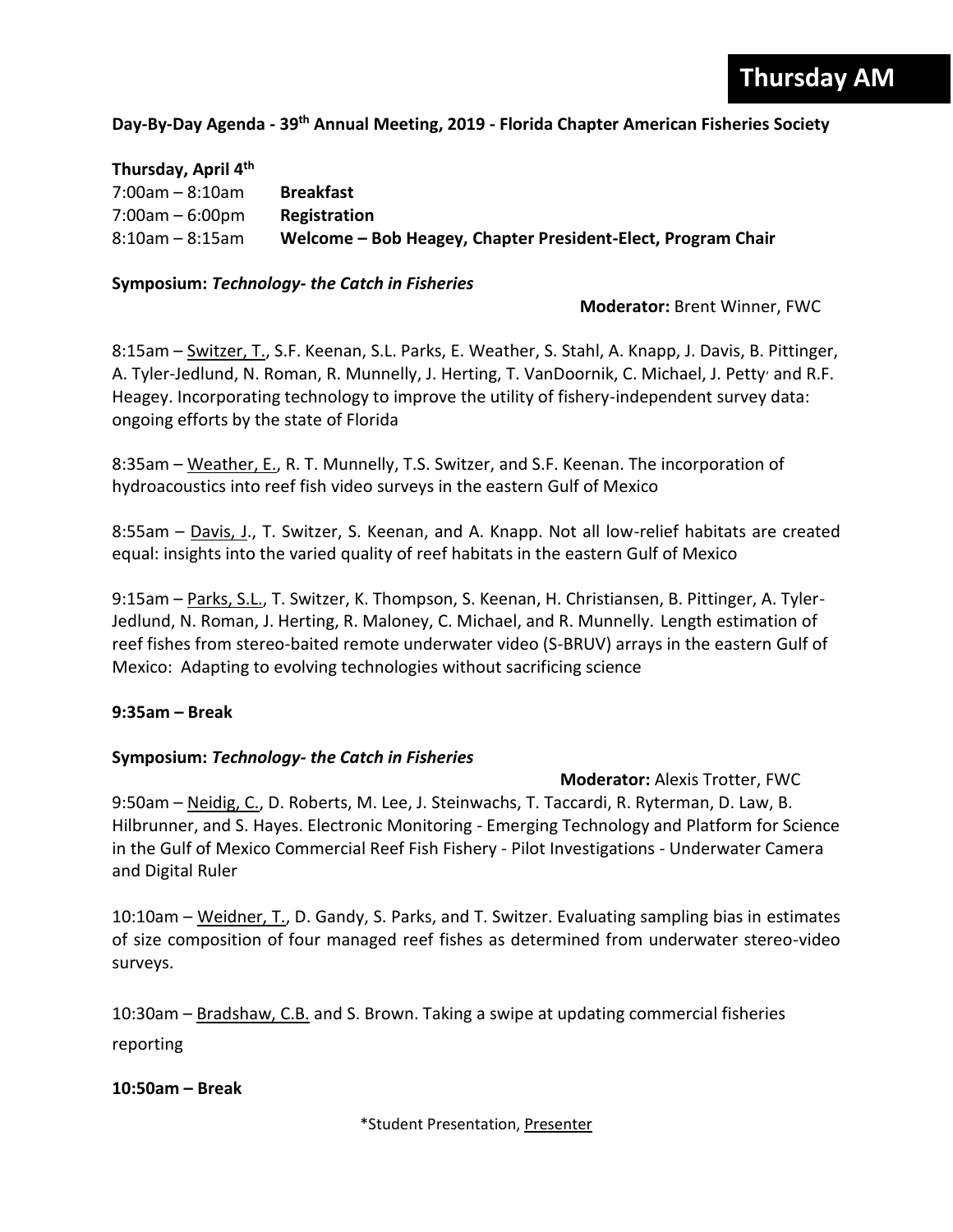#### **Day-By-Day Agenda - 39 th Annual Meeting, 2019 - Florida Chapter American Fisheries Society**

| Thursday, April 4th   |                                                              |
|-----------------------|--------------------------------------------------------------|
| 7:00am – 8:10am       | <b>Breakfast</b>                                             |
| $7:00am - 6:00pm$     | Registration                                                 |
| $8:10$ am – $8:15$ am | Welcome – Bob Heagey, Chapter President-Elect, Program Chair |

#### **Symposium:** *Technology- the Catch in Fisheries*

 **Moderator:** Brent Winner, FWC

8:15am – Switzer, T., S.F. Keenan, S.L. Parks, E. Weather, S. Stahl, A. Knapp, J. Davis, B. Pittinger, A. Tyler-Jedlund, N. Roman, R. Munnelly, J. Herting, T. VanDoornik, C. Michael, J. Petty and R.F. Heagey. Incorporating technology to improve the utility of fishery-independent survey data: ongoing efforts by the state of Florida

8:35am – Weather, E., R. T. Munnelly, T.S. Switzer, and S.F. Keenan. The incorporation of hydroacoustics into reef fish video surveys in the eastern Gulf of Mexico

8:55am – Davis, J., T. Switzer, S. Keenan, and A. Knapp. Not all low-relief habitats are created equal: insights into the varied quality of reef habitats in the eastern Gulf of Mexico

9:15am – Parks, S.L., T. Switzer, K. Thompson, S. Keenan, H. Christiansen, B. Pittinger, A. Tyler-Jedlund, N. Roman, J. Herting, R. Maloney, C. Michael, and R. Munnelly. Length estimation of reef fishes from stereo-baited remote underwater video (S-BRUV) arrays in the eastern Gulf of Mexico: Adapting to evolving technologies without sacrificing science

#### **9:35am – Break**

#### **Symposium:** *Technology- the Catch in Fisheries*

**Moderator:** Alexis Trotter, FWC

9:50am – Neidig, C., D. Roberts, M. Lee, J. Steinwachs, T. Taccardi, R. Ryterman, D. Law, B. Hilbrunner, and S. Hayes. Electronic Monitoring - Emerging Technology and Platform for Science in the Gulf of Mexico Commercial Reef Fish Fishery - Pilot Investigations - Underwater Camera and Digital Ruler

10:10am – Weidner, T., D. Gandy, S. Parks, and T. Switzer. Evaluating sampling bias in estimates of size composition of four managed reef fishes as determined from underwater stereo-video surveys.

10:30am – Bradshaw, C.B. and S. Brown. Taking a swipe at updating commercial fisheries reporting

#### **10:50am – Break**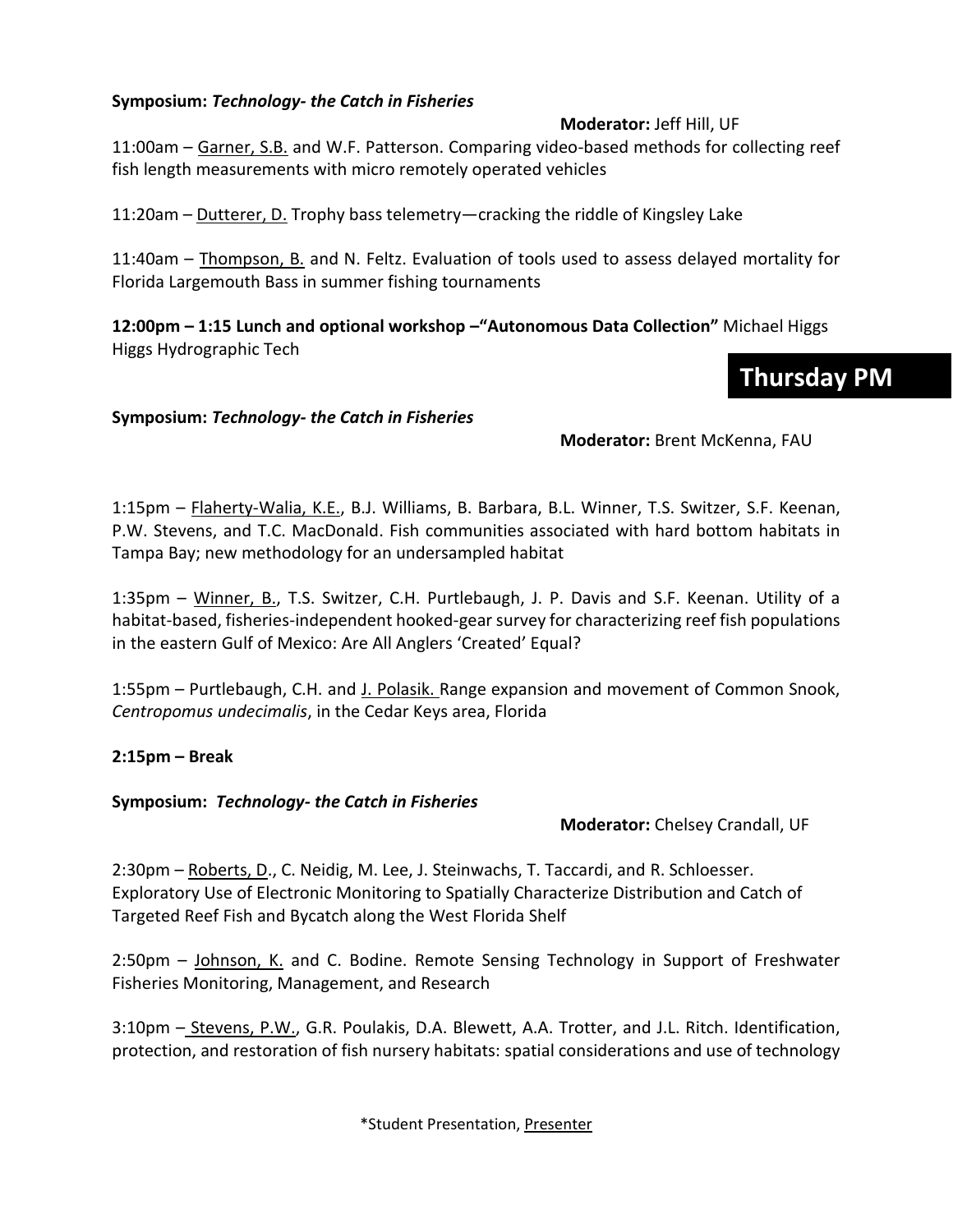#### **Symposium:** *Technology- the Catch in Fisheries*

#### **Moderator:** Jeff Hill, UF

11:00am – Garner, S.B. and W.F. Patterson. Comparing video-based methods for collecting reef fish length measurements with micro remotely operated vehicles

11:20am – Dutterer, D. Trophy bass telemetry—cracking the riddle of Kingsley Lake

11:40am – Thompson, B. and N. Feltz. Evaluation of tools used to assess delayed mortality for Florida Largemouth Bass in summer fishing tournaments

**12:00pm – 1:15 Lunch and optional workshop –"Autonomous Data Collection"** Michael Higgs Higgs Hydrographic Tech

### **Thursday PM**

#### **Symposium:** *Technology- the Catch in Fisheries*

**Moderator:** Brent McKenna, FAU

1:15pm – Flaherty-Walia, K.E., B.J. Williams, B. Barbara, B.L. Winner, T.S. Switzer, S.F. Keenan, P.W. Stevens, and T.C. MacDonald. Fish communities associated with hard bottom habitats in Tampa Bay; new methodology for an undersampled habitat

1:35pm - Winner, B., T.S. Switzer, C.H. Purtlebaugh, J. P. Davis and S.F. Keenan. Utility of a habitat-based, fisheries-independent hooked-gear survey for characterizing reef fish populations in the eastern Gulf of Mexico: Are All Anglers 'Created' Equal?

1:55pm – Purtlebaugh, C.H. and J. Polasik. Range expansion and movement of Common Snook, *Centropomus undecimalis*, in the Cedar Keys area, Florida

#### **2:15pm – Break**

#### **Symposium:** *Technology- the Catch in Fisheries*

**Moderator:** Chelsey Crandall, UF

2:30pm – Roberts, D., C. Neidig, M. Lee, J. Steinwachs, T. Taccardi, and R. Schloesser. Exploratory Use of Electronic Monitoring to Spatially Characterize Distribution and Catch of Targeted Reef Fish and Bycatch along the West Florida Shelf

2:50pm – Johnson, K. and C. Bodine. Remote Sensing Technology in Support of Freshwater Fisheries Monitoring, Management, and Research

3:10pm – Stevens, P.W., G.R. Poulakis, D.A. Blewett, A.A. Trotter, and J.L. Ritch. Identification, protection, and restoration of fish nursery habitats: spatial considerations and use of technology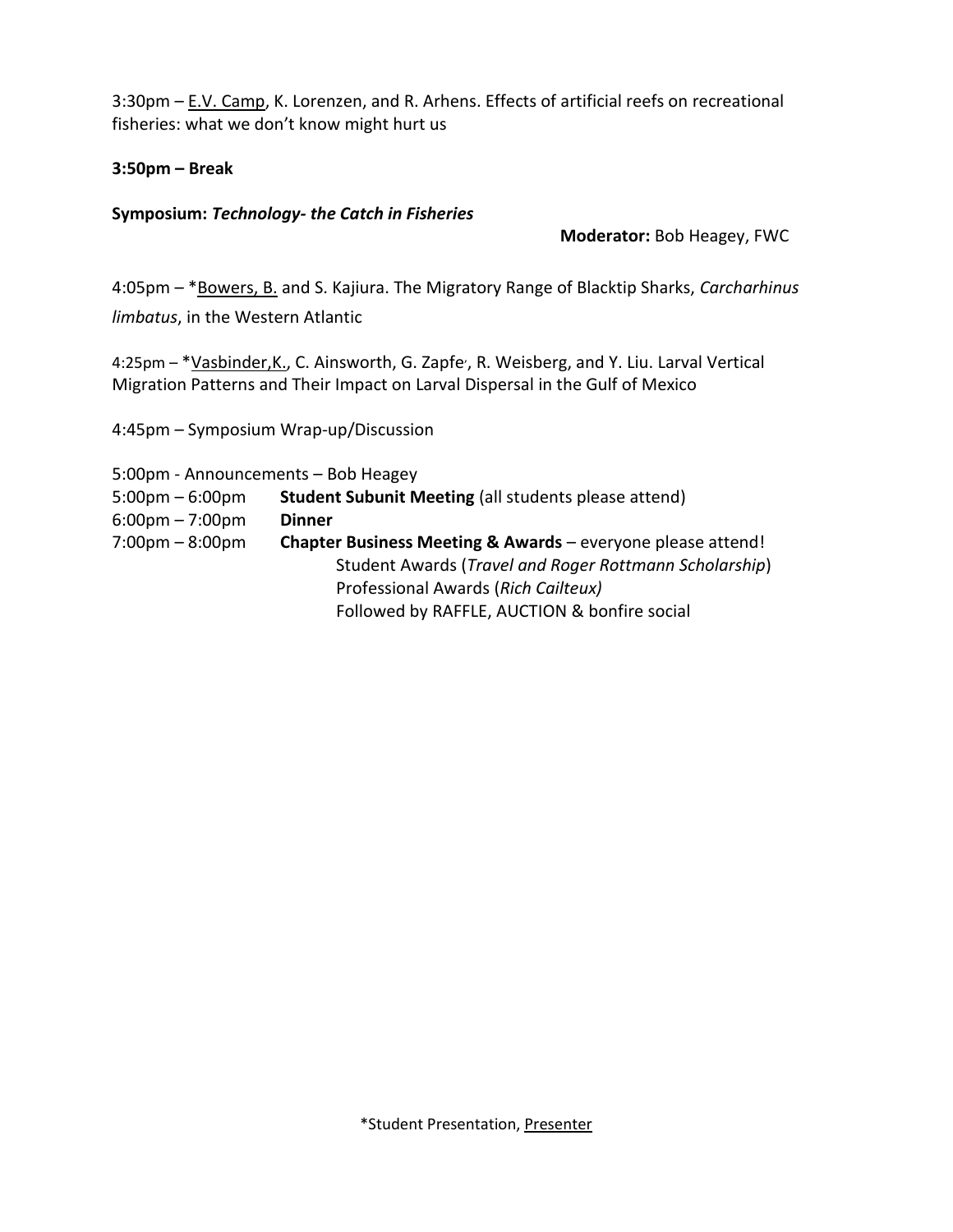3:30pm – E.V. Camp, K. Lorenzen, and R. Arhens. Effects of artificial reefs on recreational fisheries: what we don't know might hurt us

#### **3:50pm – Break**

#### **Symposium:** *Technology- the Catch in Fisheries*

**Moderator:** Bob Heagey, FWC

4:05pm – \*Bowers, B. and S. Kajiura. The Migratory Range of Blacktip Sharks, *Carcharhinus limbatus*, in the Western Atlantic

4:25pm - \* Vasbinder, K., C. Ainsworth, G. Zapfe<sup>,</sup>, R. Weisberg, and Y. Liu. Larval Vertical Migration Patterns and Their Impact on Larval Dispersal in the Gulf of Mexico

4:45pm – Symposium Wrap-up/Discussion

5:00pm - Announcements – Bob Heagey

5:00pm – 6:00pm **Student Subunit Meeting** (all students please attend) 6:00pm – 7:00pm **Dinner** 7:00pm – 8:00pm **Chapter Business Meeting & Awards** – everyone please attend! Student Awards (*Travel and Roger Rottmann Scholarship*) Professional Awards (*Rich Cailteux)* Followed by RAFFLE, AUCTION & bonfire social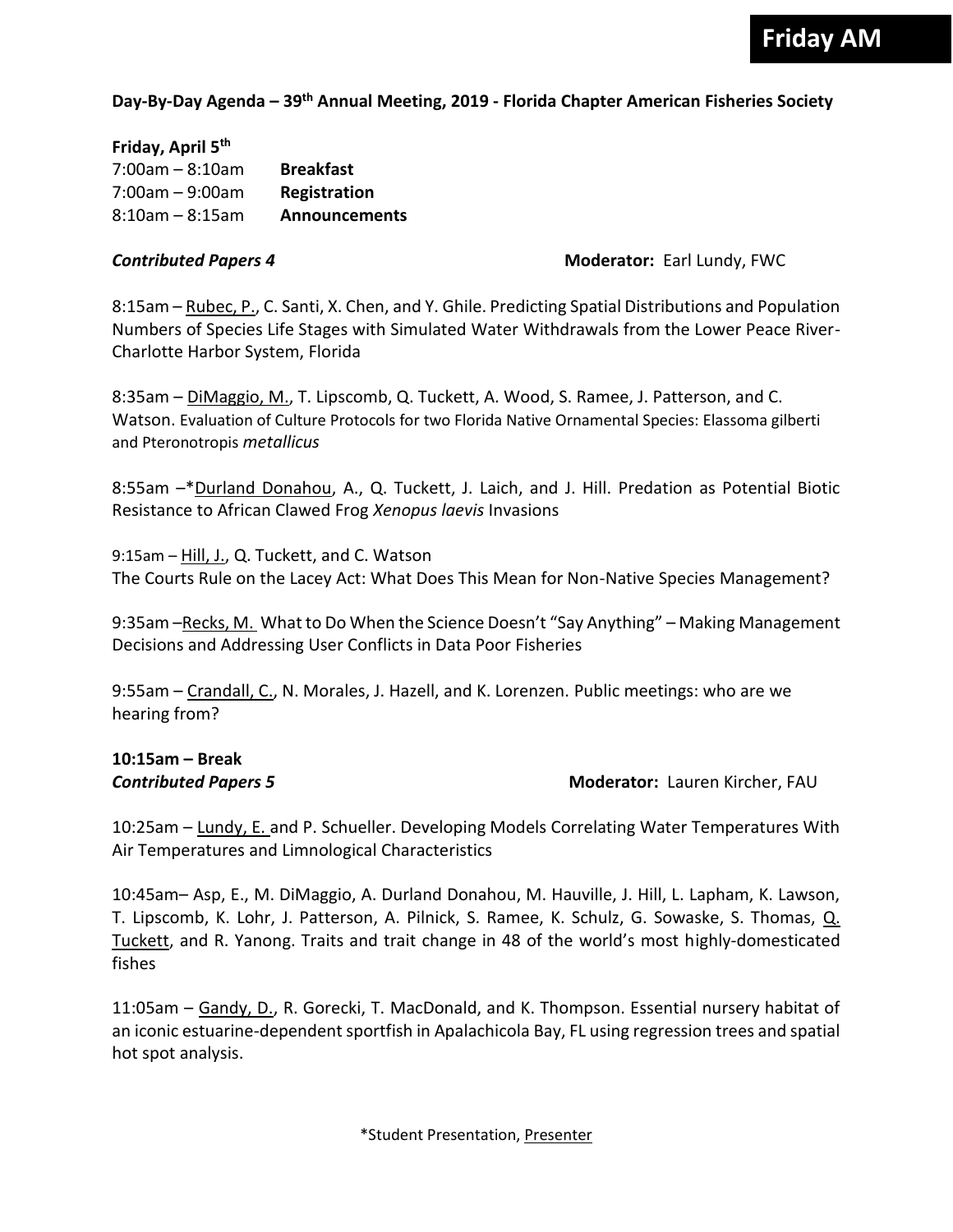#### **Day-By-Day Agenda – 39 th Annual Meeting, 2019 - Florida Chapter American Fisheries Society**

**Friday, April 5 th** 7:00am – 8:10am **Breakfast** 7:00am – 9:00am **Registration** 8:10am – 8:15am **Announcements**

#### *Contributed Papers 4* **Moderator:** Earl Lundy, FWC

8:15am – Rubec, P., C. Santi, X. Chen, and Y. Ghile. Predicting Spatial Distributions and Population Numbers of Species Life Stages with Simulated Water Withdrawals from the Lower Peace River-Charlotte Harbor System, Florida

8:35am – DiMaggio, M., T. Lipscomb, Q. Tuckett, A. Wood, S. Ramee, J. Patterson, and C. Watson. Evaluation of Culture Protocols for two Florida Native Ornamental Species: Elassoma gilberti and Pteronotropis *metallicus*

8:55am –\*Durland Donahou, A., Q. Tuckett, J. Laich, and J. Hill. Predation as Potential Biotic Resistance to African Clawed Frog *Xenopus laevis* Invasions

9:15am – Hill, J., Q. Tuckett, and C. Watson The Courts Rule on the Lacey Act: What Does This Mean for Non-Native Species Management?

9:35am – Recks, M. What to Do When the Science Doesn't "Say Anything" – Making Management Decisions and Addressing User Conflicts in Data Poor Fisheries

9:55am – Crandall, C., N. Morales, J. Hazell, and K. Lorenzen. Public meetings: who are we hearing from?

## **10:15am – Break**

**Contributed Papers 5 Moderator: Lauren Kircher, FAU** 

10:25am – Lundy, E. and P. Schueller. Developing Models Correlating Water Temperatures With Air Temperatures and Limnological Characteristics

10:45am– Asp, E., M. DiMaggio, A. Durland Donahou, M. Hauville, J. Hill, L. Lapham, K. Lawson, T. Lipscomb, K. Lohr, J. Patterson, A. Pilnick, S. Ramee, K. Schulz, G. Sowaske, S. Thomas, Q. Tuckett, and R. Yanong. Traits and trait change in 48 of the world's most highly-domesticated fishes

11:05am – Gandy, D., R. Gorecki, T. MacDonald, and K. Thompson. Essential nursery habitat of an iconic estuarine-dependent sportfish in Apalachicola Bay, FL using regression trees and spatial hot spot analysis.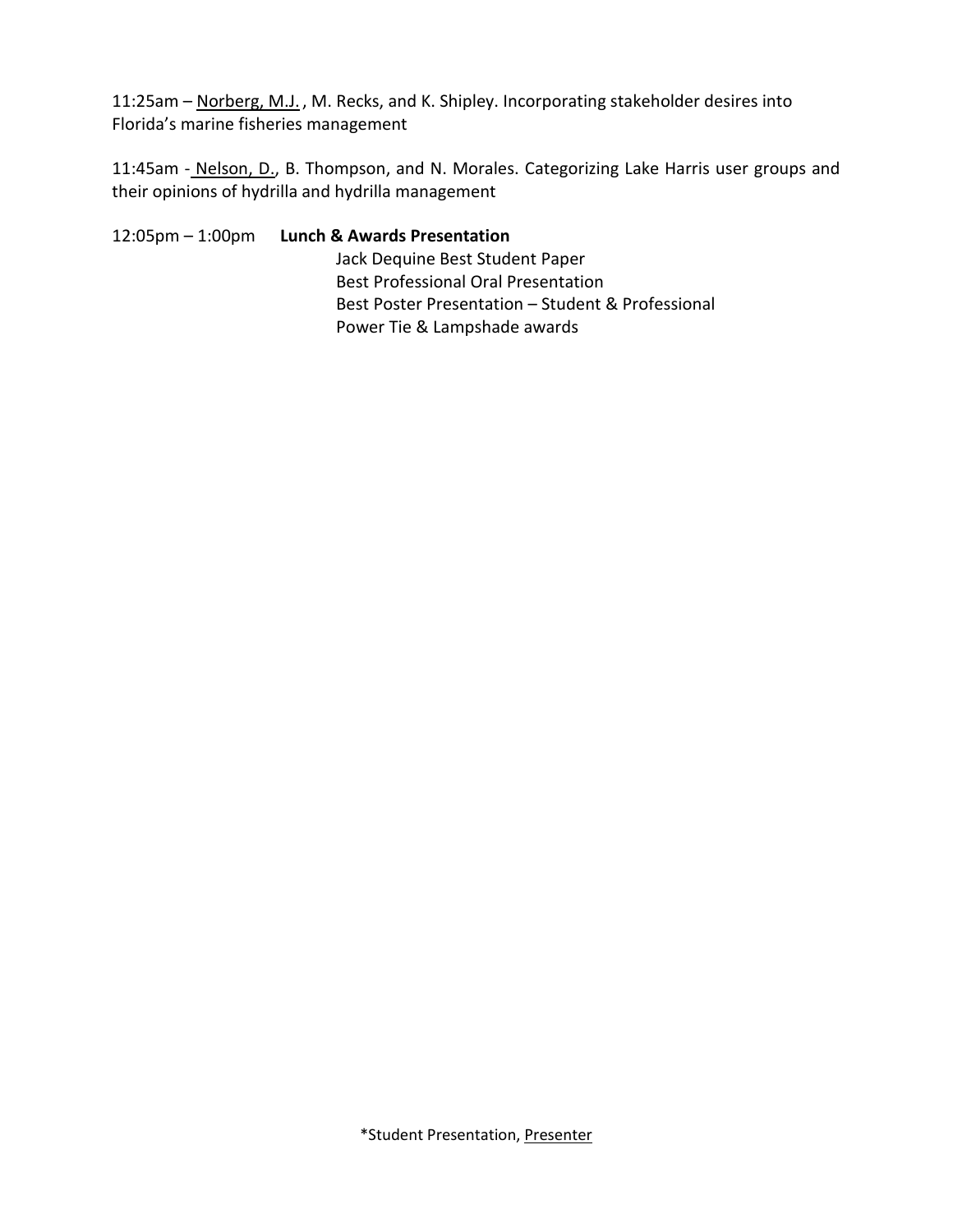11:25am – Norberg, M.J. , M. Recks, and K. Shipley. Incorporating stakeholder desires into Florida's marine fisheries management

11:45am - Nelson, D., B. Thompson, and N. Morales. Categorizing Lake Harris user groups and their opinions of hydrilla and hydrilla management

12:05pm – 1:00pm **Lunch & Awards Presentation** Jack Dequine Best Student Paper Best Professional Oral Presentation Best Poster Presentation – Student & Professional Power Tie & Lampshade awards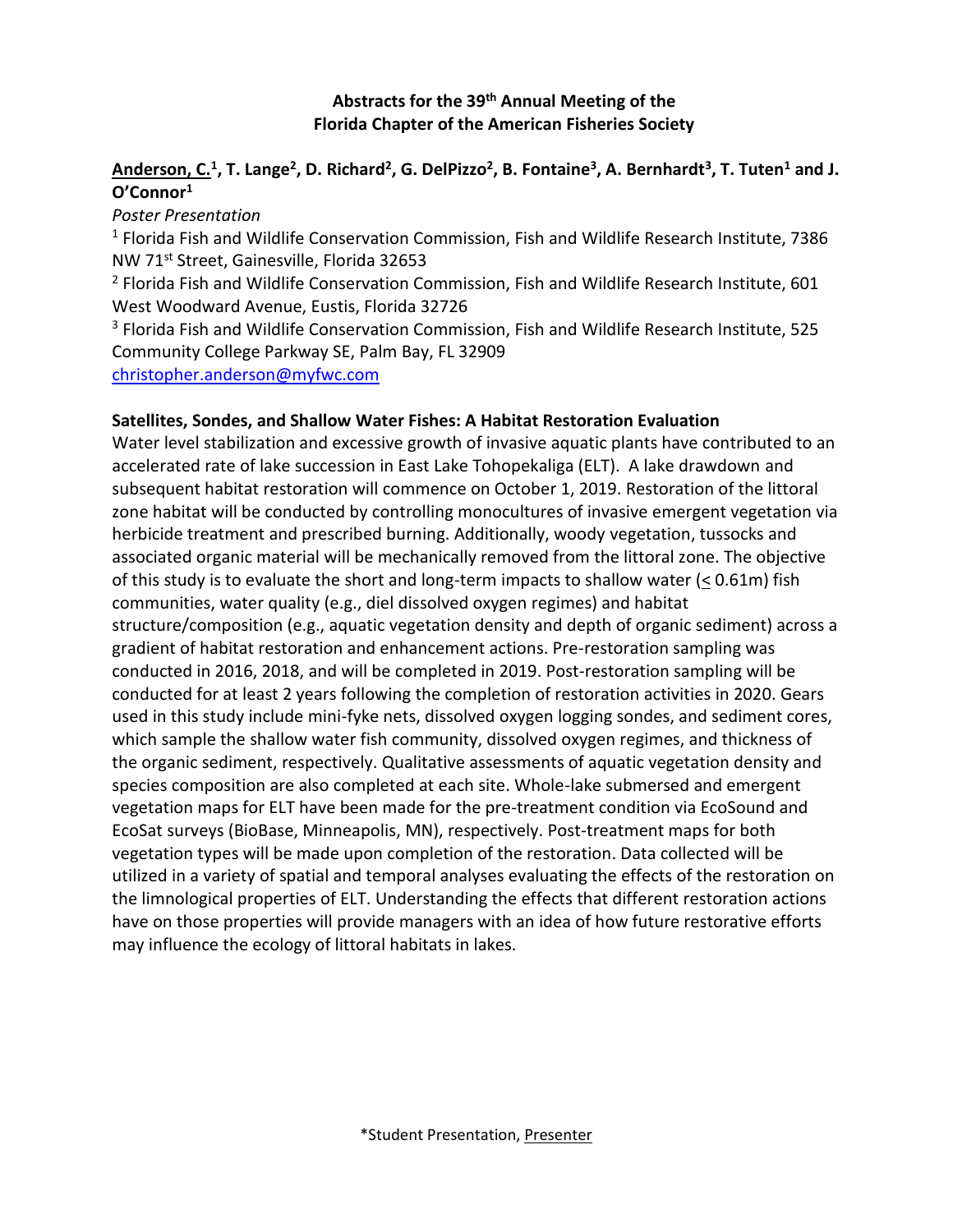#### **Abstracts for the 39 th Annual Meeting of the Florida Chapter of the American Fisheries Society**

#### **Anderson, C.<sup>1</sup> , T. Lange<sup>2</sup> , D. Richard<sup>2</sup> , G. DelPizzo<sup>2</sup> , B. Fontaine<sup>3</sup> , A. Bernhardt<sup>3</sup> , T. Tuten<sup>1</sup> and J. O'Connor<sup>1</sup>**

#### *Poster Presentation*

<sup>1</sup> Florida Fish and Wildlife Conservation Commission, Fish and Wildlife Research Institute, 7386 NW 71st Street, Gainesville, Florida 32653

<sup>2</sup> Florida Fish and Wildlife Conservation Commission, Fish and Wildlife Research Institute, 601 West Woodward Avenue, Eustis, Florida 32726

<sup>3</sup> Florida Fish and Wildlife Conservation Commission, Fish and Wildlife Research Institute, 525 Community College Parkway SE, Palm Bay, FL 32909

[christopher.anderson@myfwc.com](mailto:christopher.anderson@myfwc.com)

#### **Satellites, Sondes, and Shallow Water Fishes: A Habitat Restoration Evaluation**

Water level stabilization and excessive growth of invasive aquatic plants have contributed to an accelerated rate of lake succession in East Lake Tohopekaliga (ELT). A lake drawdown and subsequent habitat restoration will commence on October 1, 2019. Restoration of the littoral zone habitat will be conducted by controlling monocultures of invasive emergent vegetation via herbicide treatment and prescribed burning. Additionally, woody vegetation, tussocks and associated organic material will be mechanically removed from the littoral zone. The objective of this study is to evaluate the short and long-term impacts to shallow water ( $\leq 0.61$ m) fish communities, water quality (e.g., diel dissolved oxygen regimes) and habitat structure/composition (e.g., aquatic vegetation density and depth of organic sediment) across a gradient of habitat restoration and enhancement actions. Pre-restoration sampling was conducted in 2016, 2018, and will be completed in 2019. Post-restoration sampling will be conducted for at least 2 years following the completion of restoration activities in 2020. Gears used in this study include mini-fyke nets, dissolved oxygen logging sondes, and sediment cores, which sample the shallow water fish community, dissolved oxygen regimes, and thickness of the organic sediment, respectively. Qualitative assessments of aquatic vegetation density and species composition are also completed at each site. Whole-lake submersed and emergent vegetation maps for ELT have been made for the pre-treatment condition via EcoSound and EcoSat surveys (BioBase, Minneapolis, MN), respectively. Post-treatment maps for both vegetation types will be made upon completion of the restoration. Data collected will be utilized in a variety of spatial and temporal analyses evaluating the effects of the restoration on the limnological properties of ELT. Understanding the effects that different restoration actions have on those properties will provide managers with an idea of how future restorative efforts may influence the ecology of littoral habitats in lakes.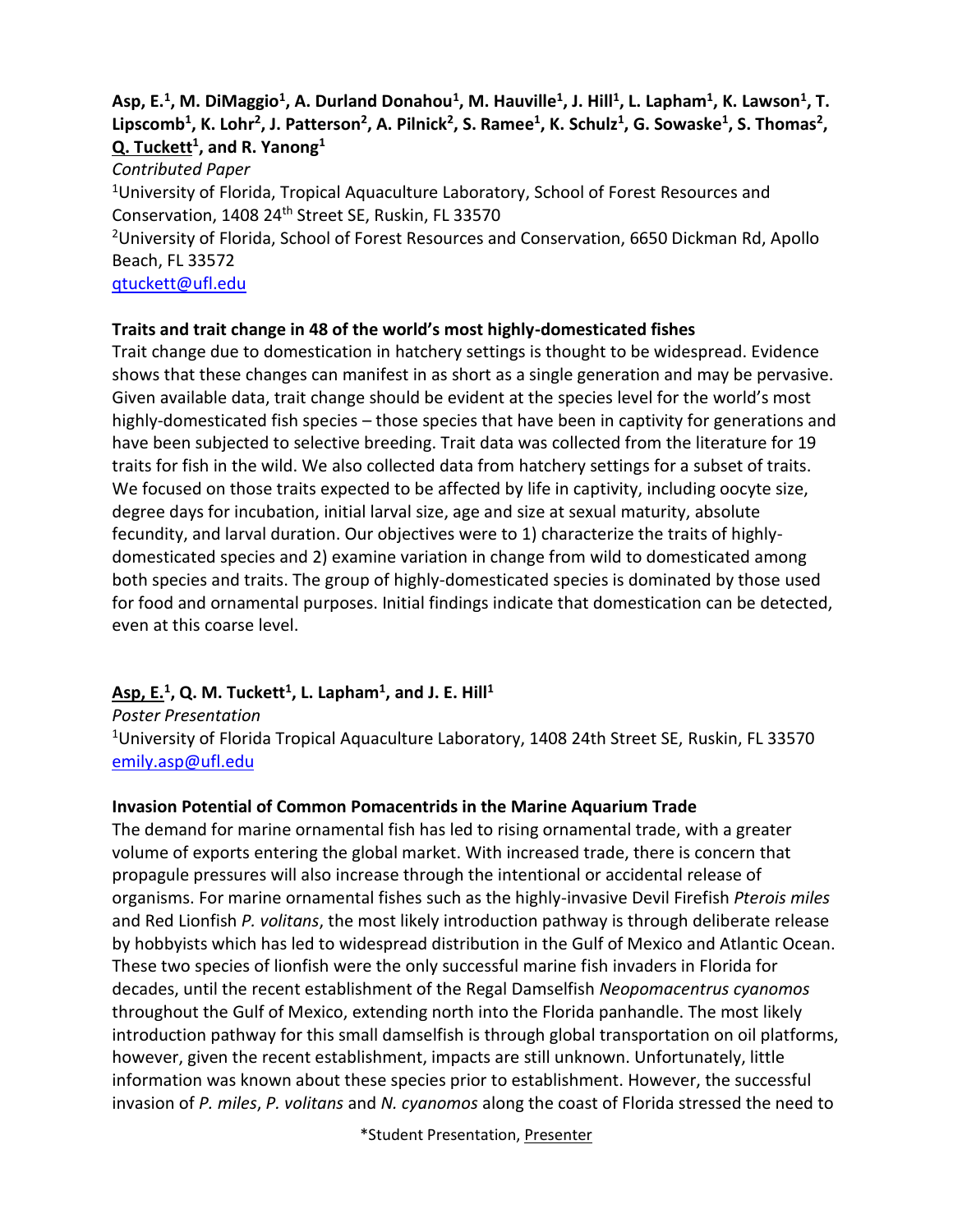#### Asp, E.<sup>1</sup>, M. DiMaggio<sup>1</sup>, A. Durland Donahou<sup>1</sup>, M. Hauville<sup>1</sup>, J. Hill<sup>1</sup>, L. Lapham<sup>1</sup>, K. Lawson<sup>1</sup>, T. Lipscomb<sup>1</sup>, K. Lohr<sup>2</sup>, J. Patterson<sup>2</sup>, A. Pilnick<sup>2</sup>, S. Ramee<sup>1</sup>, K. Schulz<sup>1</sup>, G. Sowaske<sup>1</sup>, S. Thomas<sup>2</sup>, **Q. Tuckett<sup>1</sup> , and R. Yanong<sup>1</sup>**

*Contributed Paper*

<sup>1</sup>University of Florida, Tropical Aquaculture Laboratory, School of Forest Resources and Conservation, 1408 24<sup>th</sup> Street SE, Ruskin, FL 33570

<sup>2</sup>University of Florida, School of Forest Resources and Conservation, 6650 Dickman Rd, Apollo Beach, FL 33572

[qtuckett@ufl.edu](mailto:qtuckett@ufl.edu)

#### **Traits and trait change in 48 of the world's most highly-domesticated fishes**

Trait change due to domestication in hatchery settings is thought to be widespread. Evidence shows that these changes can manifest in as short as a single generation and may be pervasive. Given available data, trait change should be evident at the species level for the world's most highly-domesticated fish species – those species that have been in captivity for generations and have been subjected to selective breeding. Trait data was collected from the literature for 19 traits for fish in the wild. We also collected data from hatchery settings for a subset of traits. We focused on those traits expected to be affected by life in captivity, including oocyte size, degree days for incubation, initial larval size, age and size at sexual maturity, absolute fecundity, and larval duration. Our objectives were to 1) characterize the traits of highlydomesticated species and 2) examine variation in change from wild to domesticated among both species and traits. The group of highly-domesticated species is dominated by those used for food and ornamental purposes. Initial findings indicate that domestication can be detected, even at this coarse level.

#### **Asp, E.<sup>1</sup> , Q. M. Tuckett<sup>1</sup> , L. Lapham<sup>1</sup> , and J. E. Hill<sup>1</sup>**

*Poster Presentation* <sup>1</sup>University of Florida Tropical Aquaculture Laboratory, 1408 24th Street SE, Ruskin, FL 33570 [emily.asp@ufl.edu](mailto:emily.asp@ufl.edu)

#### **Invasion Potential of Common Pomacentrids in the Marine Aquarium Trade**

The demand for marine ornamental fish has led to rising ornamental trade, with a greater volume of exports entering the global market. With increased trade, there is concern that propagule pressures will also increase through the intentional or accidental release of organisms. For marine ornamental fishes such as the highly-invasive Devil Firefish *Pterois miles* and Red Lionfish *P. volitans*, the most likely introduction pathway is through deliberate release by hobbyists which has led to widespread distribution in the Gulf of Mexico and Atlantic Ocean. These two species of lionfish were the only successful marine fish invaders in Florida for decades, until the recent establishment of the Regal Damselfish *Neopomacentrus cyanomos* throughout the Gulf of Mexico, extending north into the Florida panhandle. The most likely introduction pathway for this small damselfish is through global transportation on oil platforms, however, given the recent establishment, impacts are still unknown. Unfortunately, little information was known about these species prior to establishment. However, the successful invasion of *P. miles*, *P. volitans* and *N. cyanomos* along the coast of Florida stressed the need to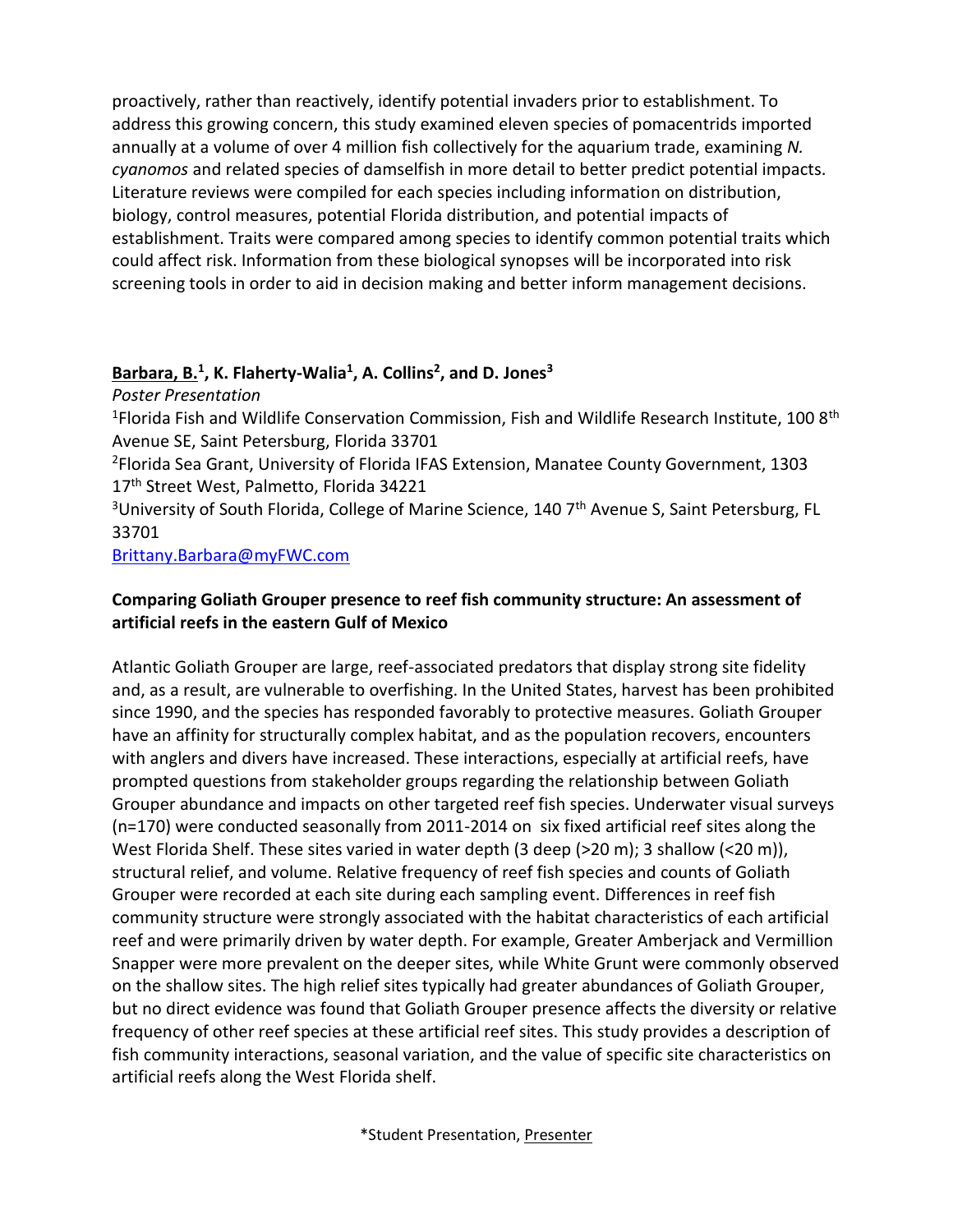proactively, rather than reactively, identify potential invaders prior to establishment. To address this growing concern, this study examined eleven species of pomacentrids imported annually at a volume of over 4 million fish collectively for the aquarium trade, examining *N. cyanomos* and related species of damselfish in more detail to better predict potential impacts. Literature reviews were compiled for each species including information on distribution, biology, control measures, potential Florida distribution, and potential impacts of establishment. Traits were compared among species to identify common potential traits which could affect risk. Information from these biological synopses will be incorporated into risk screening tools in order to aid in decision making and better inform management decisions.

#### **Barbara, B.<sup>1</sup> , K. Flaherty-Walia<sup>1</sup> , A. Collins<sup>2</sup> , and D. Jones<sup>3</sup>**

*Poster Presentation*

<sup>1</sup>Florida Fish and Wildlife Conservation Commission, Fish and Wildlife Research Institute, 100 8<sup>th</sup> Avenue SE, Saint Petersburg, Florida 33701

<sup>2</sup>Florida Sea Grant, University of Florida IFAS Extension, Manatee County Government, 1303 17<sup>th</sup> Street West, Palmetto, Florida 34221

<sup>3</sup>University of South Florida, College of Marine Science, 140 7<sup>th</sup> Avenue S, Saint Petersburg, FL 33701

[Brittany.Barbara@myFWC.com](mailto:Brittany.Barbara@myFWC.com)

#### **Comparing Goliath Grouper presence to reef fish community structure: An assessment of artificial reefs in the eastern Gulf of Mexico**

Atlantic Goliath Grouper are large, reef-associated predators that display strong site fidelity and, as a result, are vulnerable to overfishing. In the United States, harvest has been prohibited since 1990, and the species has responded favorably to protective measures. Goliath Grouper have an affinity for structurally complex habitat, and as the population recovers, encounters with anglers and divers have increased. These interactions, especially at artificial reefs, have prompted questions from stakeholder groups regarding the relationship between Goliath Grouper abundance and impacts on other targeted reef fish species. Underwater visual surveys (n=170) were conducted seasonally from 2011-2014 on six fixed artificial reef sites along the West Florida Shelf. These sites varied in water depth (3 deep (>20 m); 3 shallow (<20 m)), structural relief, and volume. Relative frequency of reef fish species and counts of Goliath Grouper were recorded at each site during each sampling event. Differences in reef fish community structure were strongly associated with the habitat characteristics of each artificial reef and were primarily driven by water depth. For example, Greater Amberjack and Vermillion Snapper were more prevalent on the deeper sites, while White Grunt were commonly observed on the shallow sites. The high relief sites typically had greater abundances of Goliath Grouper, but no direct evidence was found that Goliath Grouper presence affects the diversity or relative frequency of other reef species at these artificial reef sites. This study provides a description of fish community interactions, seasonal variation, and the value of specific site characteristics on artificial reefs along the West Florida shelf.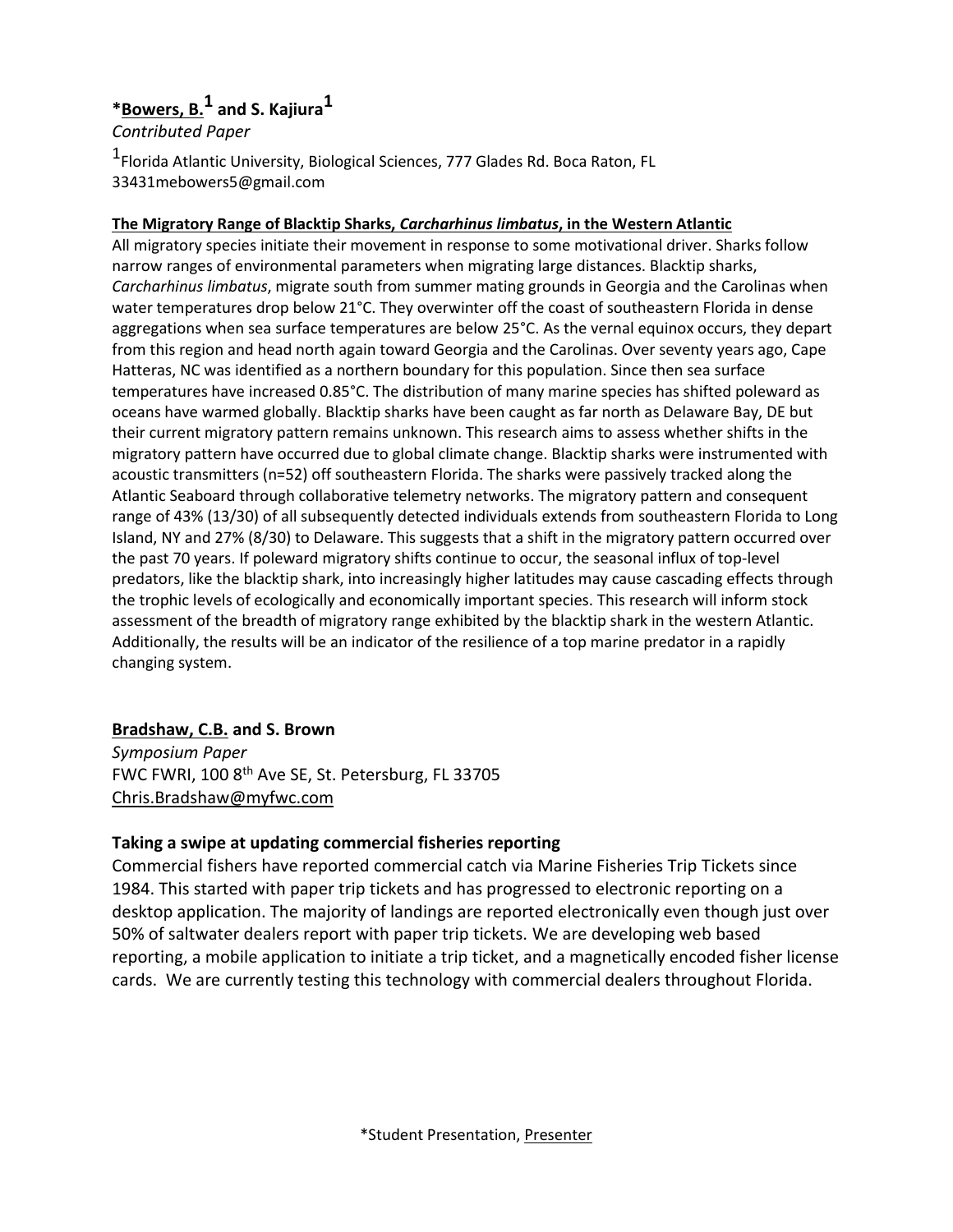### **\*Bowers, B.1 and S. Kajiura1**

*Contributed Paper*

1 Florida Atlantic University, Biological Sciences, 777 Glades Rd. Boca Raton, FL 33431mebowers5@gmail.com

#### **The Migratory Range of Blacktip Sharks,** *Carcharhinus limbatus***, in the Western Atlantic**

All migratory species initiate their movement in response to some motivational driver. Sharks follow narrow ranges of environmental parameters when migrating large distances. Blacktip sharks, *Carcharhinus limbatus*, migrate south from summer mating grounds in Georgia and the Carolinas when water temperatures drop below 21°C. They overwinter off the coast of southeastern Florida in dense aggregations when sea surface temperatures are below 25°C. As the vernal equinox occurs, they depart from this region and head north again toward Georgia and the Carolinas. Over seventy years ago, Cape Hatteras, NC was identified as a northern boundary for this population. Since then sea surface temperatures have increased 0.85°C. The distribution of many marine species has shifted poleward as oceans have warmed globally. Blacktip sharks have been caught as far north as Delaware Bay, DE but their current migratory pattern remains unknown. This research aims to assess whether shifts in the migratory pattern have occurred due to global climate change. Blacktip sharks were instrumented with acoustic transmitters (n=52) off southeastern Florida. The sharks were passively tracked along the Atlantic Seaboard through collaborative telemetry networks. The migratory pattern and consequent range of 43% (13/30) of all subsequently detected individuals extends from southeastern Florida to Long Island, NY and 27% (8/30) to Delaware. This suggests that a shift in the migratory pattern occurred over the past 70 years. If poleward migratory shifts continue to occur, the seasonal influx of top-level predators, like the blacktip shark, into increasingly higher latitudes may cause cascading effects through the trophic levels of ecologically and economically important species. This research will inform stock assessment of the breadth of migratory range exhibited by the blacktip shark in the western Atlantic. Additionally, the results will be an indicator of the resilience of a top marine predator in a rapidly changing system.

#### **Bradshaw, C.B. and S. Brown**

*Symposium Paper* FWC FWRI, 100 8<sup>th</sup> Ave SE, St. Petersburg, FL 33705 [Chris.Bradshaw@myfwc.com](mailto:Chris.Bradshaw@myfwc.com)

#### **Taking a swipe at updating commercial fisheries reporting**

Commercial fishers have reported commercial catch via Marine Fisheries Trip Tickets since 1984. This started with paper trip tickets and has progressed to electronic reporting on a desktop application. The majority of landings are reported electronically even though just over 50% of saltwater dealers report with paper trip tickets. We are developing web based reporting, a mobile application to initiate a trip ticket, and a magnetically encoded fisher license cards. We are currently testing this technology with commercial dealers throughout Florida.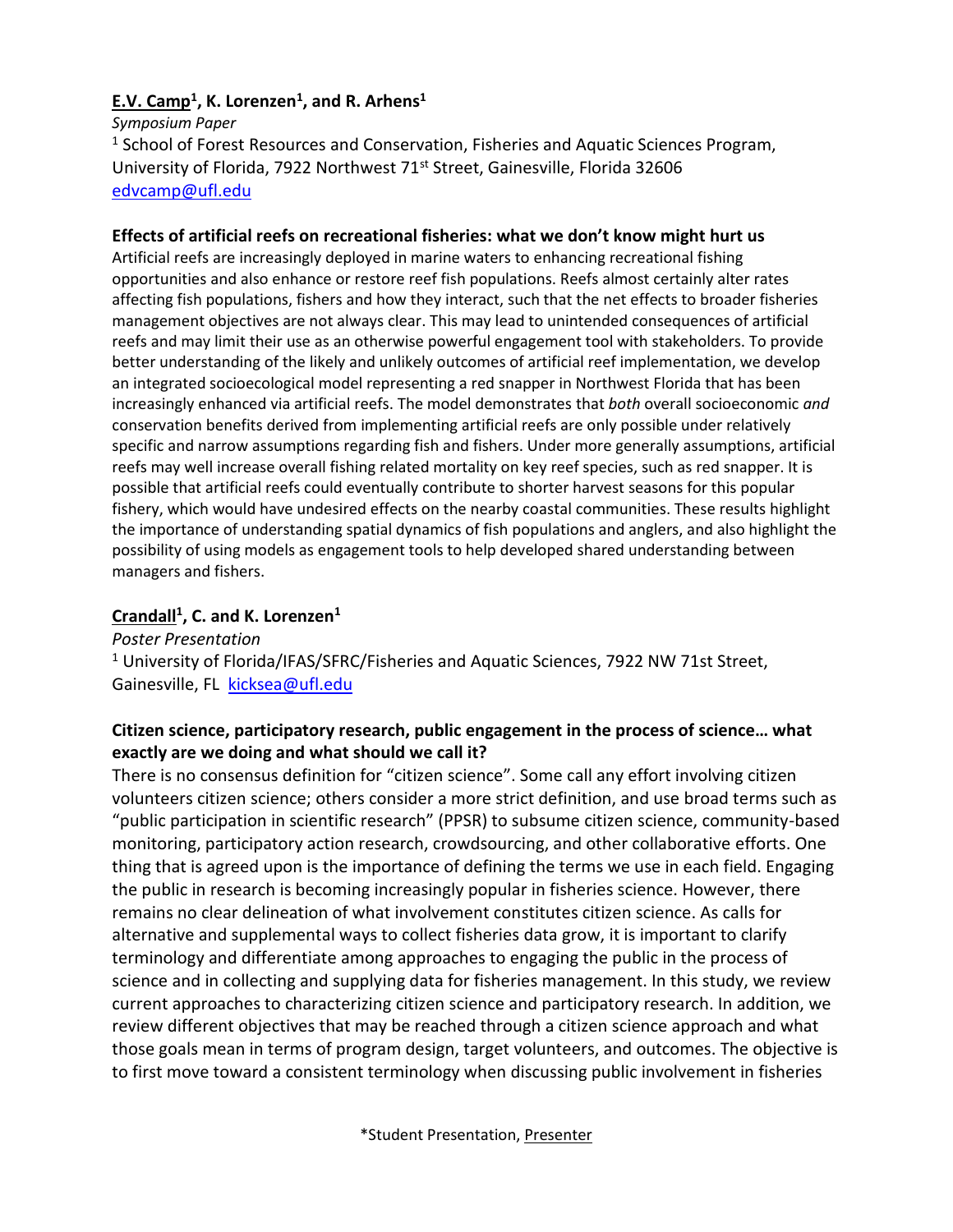#### **E.V. Camp<sup>1</sup> , K. Lorenzen<sup>1</sup> , and R. Arhens<sup>1</sup>**

*Symposium Paper*

<sup>1</sup> School of Forest Resources and Conservation, Fisheries and Aquatic Sciences Program, University of Florida, 7922 Northwest 71<sup>st</sup> Street, Gainesville, Florida 32606 [edvcamp@ufl.edu](mailto:edvcamp@ufl.edu)

#### **Effects of artificial reefs on recreational fisheries: what we don't know might hurt us**

Artificial reefs are increasingly deployed in marine waters to enhancing recreational fishing opportunities and also enhance or restore reef fish populations. Reefs almost certainly alter rates affecting fish populations, fishers and how they interact, such that the net effects to broader fisheries management objectives are not always clear. This may lead to unintended consequences of artificial reefs and may limit their use as an otherwise powerful engagement tool with stakeholders. To provide better understanding of the likely and unlikely outcomes of artificial reef implementation, we develop an integrated socioecological model representing a red snapper in Northwest Florida that has been increasingly enhanced via artificial reefs. The model demonstrates that *both* overall socioeconomic *and* conservation benefits derived from implementing artificial reefs are only possible under relatively specific and narrow assumptions regarding fish and fishers. Under more generally assumptions, artificial reefs may well increase overall fishing related mortality on key reef species, such as red snapper. It is possible that artificial reefs could eventually contribute to shorter harvest seasons for this popular fishery, which would have undesired effects on the nearby coastal communities. These results highlight the importance of understanding spatial dynamics of fish populations and anglers, and also highlight the possibility of using models as engagement tools to help developed shared understanding between managers and fishers.

#### **Crandall<sup>1</sup> , C. and K. Lorenzen<sup>1</sup>**

*Poster Presentation*  $1$  University of Florida/IFAS/SFRC/Fisheries and Aquatic Sciences, 7922 NW 71st Street, Gainesville, FL [kicksea@ufl.edu](mailto:kicksea@ufl.edu)

#### **Citizen science, participatory research, public engagement in the process of science… what exactly are we doing and what should we call it?**

There is no consensus definition for "citizen science". Some call any effort involving citizen volunteers citizen science; others consider a more strict definition, and use broad terms such as "public participation in scientific research" (PPSR) to subsume citizen science, community-based monitoring, participatory action research, crowdsourcing, and other collaborative efforts. One thing that is agreed upon is the importance of defining the terms we use in each field. Engaging the public in research is becoming increasingly popular in fisheries science. However, there remains no clear delineation of what involvement constitutes citizen science. As calls for alternative and supplemental ways to collect fisheries data grow, it is important to clarify terminology and differentiate among approaches to engaging the public in the process of science and in collecting and supplying data for fisheries management. In this study, we review current approaches to characterizing citizen science and participatory research. In addition, we review different objectives that may be reached through a citizen science approach and what those goals mean in terms of program design, target volunteers, and outcomes. The objective is to first move toward a consistent terminology when discussing public involvement in fisheries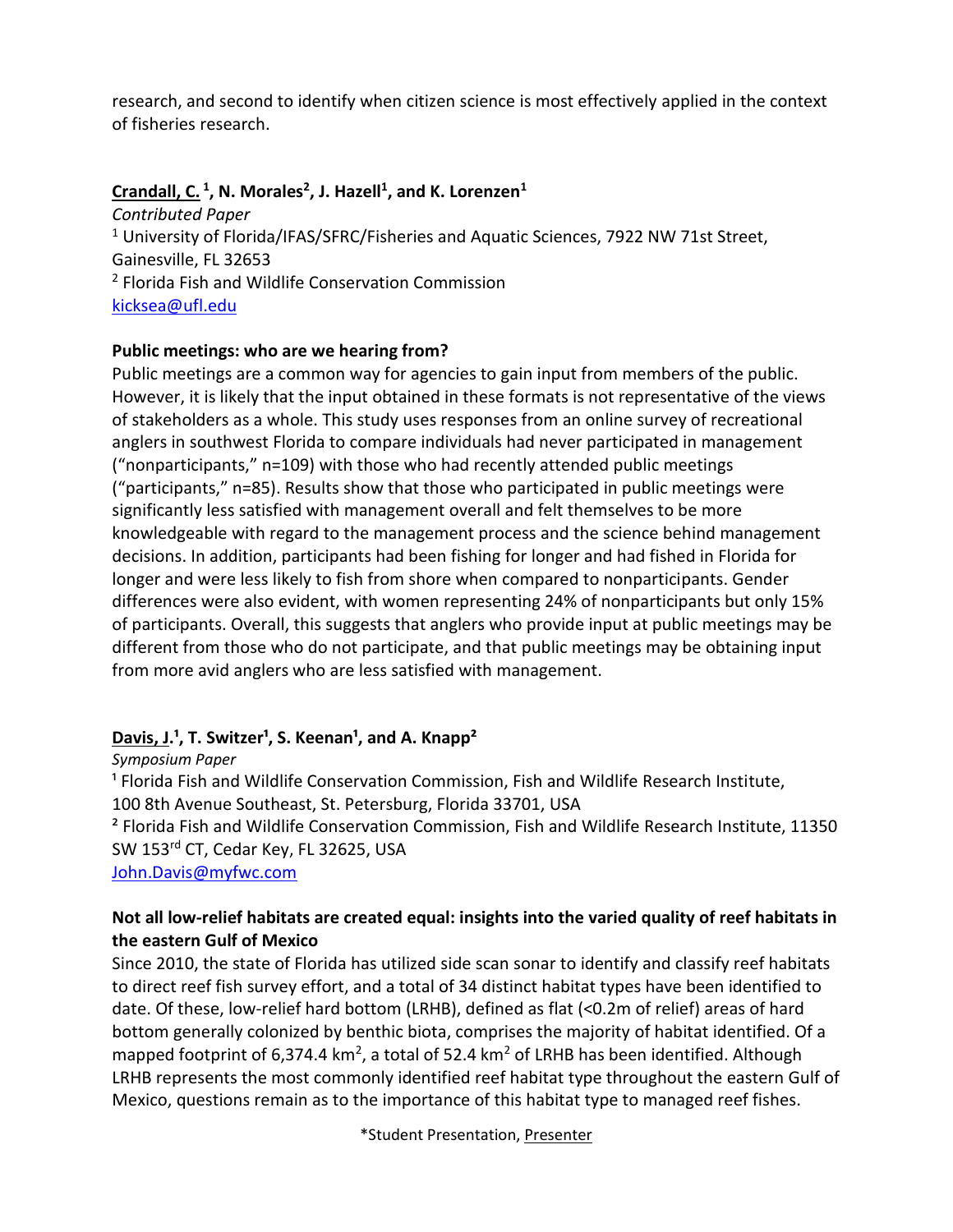research, and second to identify when citizen science is most effectively applied in the context of fisheries research.

#### **Crandall, C. <sup>1</sup> , N. Morales<sup>2</sup> , J. Hazell<sup>1</sup> , and K. Lorenzen<sup>1</sup>**

*Contributed Paper* <sup>1</sup> University of Florida/IFAS/SFRC/Fisheries and Aquatic Sciences, 7922 NW 71st Street, Gainesville, FL 32653 <sup>2</sup> Florida Fish and Wildlife Conservation Commission [kicksea@ufl.edu](mailto:kicksea@ufl.edu)

#### **Public meetings: who are we hearing from?**

Public meetings are a common way for agencies to gain input from members of the public. However, it is likely that the input obtained in these formats is not representative of the views of stakeholders as a whole. This study uses responses from an online survey of recreational anglers in southwest Florida to compare individuals had never participated in management ("nonparticipants," n=109) with those who had recently attended public meetings ("participants," n=85). Results show that those who participated in public meetings were significantly less satisfied with management overall and felt themselves to be more knowledgeable with regard to the management process and the science behind management decisions. In addition, participants had been fishing for longer and had fished in Florida for longer and were less likely to fish from shore when compared to nonparticipants. Gender differences were also evident, with women representing 24% of nonparticipants but only 15% of participants. Overall, this suggests that anglers who provide input at public meetings may be different from those who do not participate, and that public meetings may be obtaining input from more avid anglers who are less satisfied with management.

#### Davis, J.<sup>1</sup>, T. Switzer<sup>1</sup>, S. Keenan<sup>1</sup>, and A. Knapp<sup>2</sup>

*Symposium Paper*

<sup>1</sup> Florida Fish and Wildlife Conservation Commission, Fish and Wildlife Research Institute, 100 8th Avenue Southeast, St. Petersburg, Florida 33701, USA

² Florida Fish and Wildlife Conservation Commission, Fish and Wildlife Research Institute, 11350 SW 153rd CT, Cedar Key, FL 32625, USA

[John.Davis@myfwc.com](mailto:John.Davis@myfwc.com)

#### **Not all low-relief habitats are created equal: insights into the varied quality of reef habitats in the eastern Gulf of Mexico**

Since 2010, the state of Florida has utilized side scan sonar to identify and classify reef habitats to direct reef fish survey effort, and a total of 34 distinct habitat types have been identified to date. Of these, low-relief hard bottom (LRHB), defined as flat (<0.2m of relief) areas of hard bottom generally colonized by benthic biota, comprises the majority of habitat identified. Of a mapped footprint of 6,374.4 km<sup>2</sup>, a total of 52.4 km<sup>2</sup> of LRHB has been identified. Although LRHB represents the most commonly identified reef habitat type throughout the eastern Gulf of Mexico, questions remain as to the importance of this habitat type to managed reef fishes.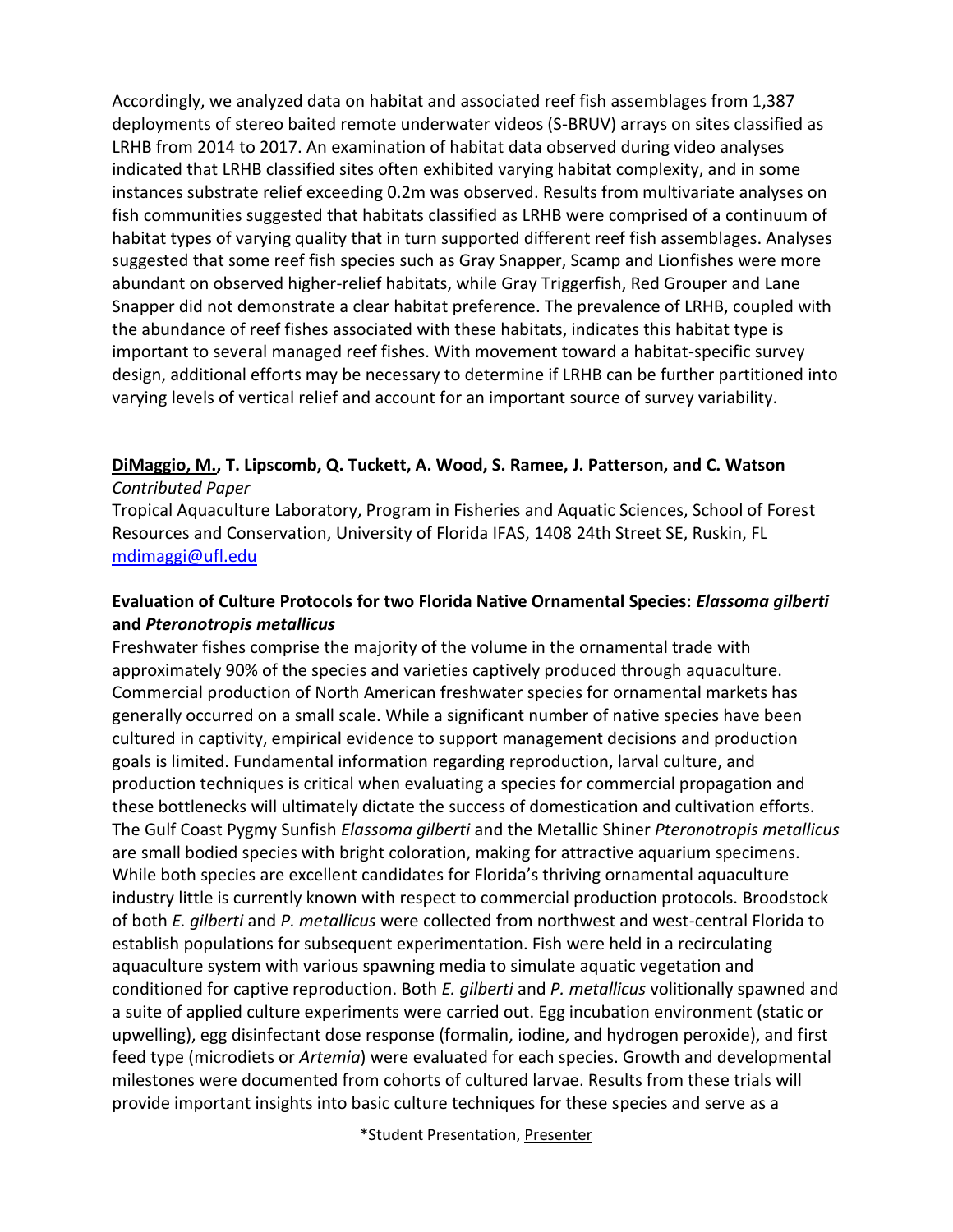Accordingly, we analyzed data on habitat and associated reef fish assemblages from 1,387 deployments of stereo baited remote underwater videos (S-BRUV) arrays on sites classified as LRHB from 2014 to 2017. An examination of habitat data observed during video analyses indicated that LRHB classified sites often exhibited varying habitat complexity, and in some instances substrate relief exceeding 0.2m was observed. Results from multivariate analyses on fish communities suggested that habitats classified as LRHB were comprised of a continuum of habitat types of varying quality that in turn supported different reef fish assemblages. Analyses suggested that some reef fish species such as Gray Snapper, Scamp and Lionfishes were more abundant on observed higher-relief habitats, while Gray Triggerfish, Red Grouper and Lane Snapper did not demonstrate a clear habitat preference. The prevalence of LRHB, coupled with the abundance of reef fishes associated with these habitats, indicates this habitat type is important to several managed reef fishes. With movement toward a habitat-specific survey design, additional efforts may be necessary to determine if LRHB can be further partitioned into varying levels of vertical relief and account for an important source of survey variability.

#### **DiMaggio, M., T. Lipscomb, Q. Tuckett, A. Wood, S. Ramee, J. Patterson, and C. Watson** *Contributed Paper*

Tropical Aquaculture Laboratory, Program in Fisheries and Aquatic Sciences, School of Forest Resources and Conservation, University of Florida IFAS, 1408 24th Street SE, Ruskin, FL [mdimaggi@ufl.edu](mailto:mdimaggi@ufl.edu)

#### **Evaluation of Culture Protocols for two Florida Native Ornamental Species:** *Elassoma gilberti* **and** *Pteronotropis metallicus*

Freshwater fishes comprise the majority of the volume in the ornamental trade with approximately 90% of the species and varieties captively produced through aquaculture. Commercial production of North American freshwater species for ornamental markets has generally occurred on a small scale. While a significant number of native species have been cultured in captivity, empirical evidence to support management decisions and production goals is limited. Fundamental information regarding reproduction, larval culture, and production techniques is critical when evaluating a species for commercial propagation and these bottlenecks will ultimately dictate the success of domestication and cultivation efforts. The Gulf Coast Pygmy Sunfish *Elassoma gilberti* and the Metallic Shiner *Pteronotropis metallicus* are small bodied species with bright coloration, making for attractive aquarium specimens. While both species are excellent candidates for Florida's thriving ornamental aquaculture industry little is currently known with respect to commercial production protocols. Broodstock of both *E. gilberti* and *P. metallicus* were collected from northwest and west-central Florida to establish populations for subsequent experimentation. Fish were held in a recirculating aquaculture system with various spawning media to simulate aquatic vegetation and conditioned for captive reproduction. Both *E. gilberti* and *P. metallicus* volitionally spawned and a suite of applied culture experiments were carried out. Egg incubation environment (static or upwelling), egg disinfectant dose response (formalin, iodine, and hydrogen peroxide), and first feed type (microdiets or *Artemia*) were evaluated for each species. Growth and developmental milestones were documented from cohorts of cultured larvae. Results from these trials will provide important insights into basic culture techniques for these species and serve as a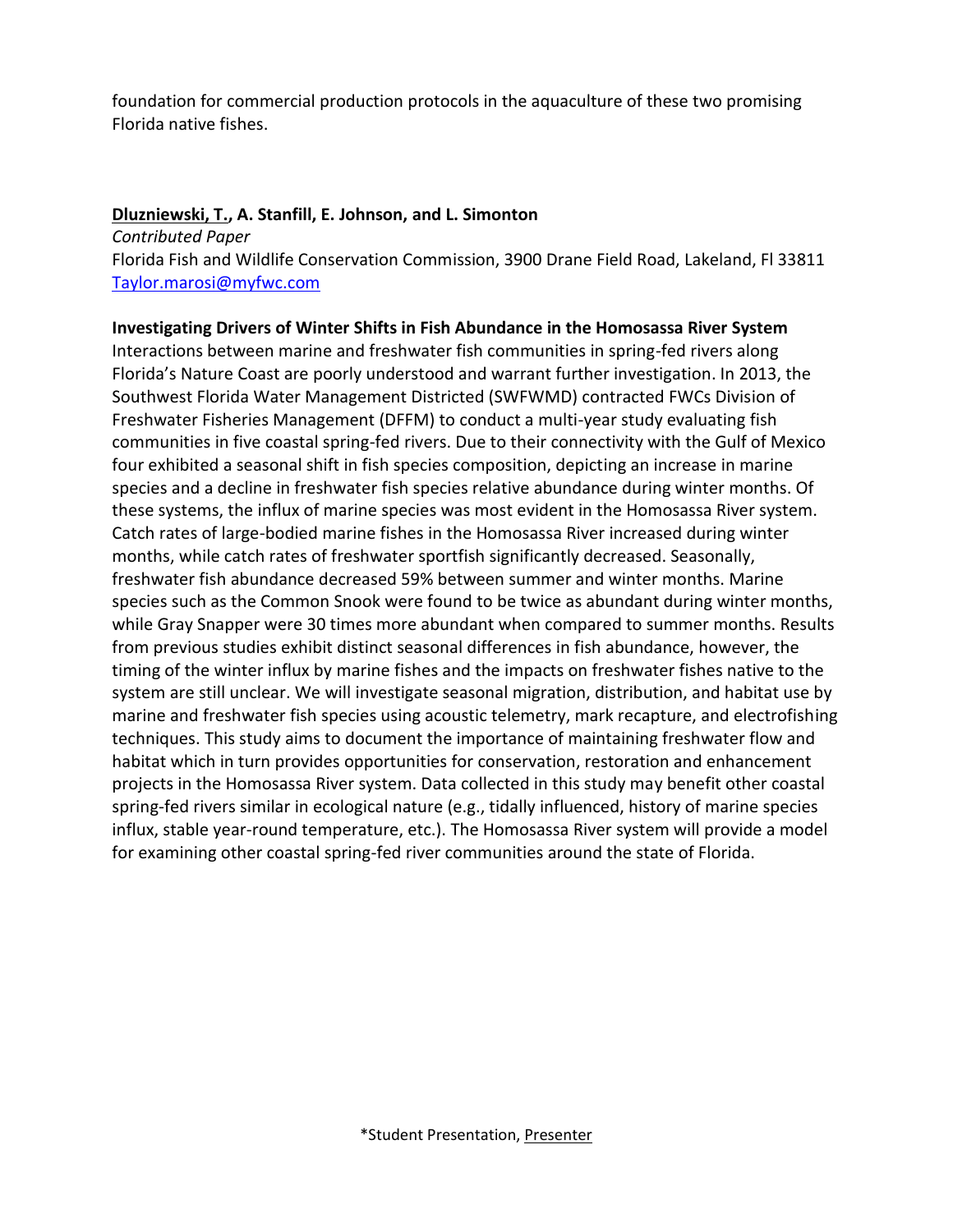foundation for commercial production protocols in the aquaculture of these two promising Florida native fishes.

#### **Dluzniewski, T., A. Stanfill, E. Johnson, and L. Simonton**

*Contributed Paper* Florida Fish and Wildlife Conservation Commission, 3900 Drane Field Road, Lakeland, Fl 33811 [Taylor.marosi@myfwc.com](mailto:Taylor.marosi@myfwc.com)

#### **Investigating Drivers of Winter Shifts in Fish Abundance in the Homosassa River System**

Interactions between marine and freshwater fish communities in spring-fed rivers along Florida's Nature Coast are poorly understood and warrant further investigation. In 2013, the Southwest Florida Water Management Districted (SWFWMD) contracted FWCs Division of Freshwater Fisheries Management (DFFM) to conduct a multi-year study evaluating fish communities in five coastal spring-fed rivers. Due to their connectivity with the Gulf of Mexico four exhibited a seasonal shift in fish species composition, depicting an increase in marine species and a decline in freshwater fish species relative abundance during winter months. Of these systems, the influx of marine species was most evident in the Homosassa River system. Catch rates of large-bodied marine fishes in the Homosassa River increased during winter months, while catch rates of freshwater sportfish significantly decreased. Seasonally, freshwater fish abundance decreased 59% between summer and winter months. Marine species such as the Common Snook were found to be twice as abundant during winter months, while Gray Snapper were 30 times more abundant when compared to summer months. Results from previous studies exhibit distinct seasonal differences in fish abundance, however, the timing of the winter influx by marine fishes and the impacts on freshwater fishes native to the system are still unclear. We will investigate seasonal migration, distribution, and habitat use by marine and freshwater fish species using acoustic telemetry, mark recapture, and electrofishing techniques. This study aims to document the importance of maintaining freshwater flow and habitat which in turn provides opportunities for conservation, restoration and enhancement projects in the Homosassa River system. Data collected in this study may benefit other coastal spring-fed rivers similar in ecological nature (e.g., tidally influenced, history of marine species influx, stable year-round temperature, etc.). The Homosassa River system will provide a model for examining other coastal spring-fed river communities around the state of Florida.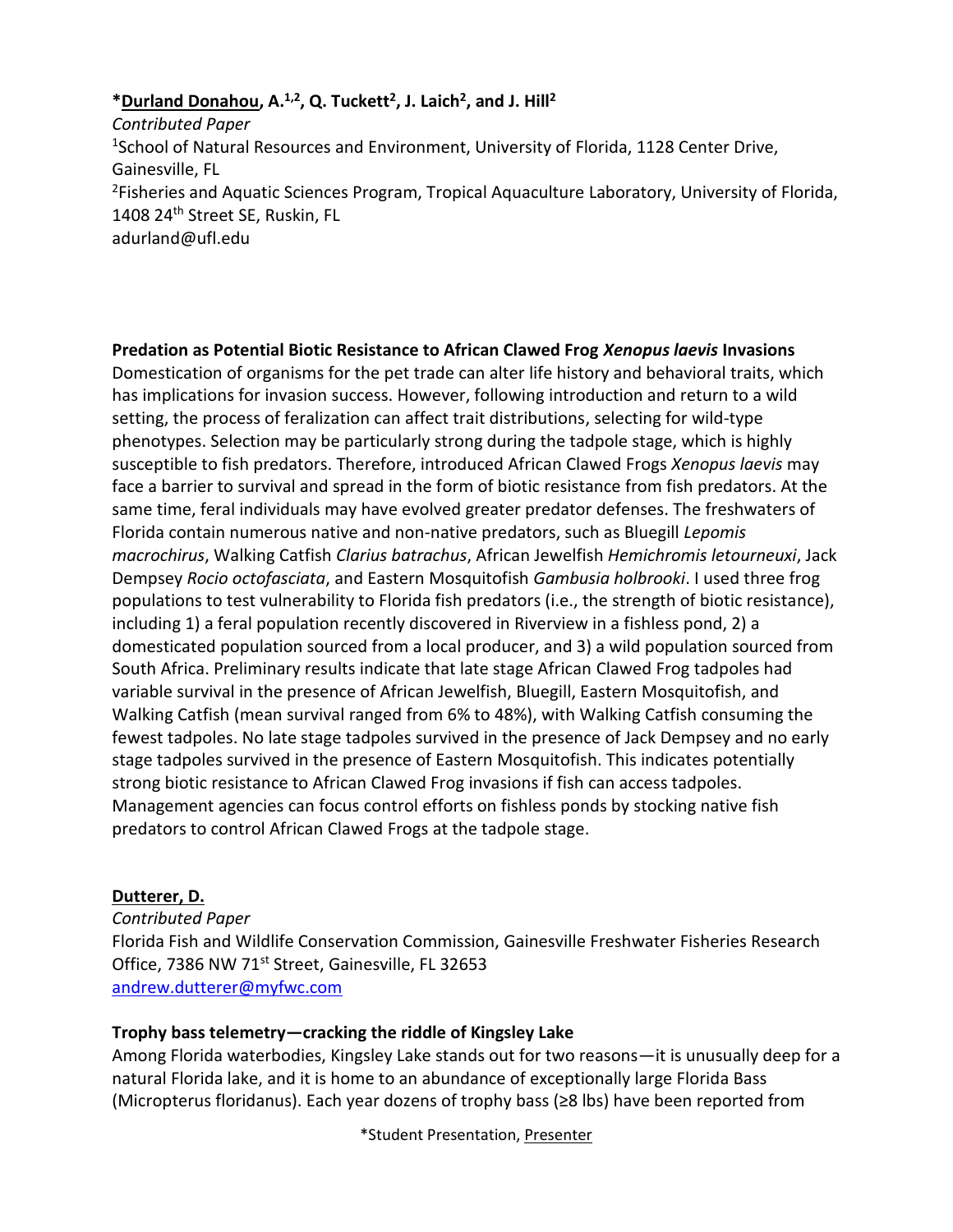#### **\*Durland Donahou, A.1,2, Q. Tuckett<sup>2</sup> , J. Laich<sup>2</sup> , and J. Hill<sup>2</sup>**

*Contributed Paper* <sup>1</sup>School of Natural Resources and Environment, University of Florida, 1128 Center Drive, Gainesville, FL <sup>2</sup>Fisheries and Aquatic Sciences Program, Tropical Aquaculture Laboratory, University of Florida, 1408 24<sup>th</sup> Street SE, Ruskin, FL adurland@ufl.edu

**Predation as Potential Biotic Resistance to African Clawed Frog** *Xenopus laevis* **Invasions** Domestication of organisms for the pet trade can alter life history and behavioral traits, which has implications for invasion success. However, following introduction and return to a wild setting, the process of feralization can affect trait distributions, selecting for wild-type phenotypes. Selection may be particularly strong during the tadpole stage, which is highly susceptible to fish predators. Therefore, introduced African Clawed Frogs *Xenopus laevis* may face a barrier to survival and spread in the form of biotic resistance from fish predators. At the same time, feral individuals may have evolved greater predator defenses. The freshwaters of Florida contain numerous native and non-native predators, such as Bluegill *Lepomis macrochirus*, Walking Catfish *Clarius batrachus*, African Jewelfish *Hemichromis letourneuxi*, Jack Dempsey *Rocio octofasciata*, and Eastern Mosquitofish *Gambusia holbrooki*. I used three frog populations to test vulnerability to Florida fish predators (i.e., the strength of biotic resistance), including 1) a feral population recently discovered in Riverview in a fishless pond, 2) a domesticated population sourced from a local producer, and 3) a wild population sourced from South Africa. Preliminary results indicate that late stage African Clawed Frog tadpoles had variable survival in the presence of African Jewelfish, Bluegill, Eastern Mosquitofish, and Walking Catfish (mean survival ranged from 6% to 48%), with Walking Catfish consuming the fewest tadpoles. No late stage tadpoles survived in the presence of Jack Dempsey and no early stage tadpoles survived in the presence of Eastern Mosquitofish. This indicates potentially strong biotic resistance to African Clawed Frog invasions if fish can access tadpoles. Management agencies can focus control efforts on fishless ponds by stocking native fish predators to control African Clawed Frogs at the tadpole stage.

#### **Dutterer, D.**

*Contributed Paper* Florida Fish and Wildlife Conservation Commission, Gainesville Freshwater Fisheries Research Office, 7386 NW 71<sup>st</sup> Street, Gainesville, FL 32653 [andrew.dutterer@myfwc.com](mailto:andrew.dutterer@myfwc.com)

#### **Trophy bass telemetry—cracking the riddle of Kingsley Lake**

Among Florida waterbodies, Kingsley Lake stands out for two reasons—it is unusually deep for a natural Florida lake, and it is home to an abundance of exceptionally large Florida Bass (Micropterus floridanus). Each year dozens of trophy bass (≥8 lbs) have been reported from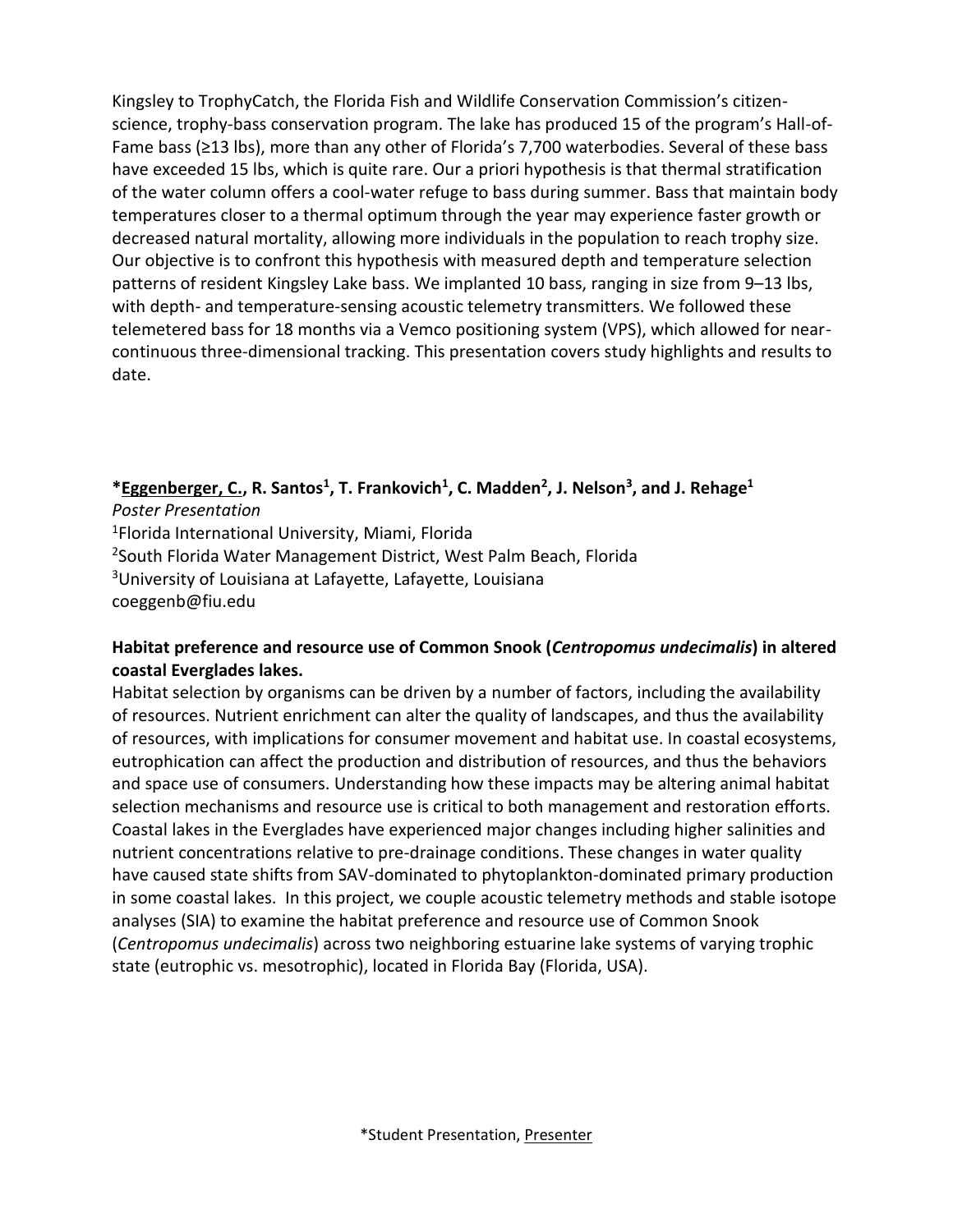Kingsley to TrophyCatch, the Florida Fish and Wildlife Conservation Commission's citizenscience, trophy-bass conservation program. The lake has produced 15 of the program's Hall-of-Fame bass (≥13 lbs), more than any other of Florida's 7,700 waterbodies. Several of these bass have exceeded 15 lbs, which is quite rare. Our a priori hypothesis is that thermal stratification of the water column offers a cool-water refuge to bass during summer. Bass that maintain body temperatures closer to a thermal optimum through the year may experience faster growth or decreased natural mortality, allowing more individuals in the population to reach trophy size. Our objective is to confront this hypothesis with measured depth and temperature selection patterns of resident Kingsley Lake bass. We implanted 10 bass, ranging in size from 9–13 lbs, with depth- and temperature-sensing acoustic telemetry transmitters. We followed these telemetered bass for 18 months via a Vemco positioning system (VPS), which allowed for nearcontinuous three-dimensional tracking. This presentation covers study highlights and results to date.

#### **\*Eggenberger, C., R. Santos<sup>1</sup> , T. Frankovich<sup>1</sup> , C. Madden<sup>2</sup> , J. Nelson<sup>3</sup> , and J. Rehage<sup>1</sup>**

*Poster Presentation* <sup>1</sup>Florida International University, Miami, Florida <sup>2</sup>South Florida Water Management District, West Palm Beach, Florida <sup>3</sup>University of Louisiana at Lafayette, Lafayette, Louisiana coeggenb@fiu.edu

#### **Habitat preference and resource use of Common Snook (***Centropomus undecimalis***) in altered coastal Everglades lakes.**

Habitat selection by organisms can be driven by a number of factors, including the availability of resources. Nutrient enrichment can alter the quality of landscapes, and thus the availability of resources, with implications for consumer movement and habitat use. In coastal ecosystems, eutrophication can affect the production and distribution of resources, and thus the behaviors and space use of consumers. Understanding how these impacts may be altering animal habitat selection mechanisms and resource use is critical to both management and restoration efforts. Coastal lakes in the Everglades have experienced major changes including higher salinities and nutrient concentrations relative to pre-drainage conditions. These changes in water quality have caused state shifts from SAV-dominated to phytoplankton-dominated primary production in some coastal lakes. In this project, we couple acoustic telemetry methods and stable isotope analyses (SIA) to examine the habitat preference and resource use of Common Snook (*Centropomus undecimalis*) across two neighboring estuarine lake systems of varying trophic state (eutrophic vs. mesotrophic), located in Florida Bay (Florida, USA).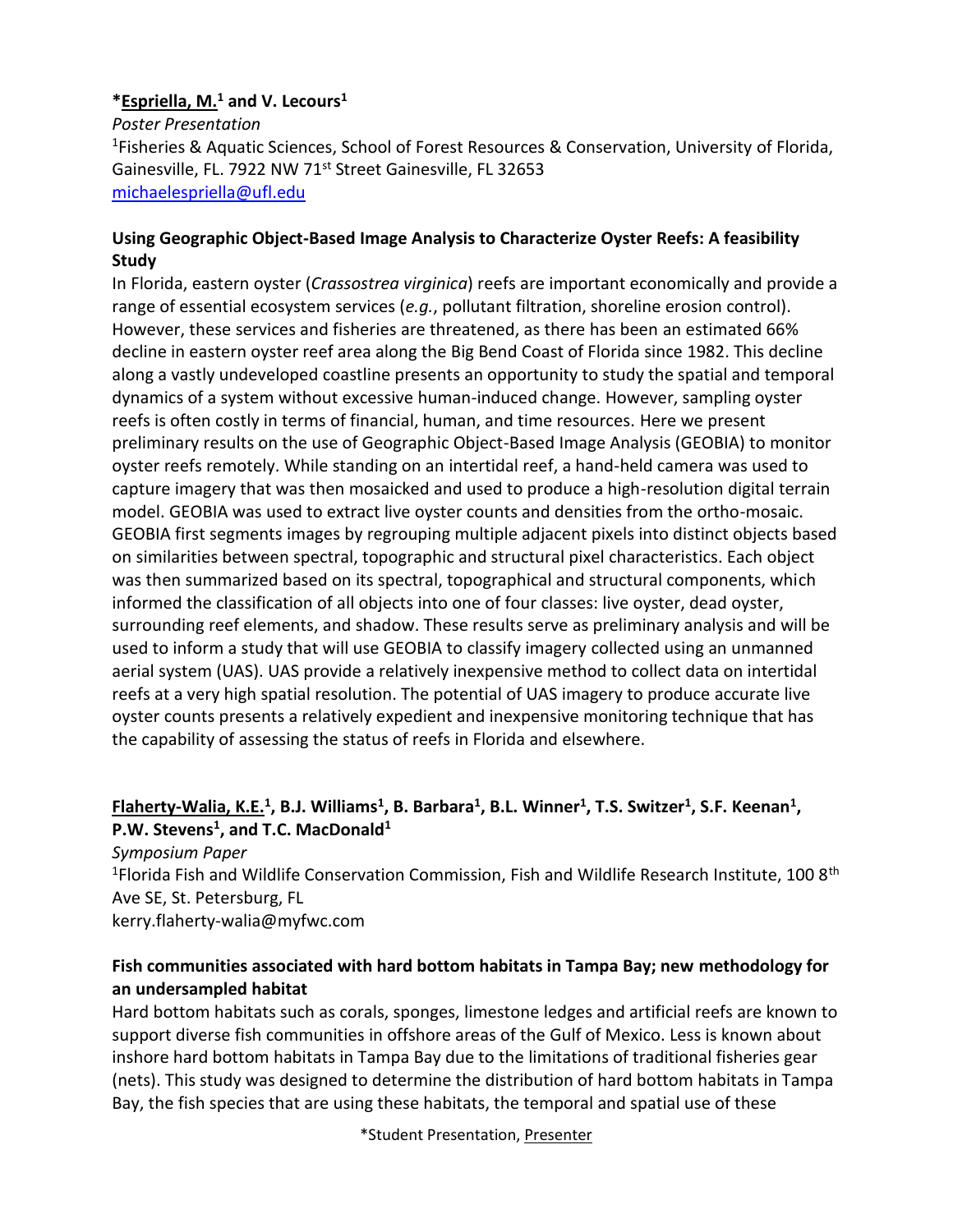#### **\*Espriella, M.<sup>1</sup> and V. Lecours<sup>1</sup>**

*Poster Presentation* <sup>1</sup>Fisheries & Aquatic Sciences, School of Forest Resources & Conservation, University of Florida, Gainesville, FL. 7922 NW 71<sup>st</sup> Street Gainesville, FL 32653 [michaelespriella@ufl.edu](mailto:michaelespriella@ufl.edu)

#### **Using Geographic Object-Based Image Analysis to Characterize Oyster Reefs: A feasibility Study**

In Florida, eastern oyster (*Crassostrea virginica*) reefs are important economically and provide a range of essential ecosystem services (*e.g.*, pollutant filtration, shoreline erosion control). However, these services and fisheries are threatened, as there has been an estimated 66% decline in eastern oyster reef area along the Big Bend Coast of Florida since 1982. This decline along a vastly undeveloped coastline presents an opportunity to study the spatial and temporal dynamics of a system without excessive human-induced change. However, sampling oyster reefs is often costly in terms of financial, human, and time resources. Here we present preliminary results on the use of Geographic Object-Based Image Analysis (GEOBIA) to monitor oyster reefs remotely. While standing on an intertidal reef, a hand-held camera was used to capture imagery that was then mosaicked and used to produce a high-resolution digital terrain model. GEOBIA was used to extract live oyster counts and densities from the ortho-mosaic. GEOBIA first segments images by regrouping multiple adjacent pixels into distinct objects based on similarities between spectral, topographic and structural pixel characteristics. Each object was then summarized based on its spectral, topographical and structural components, which informed the classification of all objects into one of four classes: live oyster, dead oyster, surrounding reef elements, and shadow. These results serve as preliminary analysis and will be used to inform a study that will use GEOBIA to classify imagery collected using an unmanned aerial system (UAS). UAS provide a relatively inexpensive method to collect data on intertidal reefs at a very high spatial resolution. The potential of UAS imagery to produce accurate live oyster counts presents a relatively expedient and inexpensive monitoring technique that has the capability of assessing the status of reefs in Florida and elsewhere.

#### **Flaherty-Walia, K.E.<sup>1</sup> , B.J. Williams<sup>1</sup> , B. Barbara<sup>1</sup> , B.L. Winner<sup>1</sup> , T.S. Switzer<sup>1</sup> , S.F. Keenan<sup>1</sup> , P.W. Stevens<sup>1</sup> , and T.C. MacDonald<sup>1</sup>**

*Symposium Paper*

<sup>1</sup>Florida Fish and Wildlife Conservation Commission, Fish and Wildlife Research Institute, 100 8<sup>th</sup> Ave SE, St. Petersburg, FL

kerry.flaherty-walia@myfwc.com

#### **Fish communities associated with hard bottom habitats in Tampa Bay; new methodology for an undersampled habitat**

Hard bottom habitats such as corals, sponges, limestone ledges and artificial reefs are known to support diverse fish communities in offshore areas of the Gulf of Mexico. Less is known about inshore hard bottom habitats in Tampa Bay due to the limitations of traditional fisheries gear (nets). This study was designed to determine the distribution of hard bottom habitats in Tampa Bay, the fish species that are using these habitats, the temporal and spatial use of these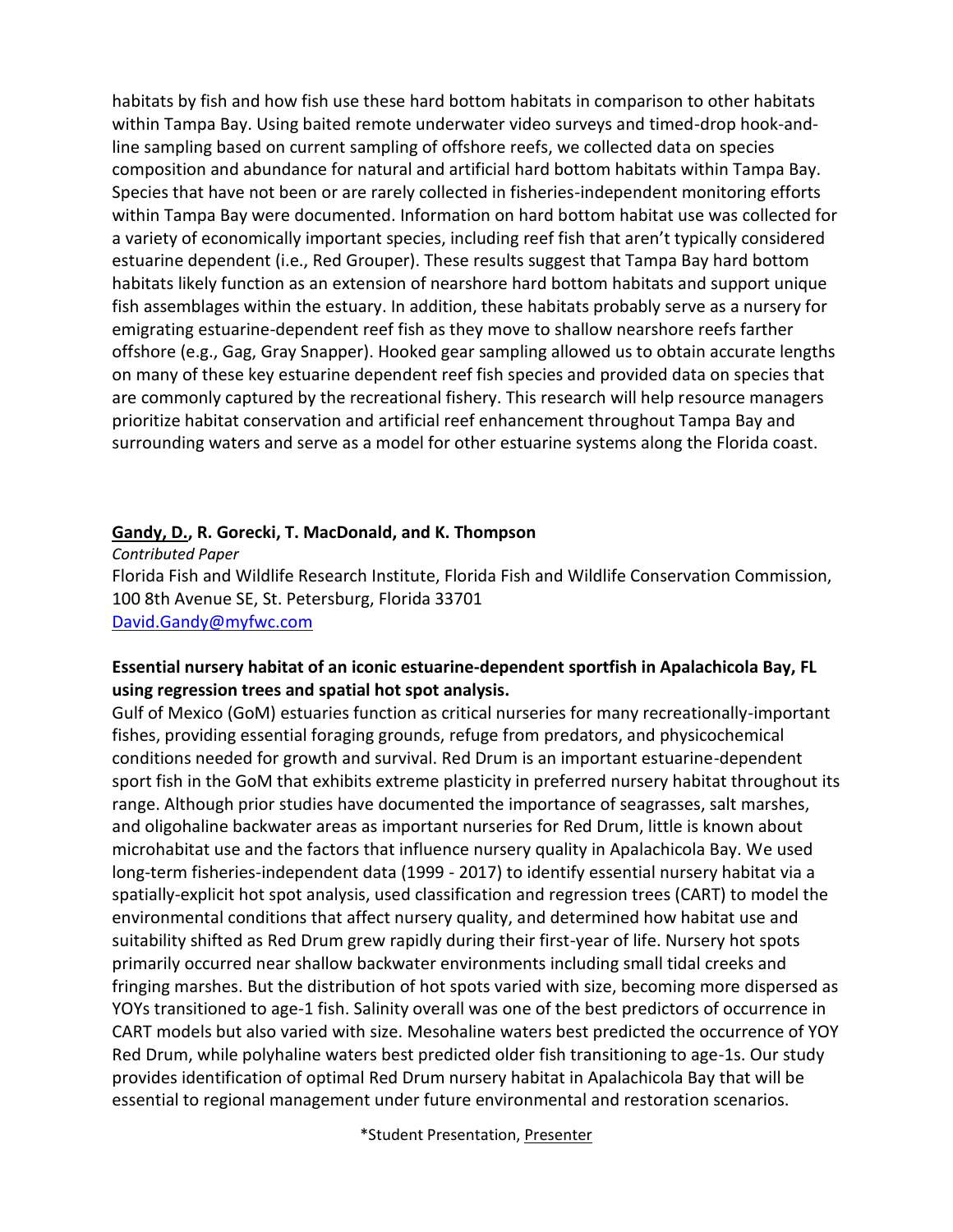habitats by fish and how fish use these hard bottom habitats in comparison to other habitats within Tampa Bay. Using baited remote underwater video surveys and timed-drop hook-andline sampling based on current sampling of offshore reefs, we collected data on species composition and abundance for natural and artificial hard bottom habitats within Tampa Bay. Species that have not been or are rarely collected in fisheries-independent monitoring efforts within Tampa Bay were documented. Information on hard bottom habitat use was collected for a variety of economically important species, including reef fish that aren't typically considered estuarine dependent (i.e., Red Grouper). These results suggest that Tampa Bay hard bottom habitats likely function as an extension of nearshore hard bottom habitats and support unique fish assemblages within the estuary. In addition, these habitats probably serve as a nursery for emigrating estuarine-dependent reef fish as they move to shallow nearshore reefs farther offshore (e.g., Gag, Gray Snapper). Hooked gear sampling allowed us to obtain accurate lengths on many of these key estuarine dependent reef fish species and provided data on species that are commonly captured by the recreational fishery. This research will help resource managers prioritize habitat conservation and artificial reef enhancement throughout Tampa Bay and surrounding waters and serve as a model for other estuarine systems along the Florida coast.

#### **Gandy, D., R. Gorecki, T. MacDonald, and K. Thompson**

*Contributed Paper* Florida Fish and Wildlife Research Institute, Florida Fish and Wildlife Conservation Commission, 100 8th Avenue SE, St. Petersburg, Florida 33701 [David.Gandy@myfwc.com](mailto:David.Gandy@myfwc.com)

#### **Essential nursery habitat of an iconic estuarine-dependent sportfish in Apalachicola Bay, FL using regression trees and spatial hot spot analysis.**

Gulf of Mexico (GoM) estuaries function as critical nurseries for many recreationally-important fishes, providing essential foraging grounds, refuge from predators, and physicochemical conditions needed for growth and survival. Red Drum is an important estuarine-dependent sport fish in the GoM that exhibits extreme plasticity in preferred nursery habitat throughout its range. Although prior studies have documented the importance of seagrasses, salt marshes, and oligohaline backwater areas as important nurseries for Red Drum, little is known about microhabitat use and the factors that influence nursery quality in Apalachicola Bay. We used long-term fisheries-independent data (1999 - 2017) to identify essential nursery habitat via a spatially-explicit hot spot analysis, used classification and regression trees (CART) to model the environmental conditions that affect nursery quality, and determined how habitat use and suitability shifted as Red Drum grew rapidly during their first-year of life. Nursery hot spots primarily occurred near shallow backwater environments including small tidal creeks and fringing marshes. But the distribution of hot spots varied with size, becoming more dispersed as YOYs transitioned to age-1 fish. Salinity overall was one of the best predictors of occurrence in CART models but also varied with size. Mesohaline waters best predicted the occurrence of YOY Red Drum, while polyhaline waters best predicted older fish transitioning to age-1s. Our study provides identification of optimal Red Drum nursery habitat in Apalachicola Bay that will be essential to regional management under future environmental and restoration scenarios.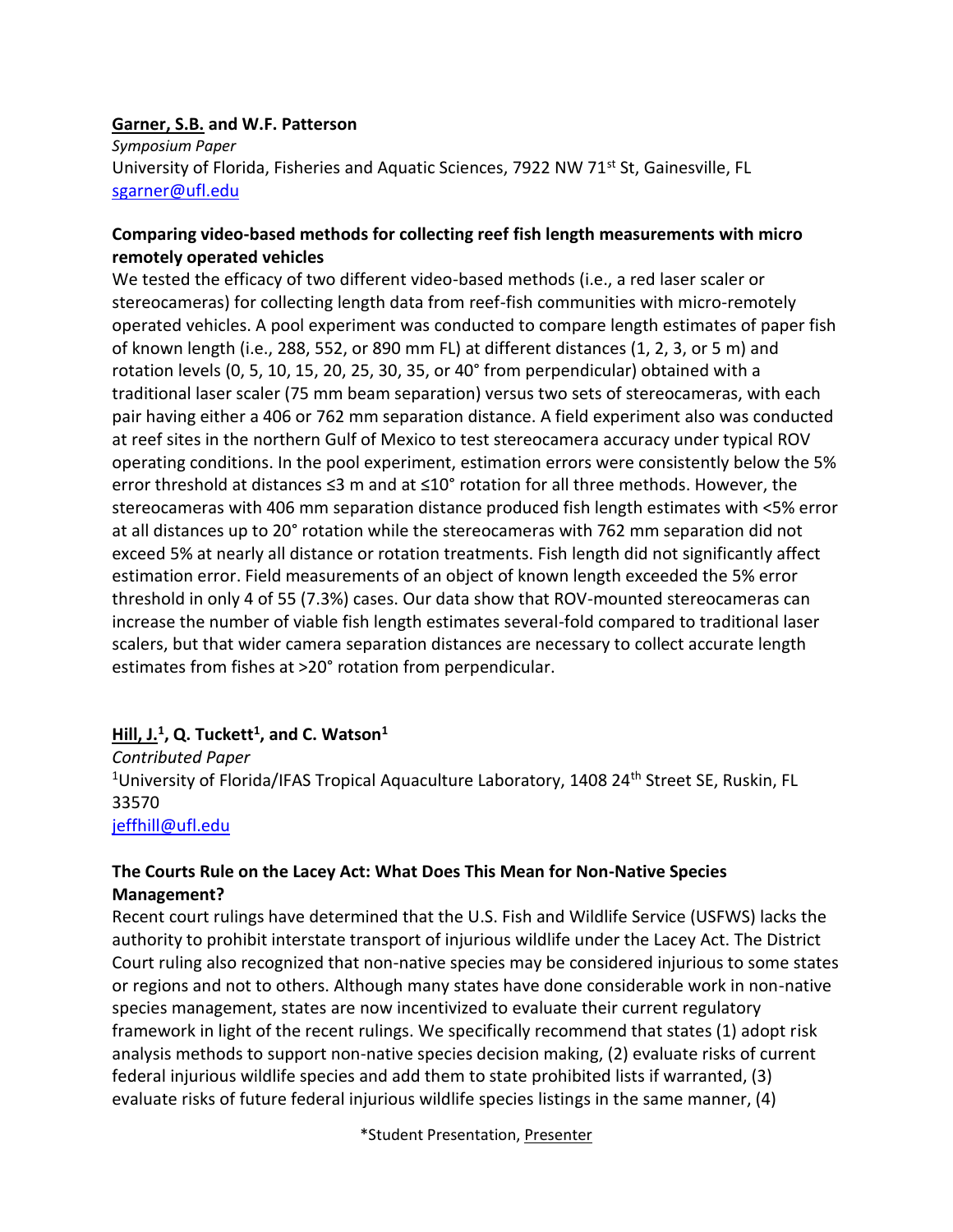#### **Garner, S.B. and W.F. Patterson**

*Symposium Paper* University of Florida, Fisheries and Aquatic Sciences, 7922 NW 71 $^{st}$  St, Gainesville, FL [sgarner@ufl.edu](mailto:sgarner@ufl.edu)

#### **Comparing video-based methods for collecting reef fish length measurements with micro remotely operated vehicles**

We tested the efficacy of two different video-based methods (i.e., a red laser scaler or stereocameras) for collecting length data from reef-fish communities with micro-remotely operated vehicles. A pool experiment was conducted to compare length estimates of paper fish of known length (i.e., 288, 552, or 890 mm FL) at different distances (1, 2, 3, or 5 m) and rotation levels (0, 5, 10, 15, 20, 25, 30, 35, or 40° from perpendicular) obtained with a traditional laser scaler (75 mm beam separation) versus two sets of stereocameras, with each pair having either a 406 or 762 mm separation distance. A field experiment also was conducted at reef sites in the northern Gulf of Mexico to test stereocamera accuracy under typical ROV operating conditions. In the pool experiment, estimation errors were consistently below the 5% error threshold at distances ≤3 m and at ≤10° rotation for all three methods. However, the stereocameras with 406 mm separation distance produced fish length estimates with <5% error at all distances up to 20° rotation while the stereocameras with 762 mm separation did not exceed 5% at nearly all distance or rotation treatments. Fish length did not significantly affect estimation error. Field measurements of an object of known length exceeded the 5% error threshold in only 4 of 55 (7.3%) cases. Our data show that ROV-mounted stereocameras can increase the number of viable fish length estimates several-fold compared to traditional laser scalers, but that wider camera separation distances are necessary to collect accurate length estimates from fishes at >20° rotation from perpendicular.

#### **Hill, J.<sup>1</sup> , Q. Tuckett<sup>1</sup> , and C. Watson<sup>1</sup>**

*Contributed Paper* <sup>1</sup>University of Florida/IFAS Tropical Aquaculture Laboratory, 1408 24<sup>th</sup> Street SE, Ruskin, FL 33570 [jeffhill@ufl.edu](mailto:jeffhill@ufl.edu)

#### **The Courts Rule on the Lacey Act: What Does This Mean for Non-Native Species Management?**

Recent court rulings have determined that the U.S. Fish and Wildlife Service (USFWS) lacks the authority to prohibit interstate transport of injurious wildlife under the Lacey Act. The District Court ruling also recognized that non-native species may be considered injurious to some states or regions and not to others. Although many states have done considerable work in non-native species management, states are now incentivized to evaluate their current regulatory framework in light of the recent rulings. We specifically recommend that states (1) adopt risk analysis methods to support non-native species decision making, (2) evaluate risks of current federal injurious wildlife species and add them to state prohibited lists if warranted, (3) evaluate risks of future federal injurious wildlife species listings in the same manner, (4)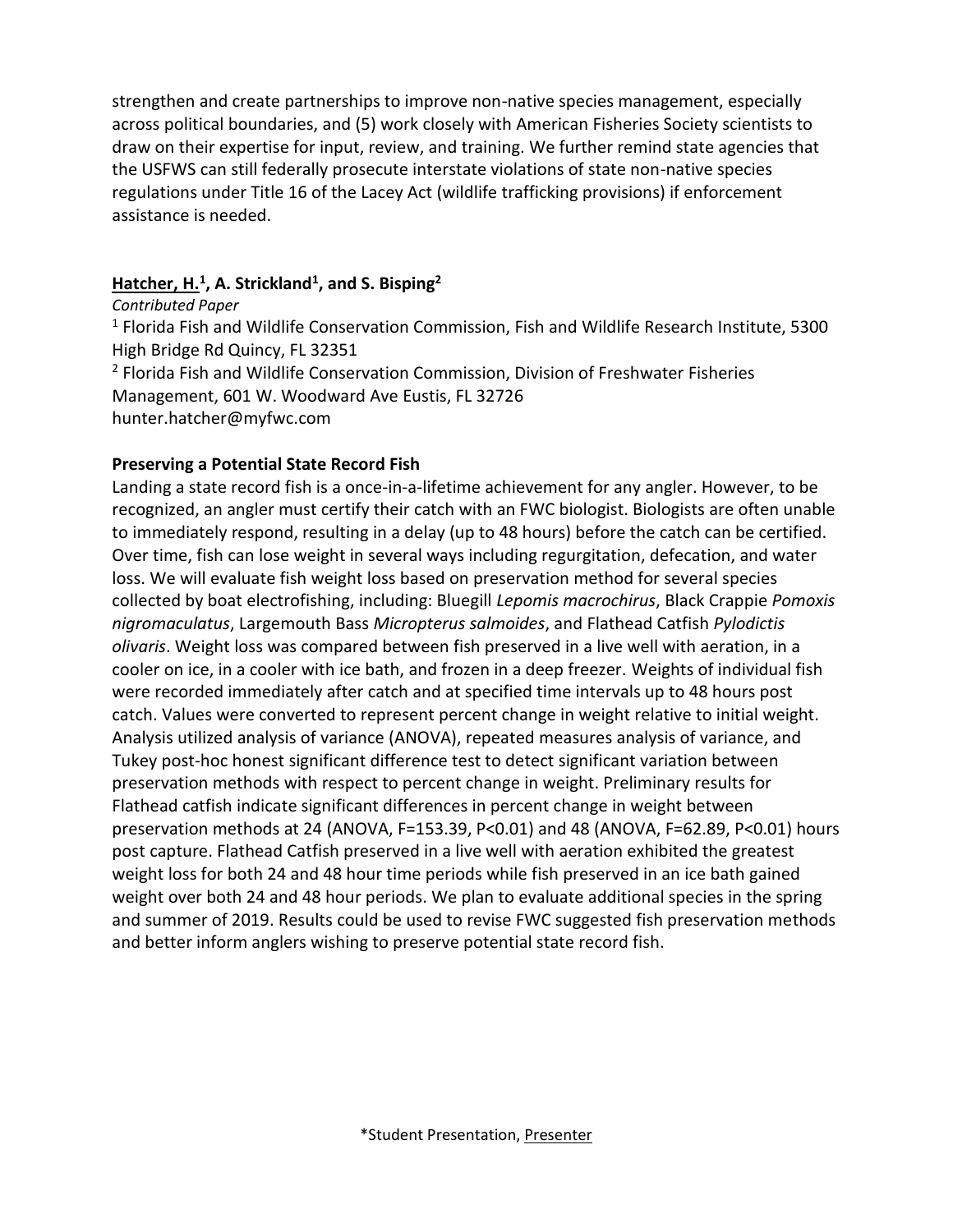strengthen and create partnerships to improve non-native species management, especially across political boundaries, and (5) work closely with American Fisheries Society scientists to draw on their expertise for input, review, and training. We further remind state agencies that the USFWS can still federally prosecute interstate violations of state non-native species regulations under Title 16 of the Lacey Act (wildlife trafficking provisions) if enforcement assistance is needed.

#### **Hatcher, H.<sup>1</sup> , A. Strickland<sup>1</sup> , and S. Bisping<sup>2</sup>**

*Contributed Paper* <sup>1</sup> Florida Fish and Wildlife Conservation Commission, Fish and Wildlife Research Institute, 5300 High Bridge Rd Quincy, FL 32351 <sup>2</sup> Florida Fish and Wildlife Conservation Commission, Division of Freshwater Fisheries Management, 601 W. Woodward Ave Eustis, FL 32726 hunter.hatcher@myfwc.com

#### **Preserving a Potential State Record Fish**

Landing a state record fish is a once-in-a-lifetime achievement for any angler. However, to be recognized, an angler must certify their catch with an FWC biologist. Biologists are often unable to immediately respond, resulting in a delay (up to 48 hours) before the catch can be certified. Over time, fish can lose weight in several ways including regurgitation, defecation, and water loss. We will evaluate fish weight loss based on preservation method for several species collected by boat electrofishing, including: Bluegill *Lepomis macrochirus*, Black Crappie *Pomoxis nigromaculatus*, Largemouth Bass *Micropterus salmoides*, and Flathead Catfish *Pylodictis olivaris*. Weight loss was compared between fish preserved in a live well with aeration, in a cooler on ice, in a cooler with ice bath, and frozen in a deep freezer. Weights of individual fish were recorded immediately after catch and at specified time intervals up to 48 hours post catch. Values were converted to represent percent change in weight relative to initial weight. Analysis utilized analysis of variance (ANOVA), repeated measures analysis of variance, and Tukey post-hoc honest significant difference test to detect significant variation between preservation methods with respect to percent change in weight. Preliminary results for Flathead catfish indicate significant differences in percent change in weight between preservation methods at 24 (ANOVA, F=153.39, P<0.01) and 48 (ANOVA, F=62.89, P<0.01) hours post capture. Flathead Catfish preserved in a live well with aeration exhibited the greatest weight loss for both 24 and 48 hour time periods while fish preserved in an ice bath gained weight over both 24 and 48 hour periods. We plan to evaluate additional species in the spring and summer of 2019. Results could be used to revise FWC suggested fish preservation methods and better inform anglers wishing to preserve potential state record fish.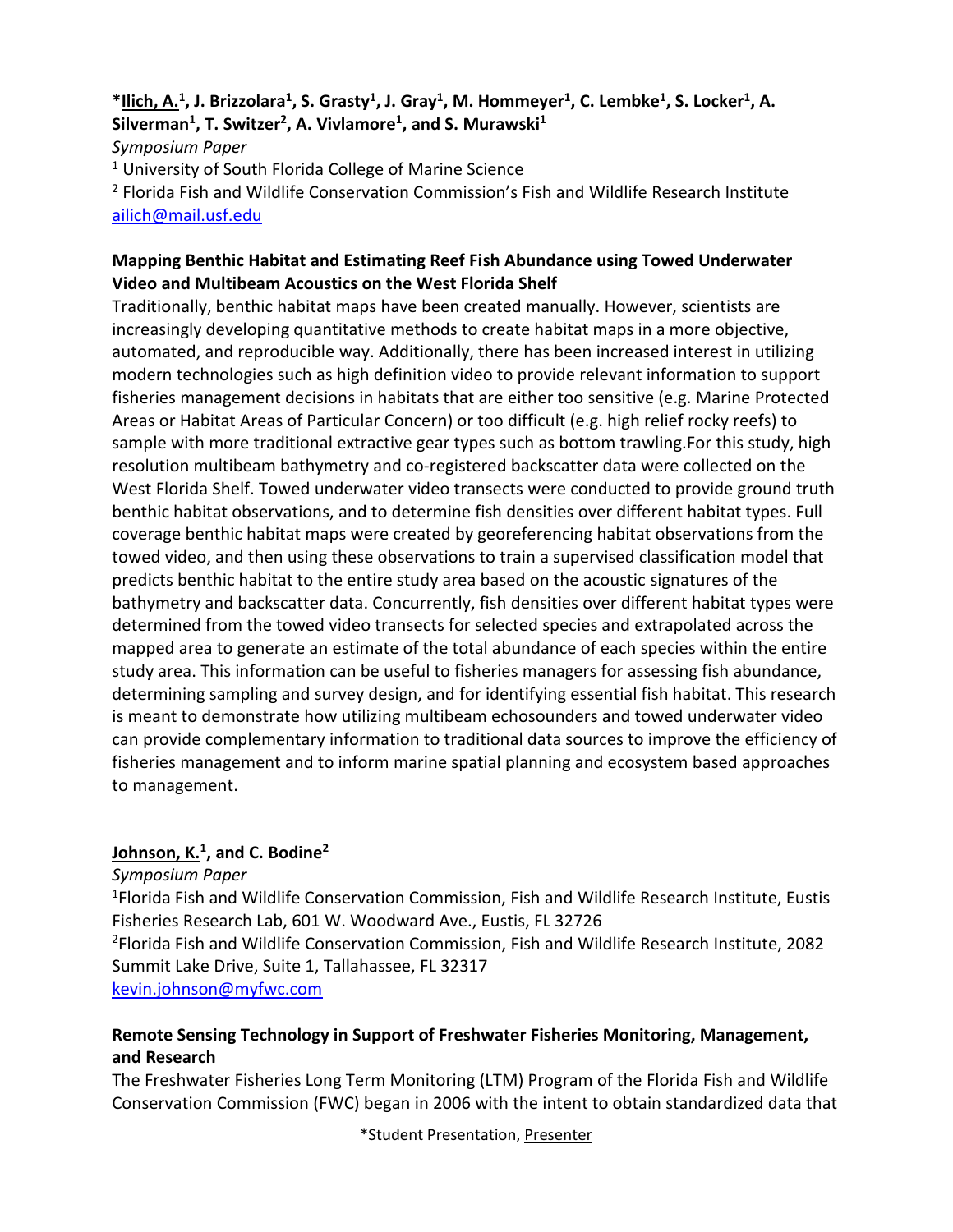#### **\*Ilich, A.<sup>1</sup> , J. Brizzolara<sup>1</sup> , S. Grasty<sup>1</sup> , J. Gray<sup>1</sup> , M. Hommeyer<sup>1</sup> , C. Lembke<sup>1</sup> , S. Locker<sup>1</sup> , A. Silverman<sup>1</sup> , T. Switzer<sup>2</sup> , A. Vivlamore<sup>1</sup> , and S. Murawski<sup>1</sup>** *Symposium Paper* <sup>1</sup> University of South Florida College of Marine Science

<sup>2</sup> Florida Fish and Wildlife Conservation Commission's Fish and Wildlife Research Institute [ailich@mail.usf.edu](mailto:ailich@mail.usf.edu)

#### **Mapping Benthic Habitat and Estimating Reef Fish Abundance using Towed Underwater Video and Multibeam Acoustics on the West Florida Shelf**

Traditionally, benthic habitat maps have been created manually. However, scientists are increasingly developing quantitative methods to create habitat maps in a more objective, automated, and reproducible way. Additionally, there has been increased interest in utilizing modern technologies such as high definition video to provide relevant information to support fisheries management decisions in habitats that are either too sensitive (e.g. Marine Protected Areas or Habitat Areas of Particular Concern) or too difficult (e.g. high relief rocky reefs) to sample with more traditional extractive gear types such as bottom trawling.For this study, high resolution multibeam bathymetry and co-registered backscatter data were collected on the West Florida Shelf. Towed underwater video transects were conducted to provide ground truth benthic habitat observations, and to determine fish densities over different habitat types. Full coverage benthic habitat maps were created by georeferencing habitat observations from the towed video, and then using these observations to train a supervised classification model that predicts benthic habitat to the entire study area based on the acoustic signatures of the bathymetry and backscatter data. Concurrently, fish densities over different habitat types were determined from the towed video transects for selected species and extrapolated across the mapped area to generate an estimate of the total abundance of each species within the entire study area. This information can be useful to fisheries managers for assessing fish abundance, determining sampling and survey design, and for identifying essential fish habitat. This research is meant to demonstrate how utilizing multibeam echosounders and towed underwater video can provide complementary information to traditional data sources to improve the efficiency of fisheries management and to inform marine spatial planning and ecosystem based approaches to management.

#### **Johnson, K.<sup>1</sup> , and C. Bodine<sup>2</sup>**

*Symposium Paper*

<sup>1</sup> Florida Fish and Wildlife Conservation Commission, Fish and Wildlife Research Institute, Eustis Fisheries Research Lab, 601 W. Woodward Ave., Eustis, FL 32726

<sup>2</sup>Florida Fish and Wildlife Conservation Commission, Fish and Wildlife Research Institute, 2082 Summit Lake Drive, Suite 1, Tallahassee, FL 32317

[kevin.johnson@myfwc.com](mailto:kevin.johnson@myfwc.com)

#### **Remote Sensing Technology in Support of Freshwater Fisheries Monitoring, Management, and Research**

The Freshwater Fisheries Long Term Monitoring (LTM) Program of the Florida Fish and Wildlife Conservation Commission (FWC) began in 2006 with the intent to obtain standardized data that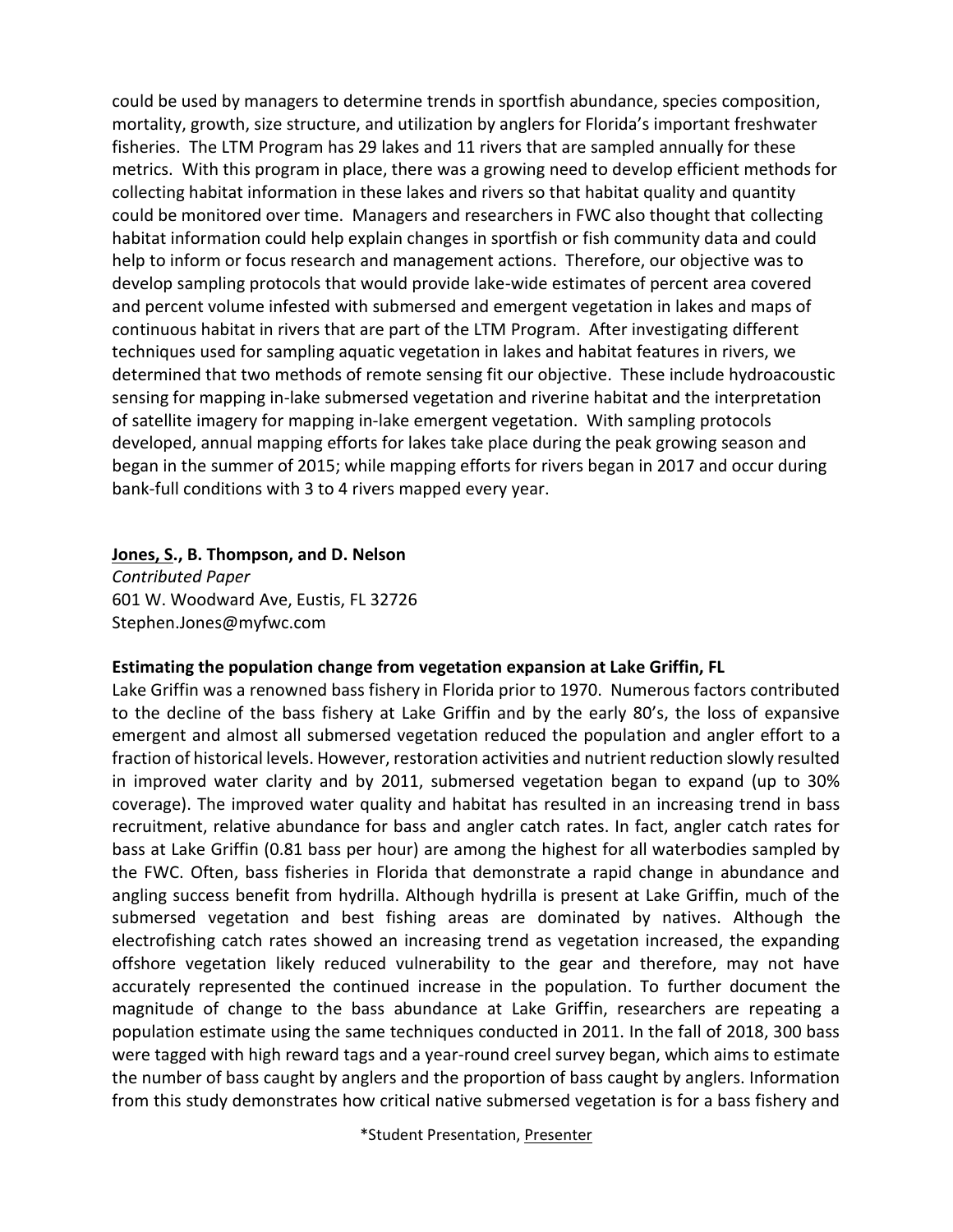could be used by managers to determine trends in sportfish abundance, species composition, mortality, growth, size structure, and utilization by anglers for Florida's important freshwater fisheries. The LTM Program has 29 lakes and 11 rivers that are sampled annually for these metrics. With this program in place, there was a growing need to develop efficient methods for collecting habitat information in these lakes and rivers so that habitat quality and quantity could be monitored over time. Managers and researchers in FWC also thought that collecting habitat information could help explain changes in sportfish or fish community data and could help to inform or focus research and management actions. Therefore, our objective was to develop sampling protocols that would provide lake-wide estimates of percent area covered and percent volume infested with submersed and emergent vegetation in lakes and maps of continuous habitat in rivers that are part of the LTM Program. After investigating different techniques used for sampling aquatic vegetation in lakes and habitat features in rivers, we determined that two methods of remote sensing fit our objective. These include hydroacoustic sensing for mapping in-lake submersed vegetation and riverine habitat and the interpretation of satellite imagery for mapping in-lake emergent vegetation. With sampling protocols developed, annual mapping efforts for lakes take place during the peak growing season and began in the summer of 2015; while mapping efforts for rivers began in 2017 and occur during bank-full conditions with 3 to 4 rivers mapped every year.

**Jones, S., B. Thompson, and D. Nelson** 

*Contributed Paper* 601 W. Woodward Ave, Eustis, FL 32726 Stephen.Jones@myfwc.com

#### **Estimating the population change from vegetation expansion at Lake Griffin, FL**

Lake Griffin was a renowned bass fishery in Florida prior to 1970. Numerous factors contributed to the decline of the bass fishery at Lake Griffin and by the early 80's, the loss of expansive emergent and almost all submersed vegetation reduced the population and angler effort to a fraction of historical levels. However, restoration activities and nutrient reduction slowly resulted in improved water clarity and by 2011, submersed vegetation began to expand (up to 30% coverage). The improved water quality and habitat has resulted in an increasing trend in bass recruitment, relative abundance for bass and angler catch rates. In fact, angler catch rates for bass at Lake Griffin (0.81 bass per hour) are among the highest for all waterbodies sampled by the FWC. Often, bass fisheries in Florida that demonstrate a rapid change in abundance and angling success benefit from hydrilla. Although hydrilla is present at Lake Griffin, much of the submersed vegetation and best fishing areas are dominated by natives. Although the electrofishing catch rates showed an increasing trend as vegetation increased, the expanding offshore vegetation likely reduced vulnerability to the gear and therefore, may not have accurately represented the continued increase in the population. To further document the magnitude of change to the bass abundance at Lake Griffin, researchers are repeating a population estimate using the same techniques conducted in 2011. In the fall of 2018, 300 bass were tagged with high reward tags and a year-round creel survey began, which aims to estimate the number of bass caught by anglers and the proportion of bass caught by anglers. Information from this study demonstrates how critical native submersed vegetation is for a bass fishery and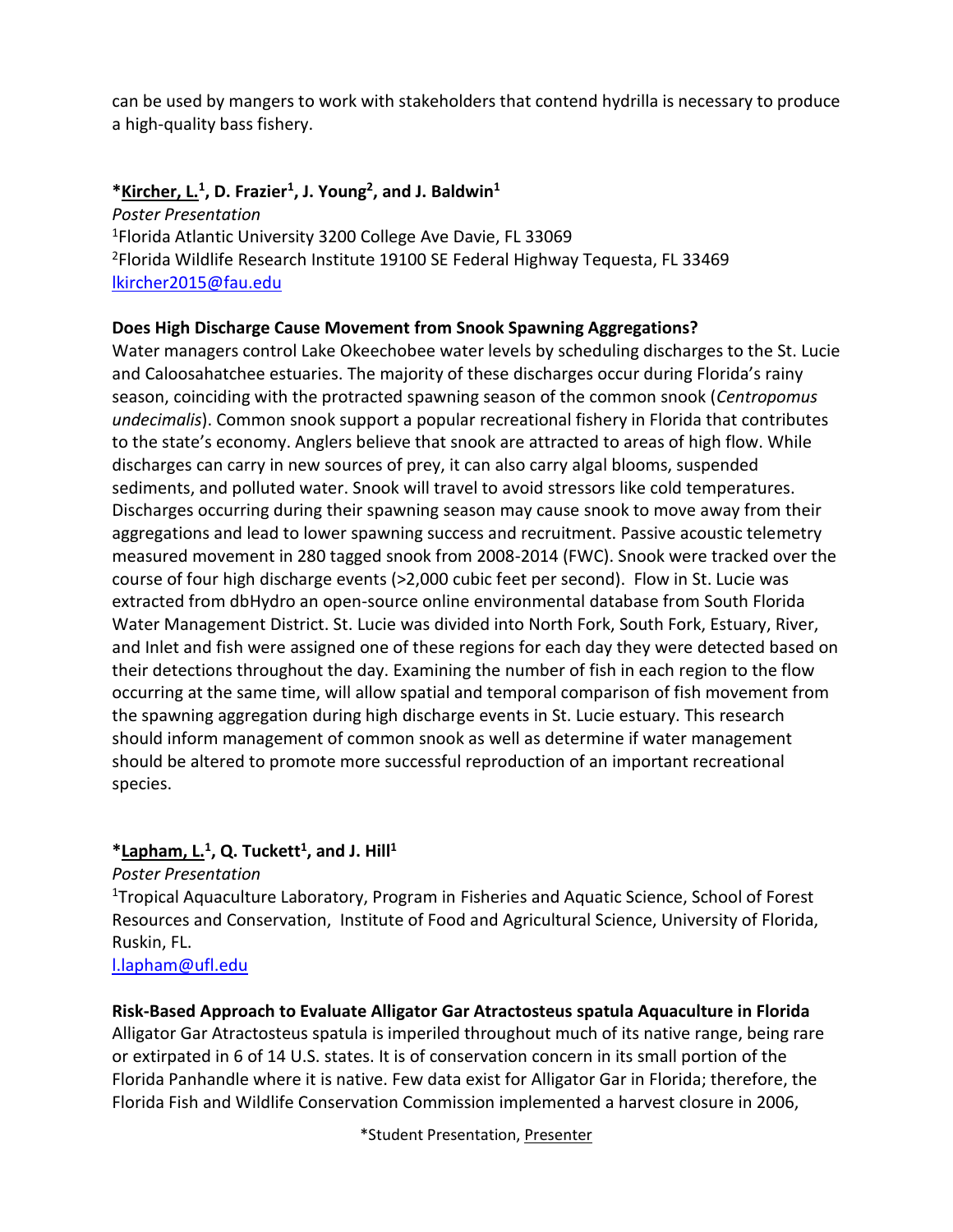can be used by mangers to work with stakeholders that contend hydrilla is necessary to produce a high-quality bass fishery.

#### **\*Kircher, L.<sup>1</sup> , D. Frazier<sup>1</sup> , J. Young<sup>2</sup> , and J. Baldwin<sup>1</sup>**

*Poster Presentation* <sup>1</sup>Florida Atlantic University 3200 College Ave Davie, FL 33069 <sup>2</sup>Florida Wildlife Research Institute 19100 SE Federal Highway Tequesta, FL 33469 [lkircher2015@fau.edu](mailto:lkircher2015@fau.edu)

#### **Does High Discharge Cause Movement from Snook Spawning Aggregations?**

Water managers control Lake Okeechobee water levels by scheduling discharges to the St. Lucie and Caloosahatchee estuaries. The majority of these discharges occur during Florida's rainy season, coinciding with the protracted spawning season of the common snook (*Centropomus undecimalis*). Common snook support a popular recreational fishery in Florida that contributes to the state's economy. Anglers believe that snook are attracted to areas of high flow. While discharges can carry in new sources of prey, it can also carry algal blooms, suspended sediments, and polluted water. Snook will travel to avoid stressors like cold temperatures. Discharges occurring during their spawning season may cause snook to move away from their aggregations and lead to lower spawning success and recruitment. Passive acoustic telemetry measured movement in 280 tagged snook from 2008-2014 (FWC). Snook were tracked over the course of four high discharge events (>2,000 cubic feet per second). Flow in St. Lucie was extracted from dbHydro an open-source online environmental database from South Florida Water Management District. St. Lucie was divided into North Fork, South Fork, Estuary, River, and Inlet and fish were assigned one of these regions for each day they were detected based on their detections throughout the day. Examining the number of fish in each region to the flow occurring at the same time, will allow spatial and temporal comparison of fish movement from the spawning aggregation during high discharge events in St. Lucie estuary. This research should inform management of common snook as well as determine if water management should be altered to promote more successful reproduction of an important recreational species.

#### **\*Lapham, L.<sup>1</sup> , Q. Tuckett<sup>1</sup> , and J. Hill<sup>1</sup>**

*Poster Presentation*

<sup>1</sup>Tropical Aquaculture Laboratory, Program in Fisheries and Aquatic Science, School of Forest Resources and Conservation, Institute of Food and Agricultural Science, University of Florida, Ruskin, FL.

[l.lapham@ufl.edu](mailto:l.lapham@ufl.edu)

**Risk-Based Approach to Evaluate Alligator Gar Atractosteus spatula Aquaculture in Florida**

Alligator Gar Atractosteus spatula is imperiled throughout much of its native range, being rare or extirpated in 6 of 14 U.S. states. It is of conservation concern in its small portion of the Florida Panhandle where it is native. Few data exist for Alligator Gar in Florida; therefore, the Florida Fish and Wildlife Conservation Commission implemented a harvest closure in 2006,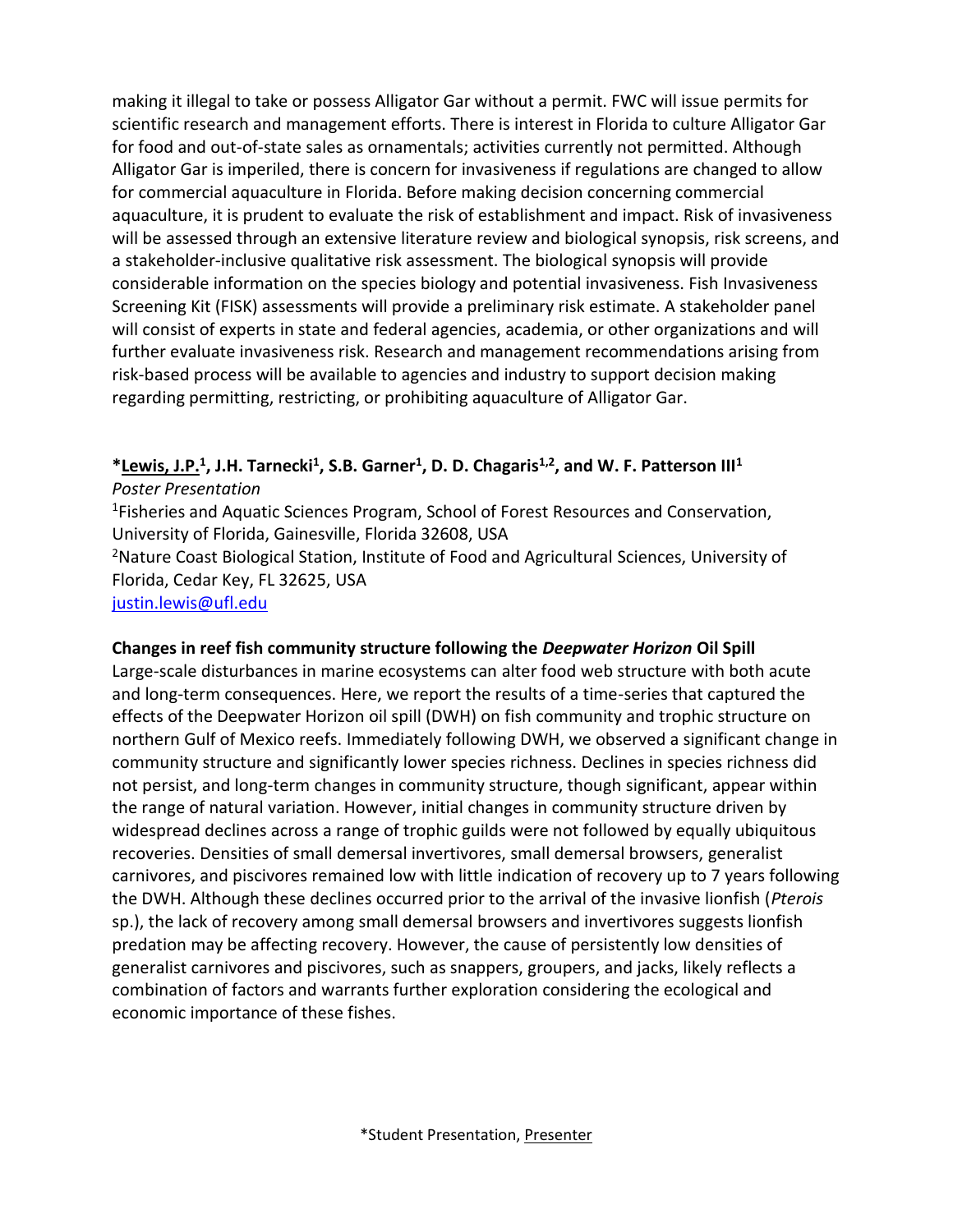making it illegal to take or possess Alligator Gar without a permit. FWC will issue permits for scientific research and management efforts. There is interest in Florida to culture Alligator Gar for food and out-of-state sales as ornamentals; activities currently not permitted. Although Alligator Gar is imperiled, there is concern for invasiveness if regulations are changed to allow for commercial aquaculture in Florida. Before making decision concerning commercial aquaculture, it is prudent to evaluate the risk of establishment and impact. Risk of invasiveness will be assessed through an extensive literature review and biological synopsis, risk screens, and a stakeholder-inclusive qualitative risk assessment. The biological synopsis will provide considerable information on the species biology and potential invasiveness. Fish Invasiveness Screening Kit (FISK) assessments will provide a preliminary risk estimate. A stakeholder panel will consist of experts in state and federal agencies, academia, or other organizations and will further evaluate invasiveness risk. Research and management recommendations arising from risk-based process will be available to agencies and industry to support decision making regarding permitting, restricting, or prohibiting aquaculture of Alligator Gar.

**\*Lewis, J.P.<sup>1</sup> , J.H. Tarnecki<sup>1</sup> , S.B. Garner<sup>1</sup> , D. D. Chagaris1,2 , and W. F. Patterson III<sup>1</sup>** *Poster Presentation*

<sup>1</sup>Fisheries and Aquatic Sciences Program, School of Forest Resources and Conservation, University of Florida, Gainesville, Florida 32608, USA

<sup>2</sup>Nature Coast Biological Station, Institute of Food and Agricultural Sciences, University of Florida, Cedar Key, FL 32625, USA

[justin.lewis@ufl.edu](mailto:justin.lewis@ufl.edu)

#### **Changes in reef fish community structure following the** *Deepwater Horizon* **Oil Spill**

Large-scale disturbances in marine ecosystems can alter food web structure with both acute and long-term consequences. Here, we report the results of a time-series that captured the effects of the Deepwater Horizon oil spill (DWH) on fish community and trophic structure on northern Gulf of Mexico reefs. Immediately following DWH, we observed a significant change in community structure and significantly lower species richness. Declines in species richness did not persist, and long-term changes in community structure, though significant, appear within the range of natural variation. However, initial changes in community structure driven by widespread declines across a range of trophic guilds were not followed by equally ubiquitous recoveries. Densities of small demersal invertivores, small demersal browsers, generalist carnivores, and piscivores remained low with little indication of recovery up to 7 years following the DWH. Although these declines occurred prior to the arrival of the invasive lionfish (*Pterois* sp.), the lack of recovery among small demersal browsers and invertivores suggests lionfish predation may be affecting recovery. However, the cause of persistently low densities of generalist carnivores and piscivores, such as snappers, groupers, and jacks, likely reflects a combination of factors and warrants further exploration considering the ecological and economic importance of these fishes.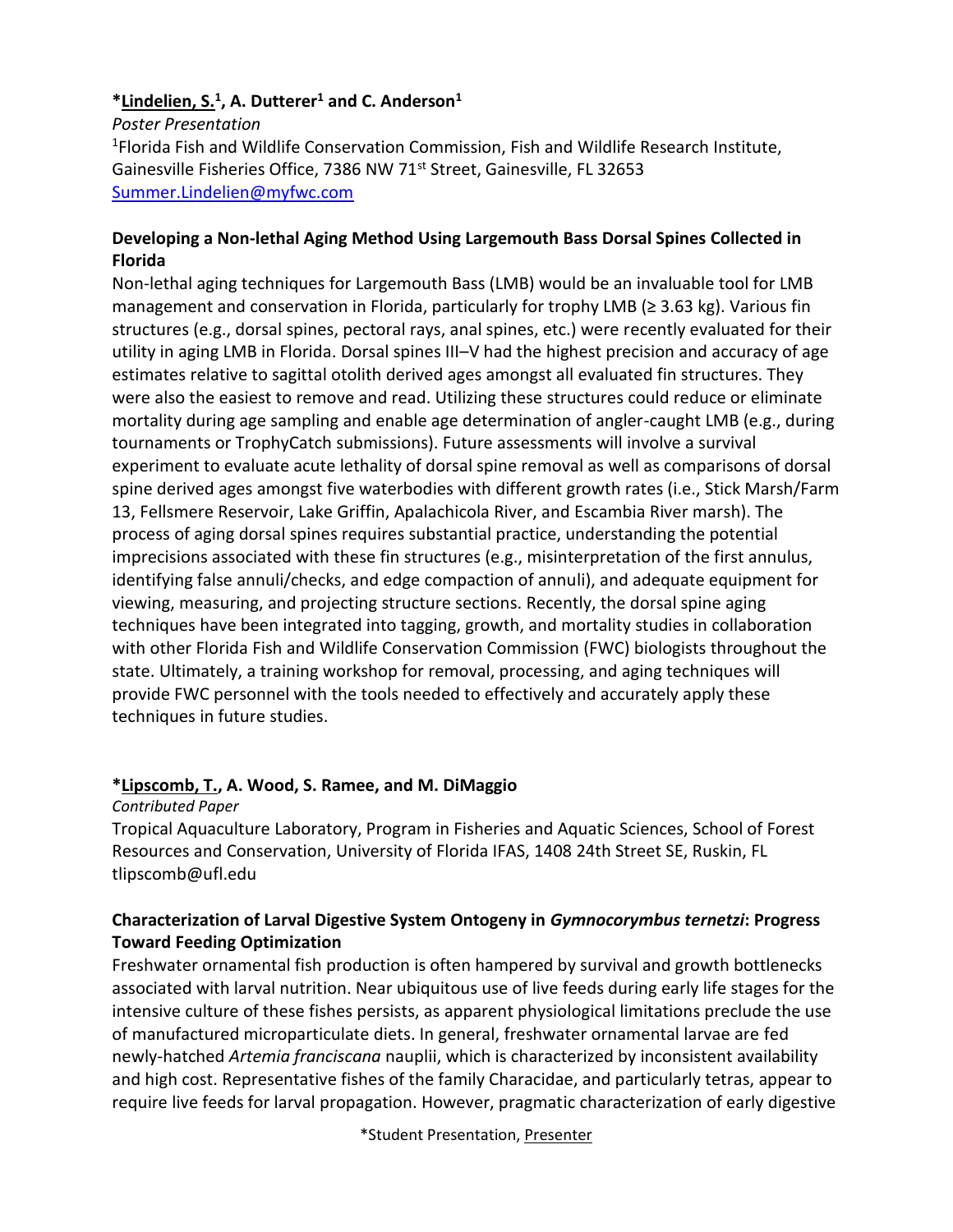#### **\*Lindelien, S.<sup>1</sup> , A. Dutterer<sup>1</sup> and C. Anderson<sup>1</sup>**

*Poster Presentation* <sup>1</sup>Florida Fish and Wildlife Conservation Commission, Fish and Wildlife Research Institute, Gainesville Fisheries Office, 7386 NW 71<sup>st</sup> Street, Gainesville, FL 32653 [Summer.Lindelien@myfwc.com](mailto:Summer.Lindelien@myfwc.com)

#### **Developing a Non-lethal Aging Method Using Largemouth Bass Dorsal Spines Collected in Florida**

Non-lethal aging techniques for Largemouth Bass (LMB) would be an invaluable tool for LMB management and conservation in Florida, particularly for trophy LMB (≥ 3.63 kg). Various fin structures (e.g., dorsal spines, pectoral rays, anal spines, etc.) were recently evaluated for their utility in aging LMB in Florida. Dorsal spines III–V had the highest precision and accuracy of age estimates relative to sagittal otolith derived ages amongst all evaluated fin structures. They were also the easiest to remove and read. Utilizing these structures could reduce or eliminate mortality during age sampling and enable age determination of angler-caught LMB (e.g., during tournaments or TrophyCatch submissions). Future assessments will involve a survival experiment to evaluate acute lethality of dorsal spine removal as well as comparisons of dorsal spine derived ages amongst five waterbodies with different growth rates (i.e., Stick Marsh/Farm 13, Fellsmere Reservoir, Lake Griffin, Apalachicola River, and Escambia River marsh). The process of aging dorsal spines requires substantial practice, understanding the potential imprecisions associated with these fin structures (e.g., misinterpretation of the first annulus, identifying false annuli/checks, and edge compaction of annuli), and adequate equipment for viewing, measuring, and projecting structure sections. Recently, the dorsal spine aging techniques have been integrated into tagging, growth, and mortality studies in collaboration with other Florida Fish and Wildlife Conservation Commission (FWC) biologists throughout the state. Ultimately, a training workshop for removal, processing, and aging techniques will provide FWC personnel with the tools needed to effectively and accurately apply these techniques in future studies.

#### **\*Lipscomb, T., A. Wood, S. Ramee, and M. DiMaggio**

*Contributed Paper*

Tropical Aquaculture Laboratory, Program in Fisheries and Aquatic Sciences, School of Forest Resources and Conservation, University of Florida IFAS, 1408 24th Street SE, Ruskin, FL tlipscomb@ufl.edu

#### **Characterization of Larval Digestive System Ontogeny in** *Gymnocorymbus ternetzi***: Progress Toward Feeding Optimization**

Freshwater ornamental fish production is often hampered by survival and growth bottlenecks associated with larval nutrition. Near ubiquitous use of live feeds during early life stages for the intensive culture of these fishes persists, as apparent physiological limitations preclude the use of manufactured microparticulate diets. In general, freshwater ornamental larvae are fed newly-hatched *Artemia franciscana* nauplii, which is characterized by inconsistent availability and high cost. Representative fishes of the family Characidae, and particularly tetras, appear to require live feeds for larval propagation. However, pragmatic characterization of early digestive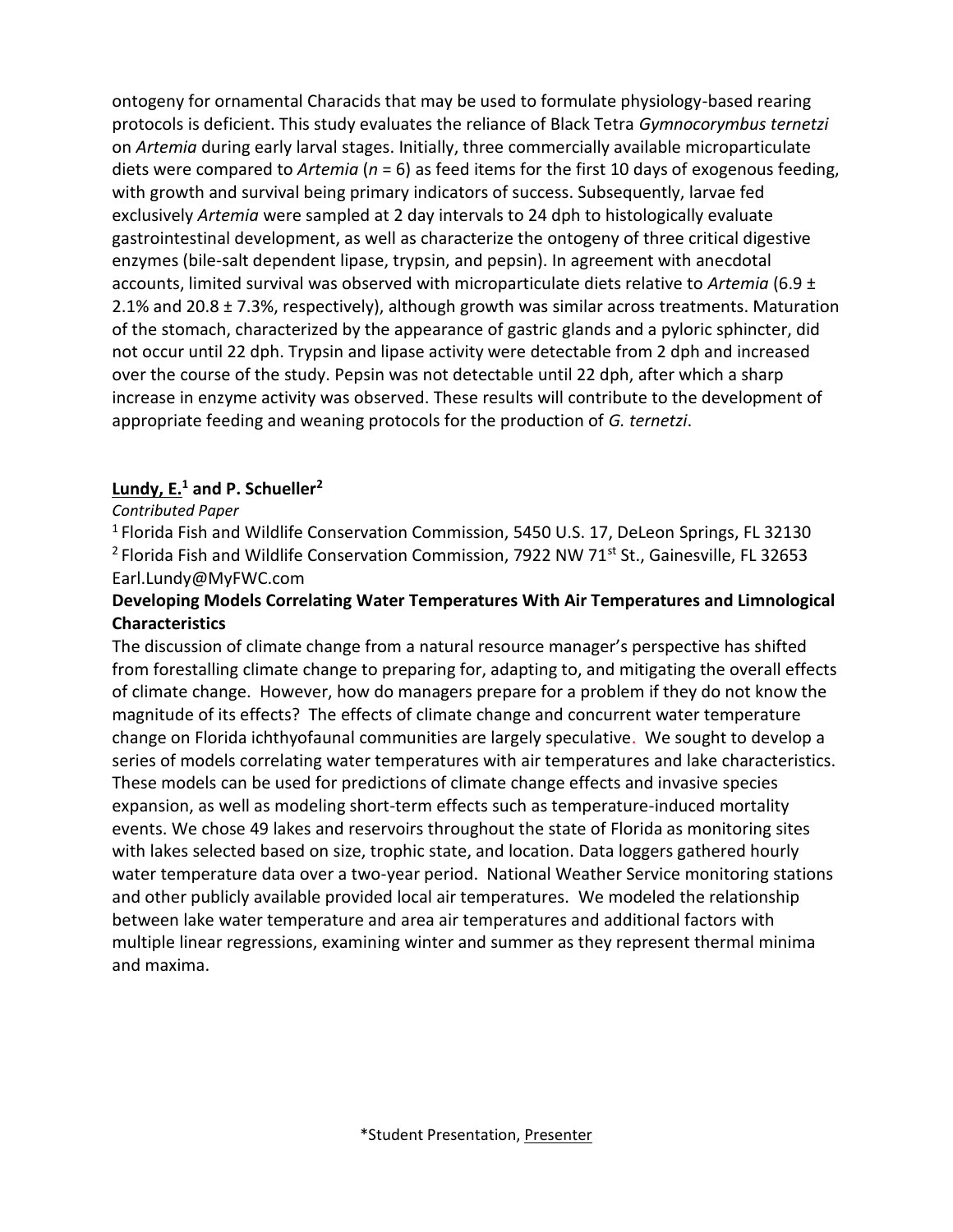ontogeny for ornamental Characids that may be used to formulate physiology-based rearing protocols is deficient. This study evaluates the reliance of Black Tetra *Gymnocorymbus ternetzi* on *Artemia* during early larval stages. Initially, three commercially available microparticulate diets were compared to *Artemia* (*n* = 6) as feed items for the first 10 days of exogenous feeding, with growth and survival being primary indicators of success. Subsequently, larvae fed exclusively *Artemia* were sampled at 2 day intervals to 24 dph to histologically evaluate gastrointestinal development, as well as characterize the ontogeny of three critical digestive enzymes (bile-salt dependent lipase, trypsin, and pepsin). In agreement with anecdotal accounts, limited survival was observed with microparticulate diets relative to *Artemia* (6.9 ± 2.1% and 20.8  $\pm$  7.3%, respectively), although growth was similar across treatments. Maturation of the stomach, characterized by the appearance of gastric glands and a pyloric sphincter, did not occur until 22 dph. Trypsin and lipase activity were detectable from 2 dph and increased over the course of the study. Pepsin was not detectable until 22 dph, after which a sharp increase in enzyme activity was observed. These results will contribute to the development of appropriate feeding and weaning protocols for the production of *G. ternetzi*.

#### **Lundy, E.<sup>1</sup> and P. Schueller<sup>2</sup>**

#### *Contributed Paper*

<sup>1</sup>Florida Fish and Wildlife Conservation Commission, 5450 U.S. 17, DeLeon Springs, FL 32130 <sup>2</sup> Florida Fish and Wildlife Conservation Commission, 7922 NW 71<sup>st</sup> St., Gainesville, FL 32653 Earl.Lundy@MyFWC.com

#### **Developing Models Correlating Water Temperatures With Air Temperatures and Limnological Characteristics**

The discussion of climate change from a natural resource manager's perspective has shifted from forestalling climate change to preparing for, adapting to, and mitigating the overall effects of climate change. However, how do managers prepare for a problem if they do not know the magnitude of its effects? The effects of climate change and concurrent water temperature change on Florida ichthyofaunal communities are largely speculative. We sought to develop a series of models correlating water temperatures with air temperatures and lake characteristics. These models can be used for predictions of climate change effects and invasive species expansion, as well as modeling short-term effects such as temperature-induced mortality events. We chose 49 lakes and reservoirs throughout the state of Florida as monitoring sites with lakes selected based on size, trophic state, and location. Data loggers gathered hourly water temperature data over a two-year period. National Weather Service monitoring stations and other publicly available provided local air temperatures. We modeled the relationship between lake water temperature and area air temperatures and additional factors with multiple linear regressions, examining winter and summer as they represent thermal minima and maxima.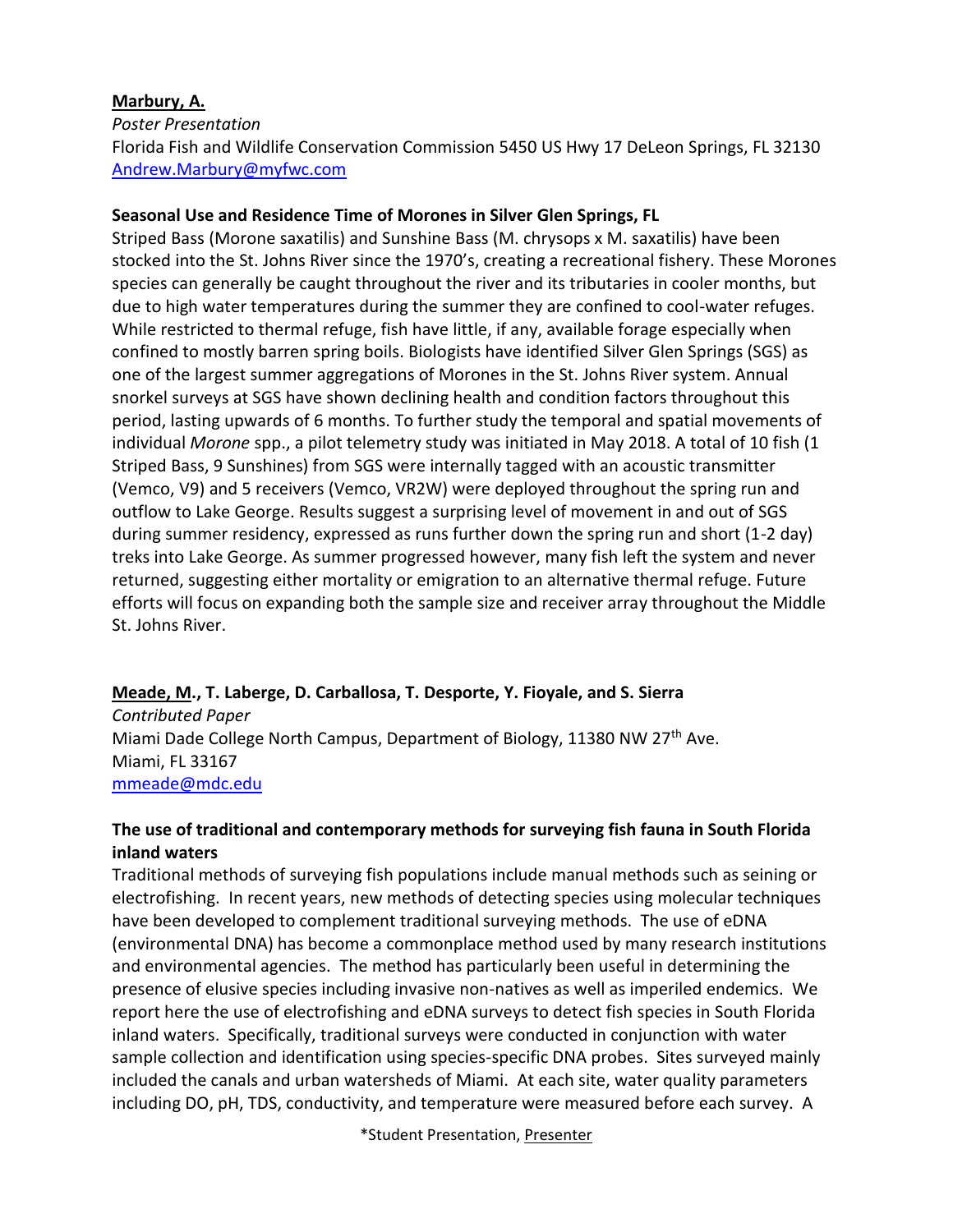#### **Marbury, A.**

*Poster Presentation* Florida Fish and Wildlife Conservation Commission 5450 US Hwy 17 DeLeon Springs, FL 32130 [Andrew.Marbury@myfwc.com](mailto:Andrew.Marbury@myfwc.com)

#### **Seasonal Use and Residence Time of Morones in Silver Glen Springs, FL**

Striped Bass (Morone saxatilis) and Sunshine Bass (M. chrysops x M. saxatilis) have been stocked into the St. Johns River since the 1970's, creating a recreational fishery. These Morones species can generally be caught throughout the river and its tributaries in cooler months, but due to high water temperatures during the summer they are confined to cool-water refuges. While restricted to thermal refuge, fish have little, if any, available forage especially when confined to mostly barren spring boils. Biologists have identified Silver Glen Springs (SGS) as one of the largest summer aggregations of Morones in the St. Johns River system. Annual snorkel surveys at SGS have shown declining health and condition factors throughout this period, lasting upwards of 6 months. To further study the temporal and spatial movements of individual *Morone* spp., a pilot telemetry study was initiated in May 2018. A total of 10 fish (1 Striped Bass, 9 Sunshines) from SGS were internally tagged with an acoustic transmitter (Vemco, V9) and 5 receivers (Vemco, VR2W) were deployed throughout the spring run and outflow to Lake George. Results suggest a surprising level of movement in and out of SGS during summer residency, expressed as runs further down the spring run and short (1-2 day) treks into Lake George. As summer progressed however, many fish left the system and never returned, suggesting either mortality or emigration to an alternative thermal refuge. Future efforts will focus on expanding both the sample size and receiver array throughout the Middle St. Johns River.

#### **Meade, M., T. Laberge, D. Carballosa, T. Desporte, Y. Fioyale, and S. Sierra**

*Contributed Paper* Miami Dade College North Campus, Department of Biology, 11380 NW 27<sup>th</sup> Ave. Miami, FL 33167 [mmeade@mdc.edu](mailto:mmeade@mdc.edu)

#### **The use of traditional and contemporary methods for surveying fish fauna in South Florida inland waters**

Traditional methods of surveying fish populations include manual methods such as seining or electrofishing. In recent years, new methods of detecting species using molecular techniques have been developed to complement traditional surveying methods. The use of eDNA (environmental DNA) has become a commonplace method used by many research institutions and environmental agencies. The method has particularly been useful in determining the presence of elusive species including invasive non-natives as well as imperiled endemics. We report here the use of electrofishing and eDNA surveys to detect fish species in South Florida inland waters. Specifically, traditional surveys were conducted in conjunction with water sample collection and identification using species-specific DNA probes. Sites surveyed mainly included the canals and urban watersheds of Miami. At each site, water quality parameters including DO, pH, TDS, conductivity, and temperature were measured before each survey. A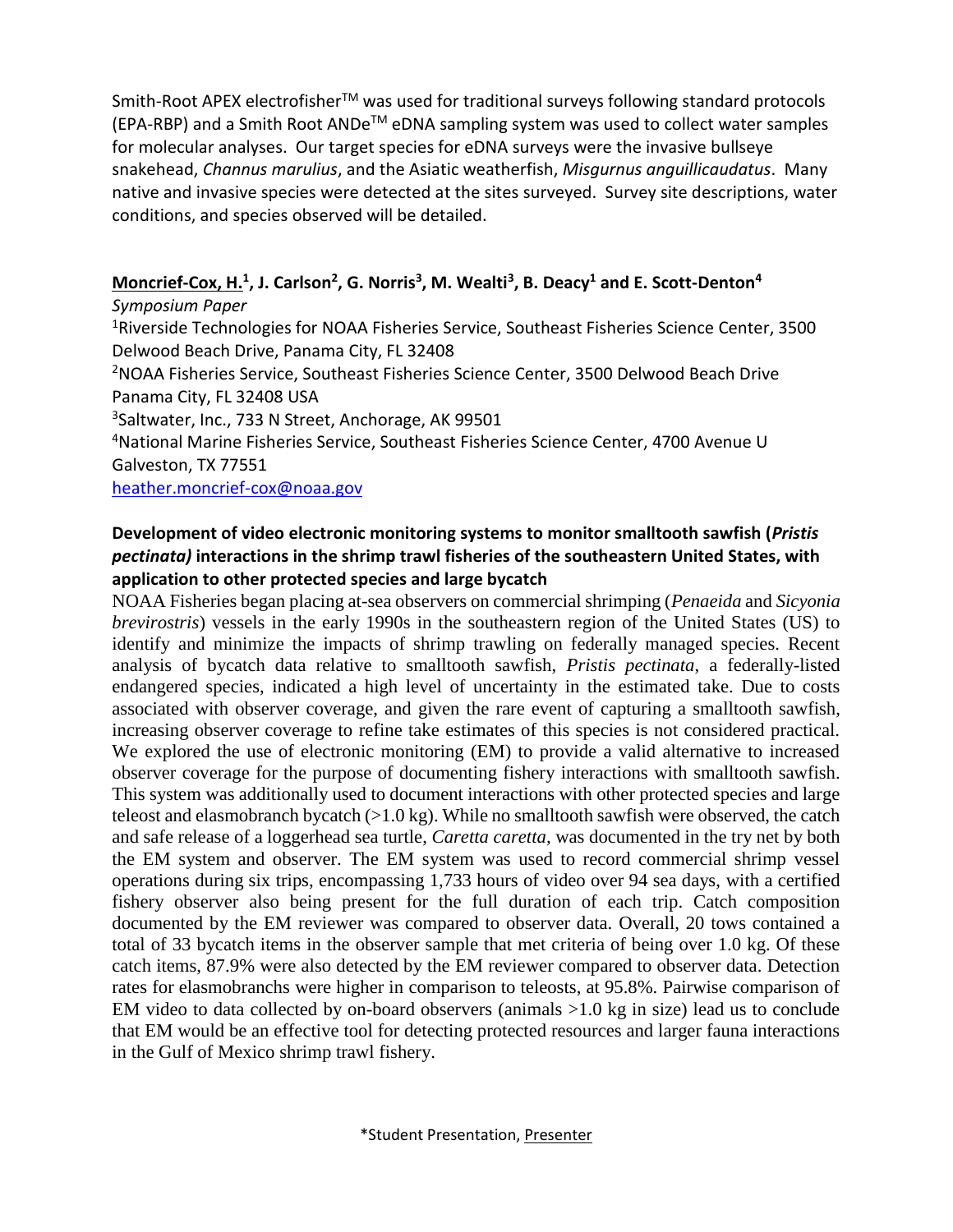Smith-Root APEX electrofisher™ was used for traditional surveys following standard protocols  $(EPA-RBP)$  and a Smith Root ANDe<sup>TM</sup> eDNA sampling system was used to collect water samples for molecular analyses. Our target species for eDNA surveys were the invasive bullseye snakehead, *Channus marulius*, and the Asiatic weatherfish, *Misgurnus anguillicaudatus*. Many native and invasive species were detected at the sites surveyed. Survey site descriptions, water conditions, and species observed will be detailed.

#### **Moncrief-Cox, H.<sup>1</sup> , J. Carlson<sup>2</sup> , G. Norris<sup>3</sup> , M. Wealti<sup>3</sup> , B. Deacy<sup>1</sup> and E. Scott-Denton<sup>4</sup>**

*Symposium Paper*

<sup>1</sup>Riverside Technologies for NOAA Fisheries Service, Southeast Fisheries Science Center, 3500 Delwood Beach Drive, Panama City, FL 32408

<sup>2</sup>NOAA Fisheries Service, Southeast Fisheries Science Center, 3500 Delwood Beach Drive Panama City, FL 32408 USA

<sup>3</sup>Saltwater, Inc., 733 N Street, Anchorage, AK 99501

<sup>4</sup>National Marine Fisheries Service, Southeast Fisheries Science Center, 4700 Avenue U Galveston, TX 77551

[heather.moncrief-cox@noaa.gov](mailto:heather.moncrief-cox@noaa.gov)

#### **Development of video electronic monitoring systems to monitor smalltooth sawfish (***Pristis pectinata)* **interactions in the shrimp trawl fisheries of the southeastern United States, with application to other protected species and large bycatch**

NOAA Fisheries began placing at-sea observers on commercial shrimping (*Penaeida* and *Sicyonia brevirostris*) vessels in the early 1990s in the southeastern region of the United States (US) to identify and minimize the impacts of shrimp trawling on federally managed species. Recent analysis of bycatch data relative to smalltooth sawfish, *Pristis pectinata*, a federally-listed endangered species, indicated a high level of uncertainty in the estimated take. Due to costs associated with observer coverage, and given the rare event of capturing a smalltooth sawfish, increasing observer coverage to refine take estimates of this species is not considered practical. We explored the use of electronic monitoring (EM) to provide a valid alternative to increased observer coverage for the purpose of documenting fishery interactions with smalltooth sawfish. This system was additionally used to document interactions with other protected species and large teleost and elasmobranch bycatch  $(>1.0 \text{ kg})$ . While no smalltooth sawfish were observed, the catch and safe release of a loggerhead sea turtle, *Caretta caretta,* was documented in the try net by both the EM system and observer. The EM system was used to record commercial shrimp vessel operations during six trips, encompassing 1,733 hours of video over 94 sea days, with a certified fishery observer also being present for the full duration of each trip. Catch composition documented by the EM reviewer was compared to observer data. Overall, 20 tows contained a total of 33 bycatch items in the observer sample that met criteria of being over 1.0 kg. Of these catch items, 87.9% were also detected by the EM reviewer compared to observer data. Detection rates for elasmobranchs were higher in comparison to teleosts, at 95.8%. Pairwise comparison of EM video to data collected by on-board observers (animals >1.0 kg in size) lead us to conclude that EM would be an effective tool for detecting protected resources and larger fauna interactions in the Gulf of Mexico shrimp trawl fishery.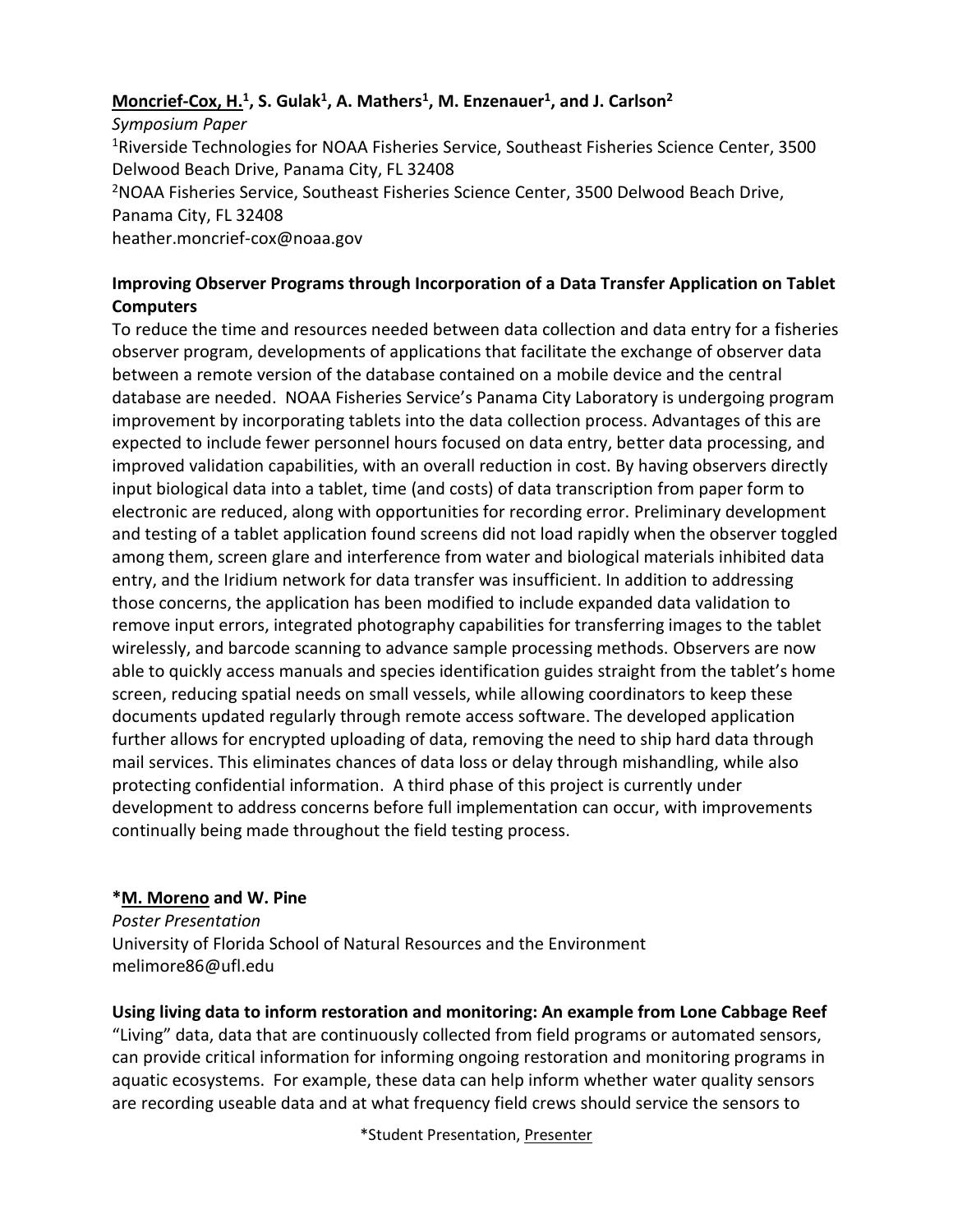#### **Moncrief-Cox, H.<sup>1</sup> , S. Gulak<sup>1</sup> , A. Mathers<sup>1</sup> , M. Enzenauer<sup>1</sup> , and J. Carlson<sup>2</sup>**

*Symposium Paper* <sup>1</sup>Riverside Technologies for NOAA Fisheries Service, Southeast Fisheries Science Center, 3500 Delwood Beach Drive, Panama City, FL 32408 <sup>2</sup>NOAA Fisheries Service, Southeast Fisheries Science Center, 3500 Delwood Beach Drive, Panama City, FL 32408 heather.moncrief-cox@noaa.gov

#### **Improving Observer Programs through Incorporation of a Data Transfer Application on Tablet Computers**

To reduce the time and resources needed between data collection and data entry for a fisheries observer program, developments of applications that facilitate the exchange of observer data between a remote version of the database contained on a mobile device and the central database are needed. NOAA Fisheries Service's Panama City Laboratory is undergoing program improvement by incorporating tablets into the data collection process. Advantages of this are expected to include fewer personnel hours focused on data entry, better data processing, and improved validation capabilities, with an overall reduction in cost. By having observers directly input biological data into a tablet, time (and costs) of data transcription from paper form to electronic are reduced, along with opportunities for recording error. Preliminary development and testing of a tablet application found screens did not load rapidly when the observer toggled among them, screen glare and interference from water and biological materials inhibited data entry, and the Iridium network for data transfer was insufficient. In addition to addressing those concerns, the application has been modified to include expanded data validation to remove input errors, integrated photography capabilities for transferring images to the tablet wirelessly, and barcode scanning to advance sample processing methods. Observers are now able to quickly access manuals and species identification guides straight from the tablet's home screen, reducing spatial needs on small vessels, while allowing coordinators to keep these documents updated regularly through remote access software. The developed application further allows for encrypted uploading of data, removing the need to ship hard data through mail services. This eliminates chances of data loss or delay through mishandling, while also protecting confidential information. A third phase of this project is currently under development to address concerns before full implementation can occur, with improvements continually being made throughout the field testing process.

#### **\*M. Moreno and W. Pine**

*Poster Presentation* University of Florida School of Natural Resources and the Environment melimore86@ufl.edu

**Using living data to inform restoration and monitoring: An example from Lone Cabbage Reef**

"Living" data, data that are continuously collected from field programs or automated sensors, can provide critical information for informing ongoing restoration and monitoring programs in aquatic ecosystems. For example, these data can help inform whether water quality sensors are recording useable data and at what frequency field crews should service the sensors to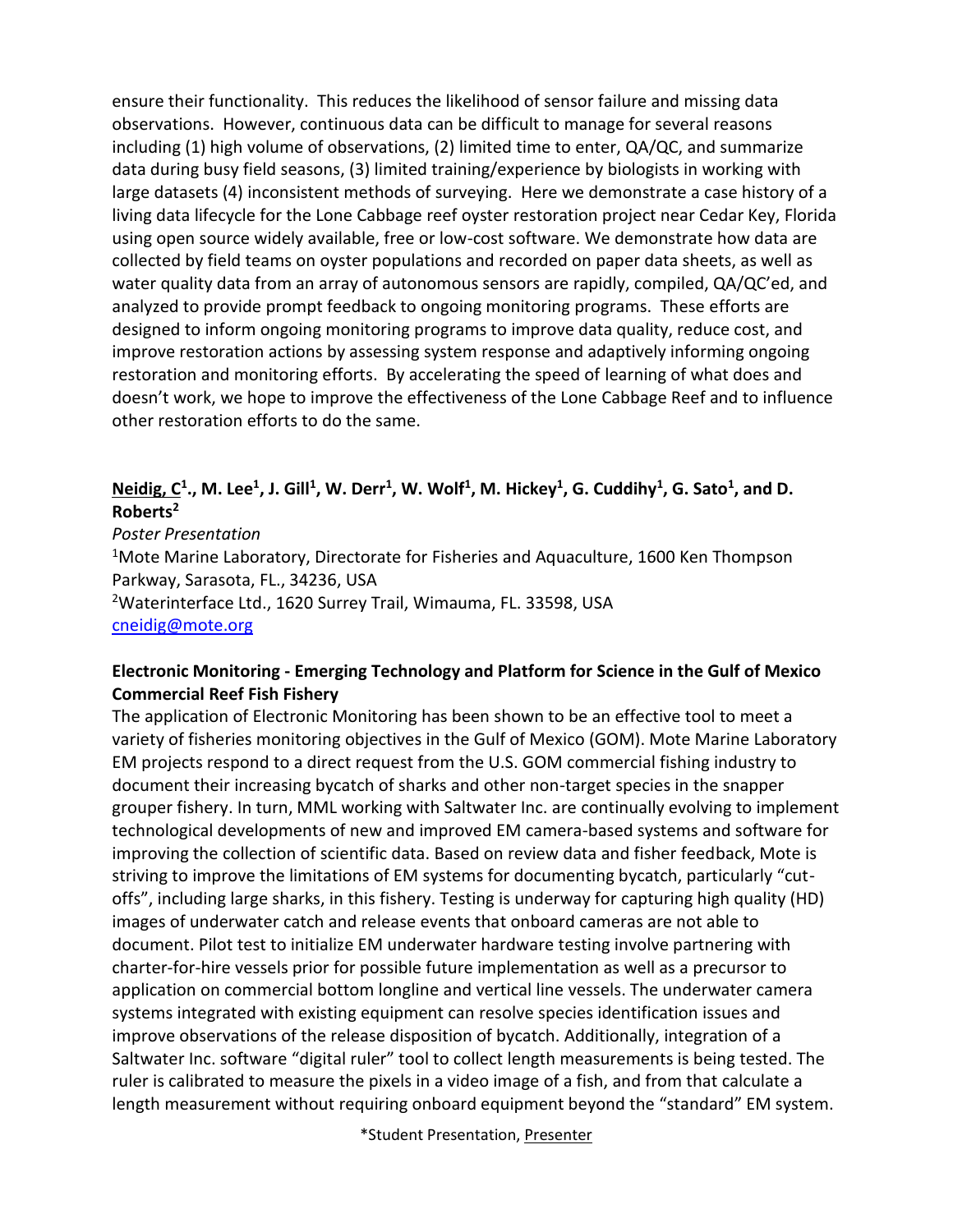ensure their functionality. This reduces the likelihood of sensor failure and missing data observations. However, continuous data can be difficult to manage for several reasons including (1) high volume of observations, (2) limited time to enter, QA/QC, and summarize data during busy field seasons, (3) limited training/experience by biologists in working with large datasets (4) inconsistent methods of surveying. Here we demonstrate a case history of a living data lifecycle for the Lone Cabbage reef oyster restoration project near Cedar Key, Florida using open source widely available, free or low-cost software. We demonstrate how data are collected by field teams on oyster populations and recorded on paper data sheets, as well as water quality data from an array of autonomous sensors are rapidly, compiled, QA/QC'ed, and analyzed to provide prompt feedback to ongoing monitoring programs. These efforts are designed to inform ongoing monitoring programs to improve data quality, reduce cost, and improve restoration actions by assessing system response and adaptively informing ongoing restoration and monitoring efforts. By accelerating the speed of learning of what does and doesn't work, we hope to improve the effectiveness of the Lone Cabbage Reef and to influence other restoration efforts to do the same.

#### $N$ eidig, C<sup>1</sup>., M. Lee<sup>1</sup>, J. Gill<sup>1</sup>, W. Derr<sup>1</sup>, W. Wolf<sup>1</sup>, M. Hickey<sup>1</sup>, G. Cuddihy<sup>1</sup>, G. Sato<sup>1</sup>, and D. **Roberts<sup>2</sup>**

*Poster Presentation* <sup>1</sup>Mote Marine Laboratory, Directorate for Fisheries and Aquaculture, 1600 Ken Thompson Parkway, Sarasota, FL., 34236, USA <sup>2</sup>Waterinterface Ltd., 1620 Surrey Trail, Wimauma, FL. 33598, USA [cneidig@mote.org](mailto:cneidig@mote.org)

#### **Electronic Monitoring - Emerging Technology and Platform for Science in the Gulf of Mexico Commercial Reef Fish Fishery**

The application of Electronic Monitoring has been shown to be an effective tool to meet a variety of fisheries monitoring objectives in the Gulf of Mexico (GOM). Mote Marine Laboratory EM projects respond to a direct request from the U.S. GOM commercial fishing industry to document their increasing bycatch of sharks and other non-target species in the snapper grouper fishery. In turn, MML working with Saltwater Inc. are continually evolving to implement technological developments of new and improved EM camera-based systems and software for improving the collection of scientific data. Based on review data and fisher feedback, Mote is striving to improve the limitations of EM systems for documenting bycatch, particularly "cutoffs", including large sharks, in this fishery. Testing is underway for capturing high quality (HD) images of underwater catch and release events that onboard cameras are not able to document. Pilot test to initialize EM underwater hardware testing involve partnering with charter-for-hire vessels prior for possible future implementation as well as a precursor to application on commercial bottom longline and vertical line vessels. The underwater camera systems integrated with existing equipment can resolve species identification issues and improve observations of the release disposition of bycatch. Additionally, integration of a Saltwater Inc. software "digital ruler" tool to collect length measurements is being tested. The ruler is calibrated to measure the pixels in a video image of a fish, and from that calculate a length measurement without requiring onboard equipment beyond the "standard" EM system.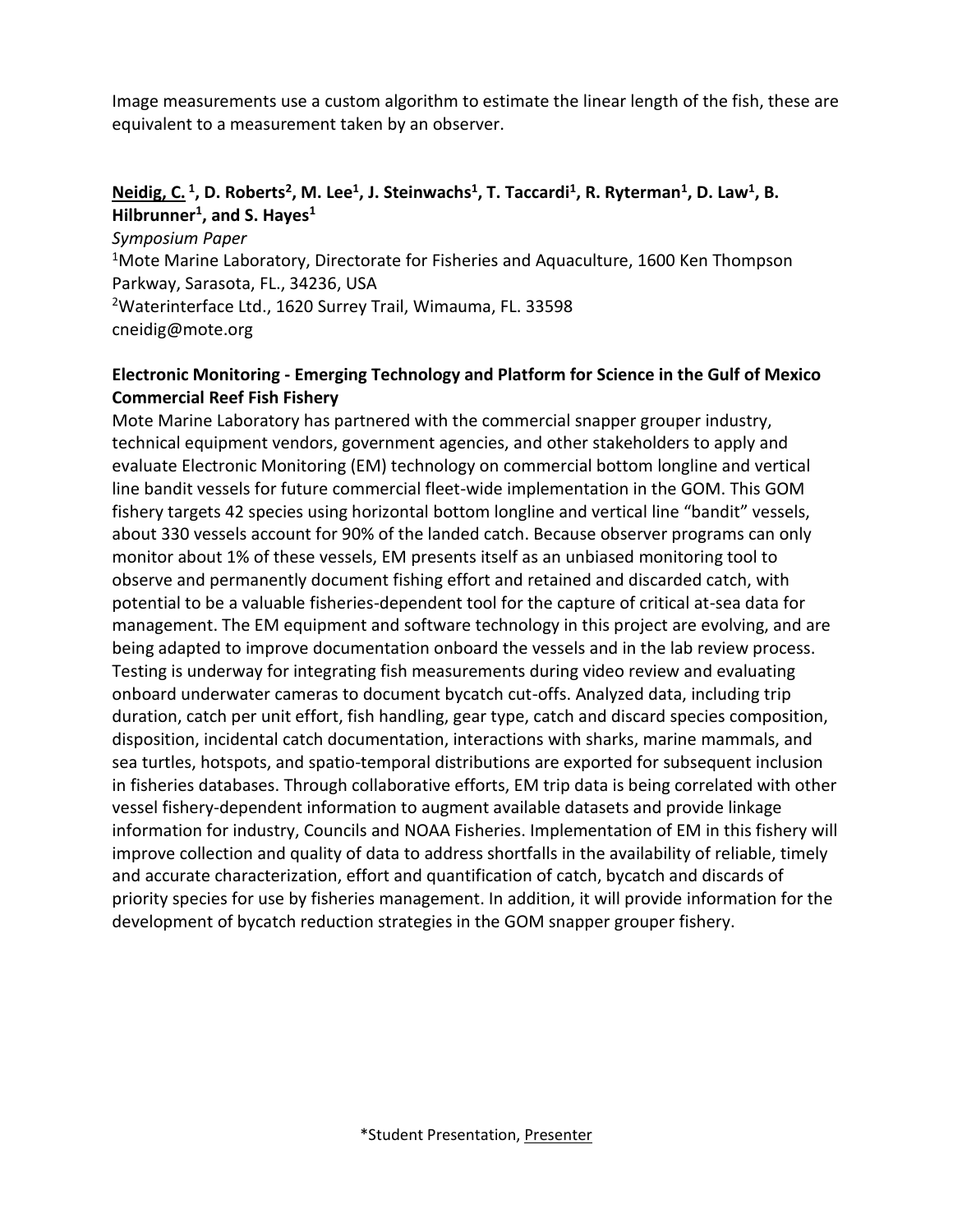Image measurements use a custom algorithm to estimate the linear length of the fish, these are equivalent to a measurement taken by an observer.

#### **Neidig, C. <sup>1</sup> , D. Roberts<sup>2</sup> , M. Lee<sup>1</sup> , J. Steinwachs<sup>1</sup> , T. Taccardi<sup>1</sup> , R. Ryterman<sup>1</sup> , D. Law<sup>1</sup> , B. Hilbrunner<sup>1</sup> , and S. Hayes<sup>1</sup>**

*Symposium Paper* <sup>1</sup>Mote Marine Laboratory, Directorate for Fisheries and Aquaculture, 1600 Ken Thompson Parkway, Sarasota, FL., 34236, USA <sup>2</sup>Waterinterface Ltd., 1620 Surrey Trail, Wimauma, FL. 33598 cneidig@mote.org

#### **Electronic Monitoring - Emerging Technology and Platform for Science in the Gulf of Mexico Commercial Reef Fish Fishery**

Mote Marine Laboratory has partnered with the commercial snapper grouper industry, technical equipment vendors, government agencies, and other stakeholders to apply and evaluate Electronic Monitoring (EM) technology on commercial bottom longline and vertical line bandit vessels for future commercial fleet-wide implementation in the GOM. This GOM fishery targets 42 species using horizontal bottom longline and vertical line "bandit" vessels, about 330 vessels account for 90% of the landed catch. Because observer programs can only monitor about 1% of these vessels, EM presents itself as an unbiased monitoring tool to observe and permanently document fishing effort and retained and discarded catch, with potential to be a valuable fisheries-dependent tool for the capture of critical at-sea data for management. The EM equipment and software technology in this project are evolving, and are being adapted to improve documentation onboard the vessels and in the lab review process. Testing is underway for integrating fish measurements during video review and evaluating onboard underwater cameras to document bycatch cut-offs. Analyzed data, including trip duration, catch per unit effort, fish handling, gear type, catch and discard species composition, disposition, incidental catch documentation, interactions with sharks, marine mammals, and sea turtles, hotspots, and spatio-temporal distributions are exported for subsequent inclusion in fisheries databases. Through collaborative efforts, EM trip data is being correlated with other vessel fishery-dependent information to augment available datasets and provide linkage information for industry, Councils and NOAA Fisheries. Implementation of EM in this fishery will improve collection and quality of data to address shortfalls in the availability of reliable, timely and accurate characterization, effort and quantification of catch, bycatch and discards of priority species for use by fisheries management. In addition, it will provide information for the development of bycatch reduction strategies in the GOM snapper grouper fishery.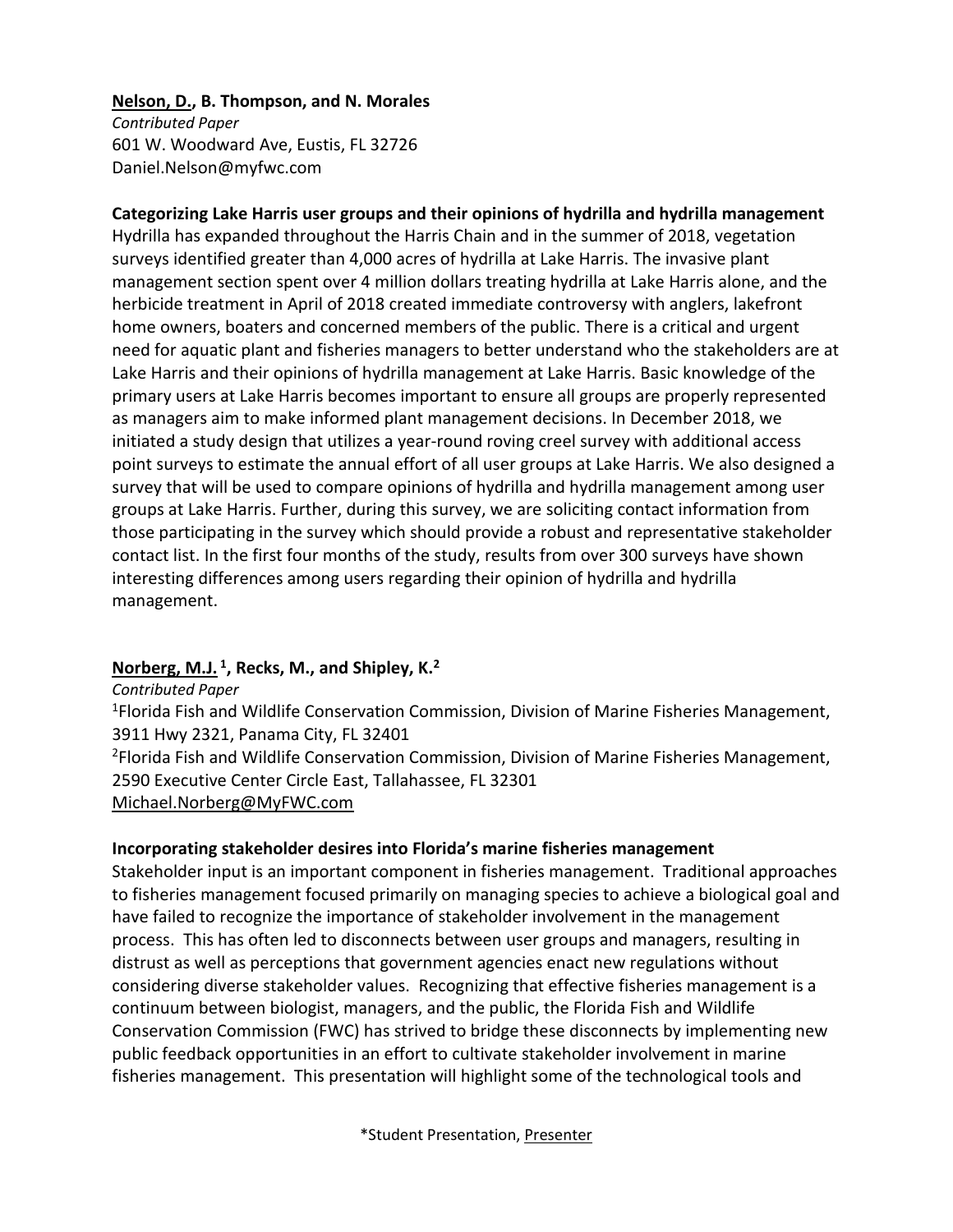#### **Nelson, D., B. Thompson, and N. Morales**

*Contributed Paper* 601 W. Woodward Ave, Eustis, FL 32726 Daniel.Nelson@myfwc.com

**Categorizing Lake Harris user groups and their opinions of hydrilla and hydrilla management** Hydrilla has expanded throughout the Harris Chain and in the summer of 2018, vegetation surveys identified greater than 4,000 acres of hydrilla at Lake Harris. The invasive plant management section spent over 4 million dollars treating hydrilla at Lake Harris alone, and the herbicide treatment in April of 2018 created immediate controversy with anglers, lakefront home owners, boaters and concerned members of the public. There is a critical and urgent need for aquatic plant and fisheries managers to better understand who the stakeholders are at Lake Harris and their opinions of hydrilla management at Lake Harris. Basic knowledge of the primary users at Lake Harris becomes important to ensure all groups are properly represented as managers aim to make informed plant management decisions. In December 2018, we initiated a study design that utilizes a year-round roving creel survey with additional access point surveys to estimate the annual effort of all user groups at Lake Harris. We also designed a survey that will be used to compare opinions of hydrilla and hydrilla management among user groups at Lake Harris. Further, during this survey, we are soliciting contact information from those participating in the survey which should provide a robust and representative stakeholder contact list. In the first four months of the study, results from over 300 surveys have shown interesting differences among users regarding their opinion of hydrilla and hydrilla management.

#### **Norberg, M.J. <sup>1</sup> , Recks, M., and Shipley, K.<sup>2</sup>**

*Contributed Paper* <sup>1</sup>Florida Fish and Wildlife Conservation Commission, Division of Marine Fisheries Management, 3911 Hwy 2321, Panama City, FL 32401 <sup>2</sup>Florida Fish and Wildlife Conservation Commission, Division of Marine Fisheries Management, 2590 Executive Center Circle East, Tallahassee, FL 32301 Michael.Norberg@MyFWC.com

#### **Incorporating stakeholder desires into Florida's marine fisheries management**

Stakeholder input is an important component in fisheries management. Traditional approaches to fisheries management focused primarily on managing species to achieve a biological goal and have failed to recognize the importance of stakeholder involvement in the management process. This has often led to disconnects between user groups and managers, resulting in distrust as well as perceptions that government agencies enact new regulations without considering diverse stakeholder values. Recognizing that effective fisheries management is a continuum between biologist, managers, and the public, the Florida Fish and Wildlife Conservation Commission (FWC) has strived to bridge these disconnects by implementing new public feedback opportunities in an effort to cultivate stakeholder involvement in marine fisheries management. This presentation will highlight some of the technological tools and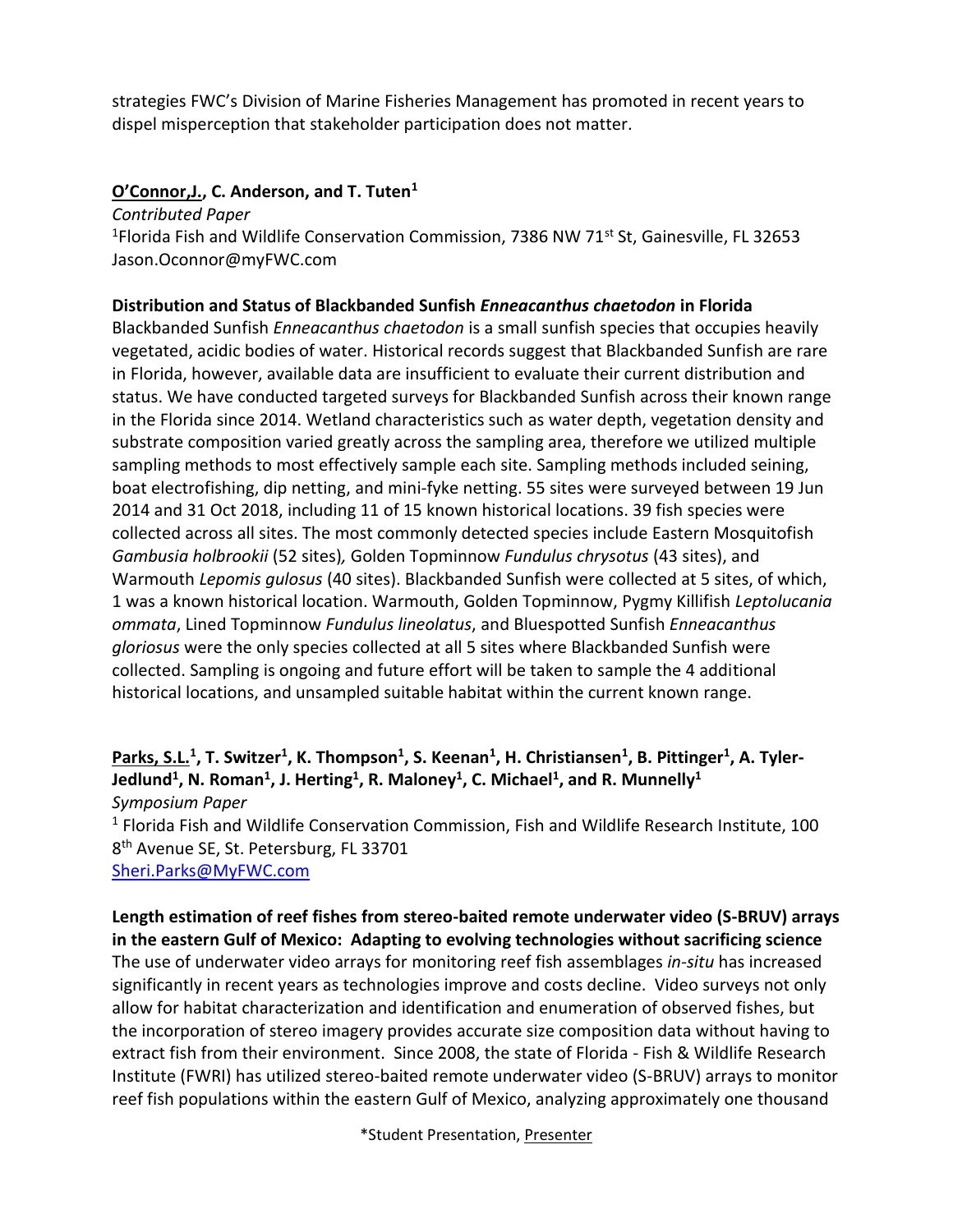strategies FWC's Division of Marine Fisheries Management has promoted in recent years to dispel misperception that stakeholder participation does not matter.

#### **O'Connor,J., C. Anderson, and T. Tuten<sup>1</sup>**

*Contributed Paper* <sup>1</sup>Florida Fish and Wildlife Conservation Commission, 7386 NW 71<sup>st</sup> St, Gainesville, FL 32653 Jason.Oconnor@myFWC.com

#### **Distribution and Status of Blackbanded Sunfish** *Enneacanthus chaetodon* **in Florida**

Blackbanded Sunfish *Enneacanthus chaetodon* is a small sunfish species that occupies heavily vegetated, acidic bodies of water. Historical records suggest that Blackbanded Sunfish are rare in Florida, however, available data are insufficient to evaluate their current distribution and status. We have conducted targeted surveys for Blackbanded Sunfish across their known range in the Florida since 2014. Wetland characteristics such as water depth, vegetation density and substrate composition varied greatly across the sampling area, therefore we utilized multiple sampling methods to most effectively sample each site. Sampling methods included seining, boat electrofishing, dip netting, and mini-fyke netting. 55 sites were surveyed between 19 Jun 2014 and 31 Oct 2018, including 11 of 15 known historical locations. 39 fish species were collected across all sites. The most commonly detected species include Eastern Mosquitofish *Gambusia holbrookii* (52 sites)*,* Golden Topminnow *Fundulus chrysotus* (43 sites), and Warmouth *Lepomis gulosus* (40 sites). Blackbanded Sunfish were collected at 5 sites, of which, 1 was a known historical location. Warmouth, Golden Topminnow, Pygmy Killifish *Leptolucania ommata*, Lined Topminnow *Fundulus lineolatus*, and Bluespotted Sunfish *Enneacanthus gloriosus* were the only species collected at all 5 sites where Blackbanded Sunfish were collected. Sampling is ongoing and future effort will be taken to sample the 4 additional historical locations, and unsampled suitable habitat within the current known range.

#### **Parks, S.L.<sup>1</sup> , T. Switzer<sup>1</sup> , K. Thompson<sup>1</sup> , S. Keenan<sup>1</sup> , H. Christiansen<sup>1</sup> , B. Pittinger<sup>1</sup> , A. Tyler-Jedlund<sup>1</sup> , N. Roman<sup>1</sup> , J. Herting<sup>1</sup> , R. Maloney<sup>1</sup> , C. Michael<sup>1</sup> , and R. Munnelly<sup>1</sup>** *Symposium Paper*

<sup>1</sup> Florida Fish and Wildlife Conservation Commission, Fish and Wildlife Research Institute, 100 8<sup>th</sup> Avenue SE, St. Petersburg, FL 33701 [Sheri.Parks@MyFWC.com](mailto:Sheri.Parks@MyFWC.com)

#### **Length estimation of reef fishes from stereo-baited remote underwater video (S-BRUV) arrays in the eastern Gulf of Mexico: Adapting to evolving technologies without sacrificing science**

The use of underwater video arrays for monitoring reef fish assemblages *in-situ* has increased significantly in recent years as technologies improve and costs decline. Video surveys not only allow for habitat characterization and identification and enumeration of observed fishes, but the incorporation of stereo imagery provides accurate size composition data without having to extract fish from their environment. Since 2008, the state of Florida - Fish & Wildlife Research Institute (FWRI) has utilized stereo-baited remote underwater video (S-BRUV) arrays to monitor reef fish populations within the eastern Gulf of Mexico, analyzing approximately one thousand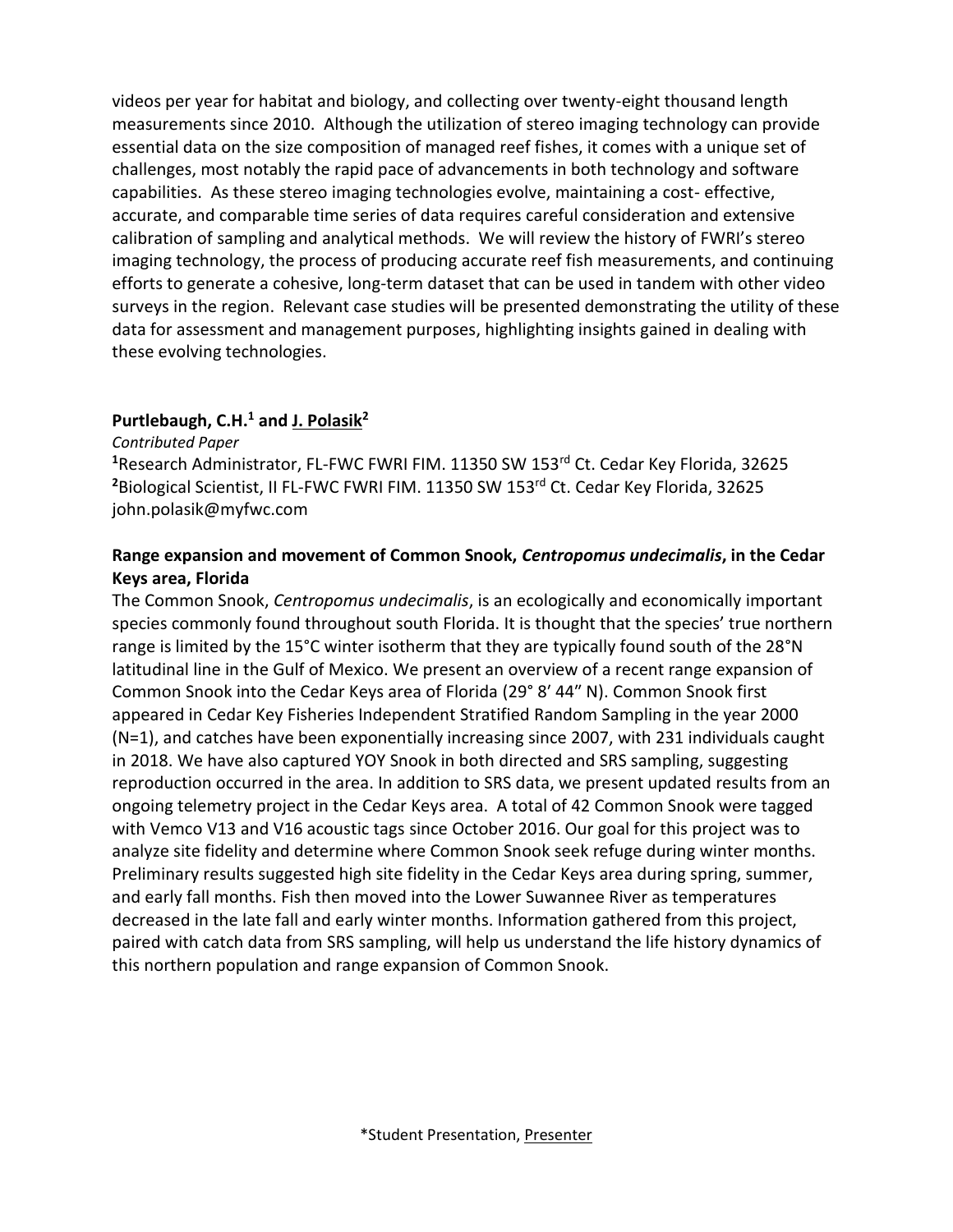videos per year for habitat and biology, and collecting over twenty-eight thousand length measurements since 2010. Although the utilization of stereo imaging technology can provide essential data on the size composition of managed reef fishes, it comes with a unique set of challenges, most notably the rapid pace of advancements in both technology and software capabilities. As these stereo imaging technologies evolve, maintaining a cost- effective, accurate, and comparable time series of data requires careful consideration and extensive calibration of sampling and analytical methods. We will review the history of FWRI's stereo imaging technology, the process of producing accurate reef fish measurements, and continuing efforts to generate a cohesive, long-term dataset that can be used in tandem with other video surveys in the region. Relevant case studies will be presented demonstrating the utility of these data for assessment and management purposes, highlighting insights gained in dealing with these evolving technologies.

#### **Purtlebaugh, C.H.<sup>1</sup> and J. Polasik<sup>2</sup>**

*Contributed Paper*

<sup>1</sup>Research Administrator, FL-FWC FWRI FIM. 11350 SW 153<sup>rd</sup> Ct. Cedar Key Florida, 32625 <sup>2</sup>Biological Scientist, II FL-FWC FWRI FIM. 11350 SW 153<sup>rd</sup> Ct. Cedar Key Florida, 32625 john.polasik@myfwc.com

#### **Range expansion and movement of Common Snook,** *Centropomus undecimalis***, in the Cedar Keys area, Florida**

The Common Snook, *Centropomus undecimalis*, is an ecologically and economically important species commonly found throughout south Florida. It is thought that the species' true northern range is limited by the 15°C winter isotherm that they are typically found south of the 28°N latitudinal line in the Gulf of Mexico. We present an overview of a recent range expansion of Common Snook into the Cedar Keys area of Florida (29° 8′ 44″ N). Common Snook first appeared in Cedar Key Fisheries Independent Stratified Random Sampling in the year 2000 (N=1), and catches have been exponentially increasing since 2007, with 231 individuals caught in 2018. We have also captured YOY Snook in both directed and SRS sampling, suggesting reproduction occurred in the area. In addition to SRS data, we present updated results from an ongoing telemetry project in the Cedar Keys area. A total of 42 Common Snook were tagged with Vemco V13 and V16 acoustic tags since October 2016. Our goal for this project was to analyze site fidelity and determine where Common Snook seek refuge during winter months. Preliminary results suggested high site fidelity in the Cedar Keys area during spring, summer, and early fall months. Fish then moved into the Lower Suwannee River as temperatures decreased in the late fall and early winter months. Information gathered from this project, paired with catch data from SRS sampling, will help us understand the life history dynamics of this northern population and range expansion of Common Snook.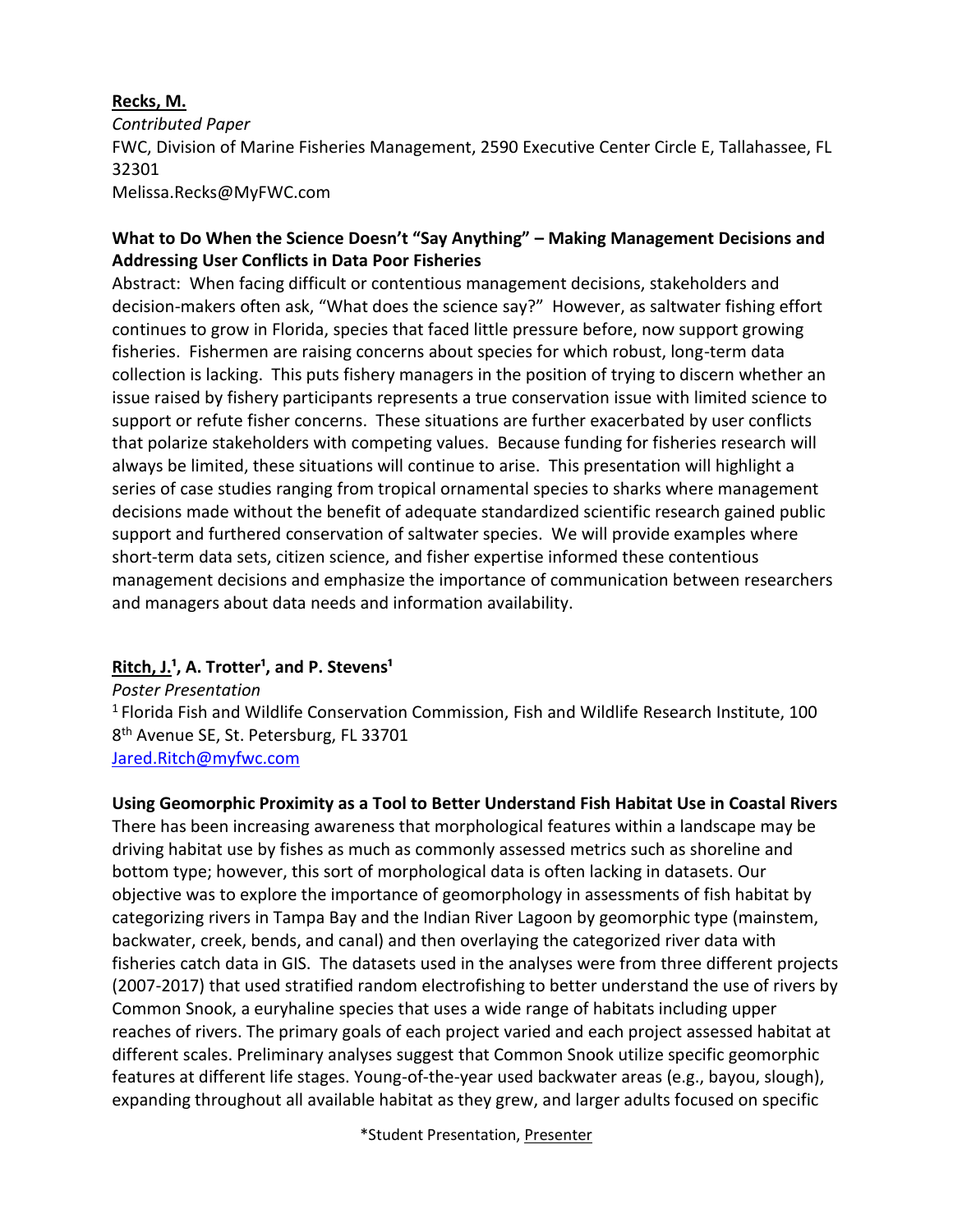#### **Recks, M.**

*Contributed Paper* FWC, Division of Marine Fisheries Management, 2590 Executive Center Circle E, Tallahassee, FL 32301 Melissa.Recks@MyFWC.com

#### **What to Do When the Science Doesn't "Say Anything" – Making Management Decisions and Addressing User Conflicts in Data Poor Fisheries**

Abstract: When facing difficult or contentious management decisions, stakeholders and decision-makers often ask, "What does the science say?" However, as saltwater fishing effort continues to grow in Florida, species that faced little pressure before, now support growing fisheries. Fishermen are raising concerns about species for which robust, long-term data collection is lacking. This puts fishery managers in the position of trying to discern whether an issue raised by fishery participants represents a true conservation issue with limited science to support or refute fisher concerns. These situations are further exacerbated by user conflicts that polarize stakeholders with competing values. Because funding for fisheries research will always be limited, these situations will continue to arise. This presentation will highlight a series of case studies ranging from tropical ornamental species to sharks where management decisions made without the benefit of adequate standardized scientific research gained public support and furthered conservation of saltwater species. We will provide examples where short-term data sets, citizen science, and fisher expertise informed these contentious management decisions and emphasize the importance of communication between researchers and managers about data needs and information availability.

#### Ritch, J.<sup>1</sup>, A. Trotter<sup>1</sup>, and P. Stevens<sup>1</sup>

*Poster Presentation* <sup>1</sup>Florida Fish and Wildlife Conservation Commission, Fish and Wildlife Research Institute, 100 8 th Avenue SE, St. Petersburg, FL 33701 [Jared.Ritch@myfwc.com](mailto:Jared.Ritch@myfwc.com)

#### **Using Geomorphic Proximity as a Tool to Better Understand Fish Habitat Use in Coastal Rivers**

There has been increasing awareness that morphological features within a landscape may be driving habitat use by fishes as much as commonly assessed metrics such as shoreline and bottom type; however, this sort of morphological data is often lacking in datasets. Our objective was to explore the importance of geomorphology in assessments of fish habitat by categorizing rivers in Tampa Bay and the Indian River Lagoon by geomorphic type (mainstem, backwater, creek, bends, and canal) and then overlaying the categorized river data with fisheries catch data in GIS. The datasets used in the analyses were from three different projects (2007-2017) that used stratified random electrofishing to better understand the use of rivers by Common Snook, a euryhaline species that uses a wide range of habitats including upper reaches of rivers. The primary goals of each project varied and each project assessed habitat at different scales. Preliminary analyses suggest that Common Snook utilize specific geomorphic features at different life stages. Young-of-the-year used backwater areas (e.g., bayou, slough), expanding throughout all available habitat as they grew, and larger adults focused on specific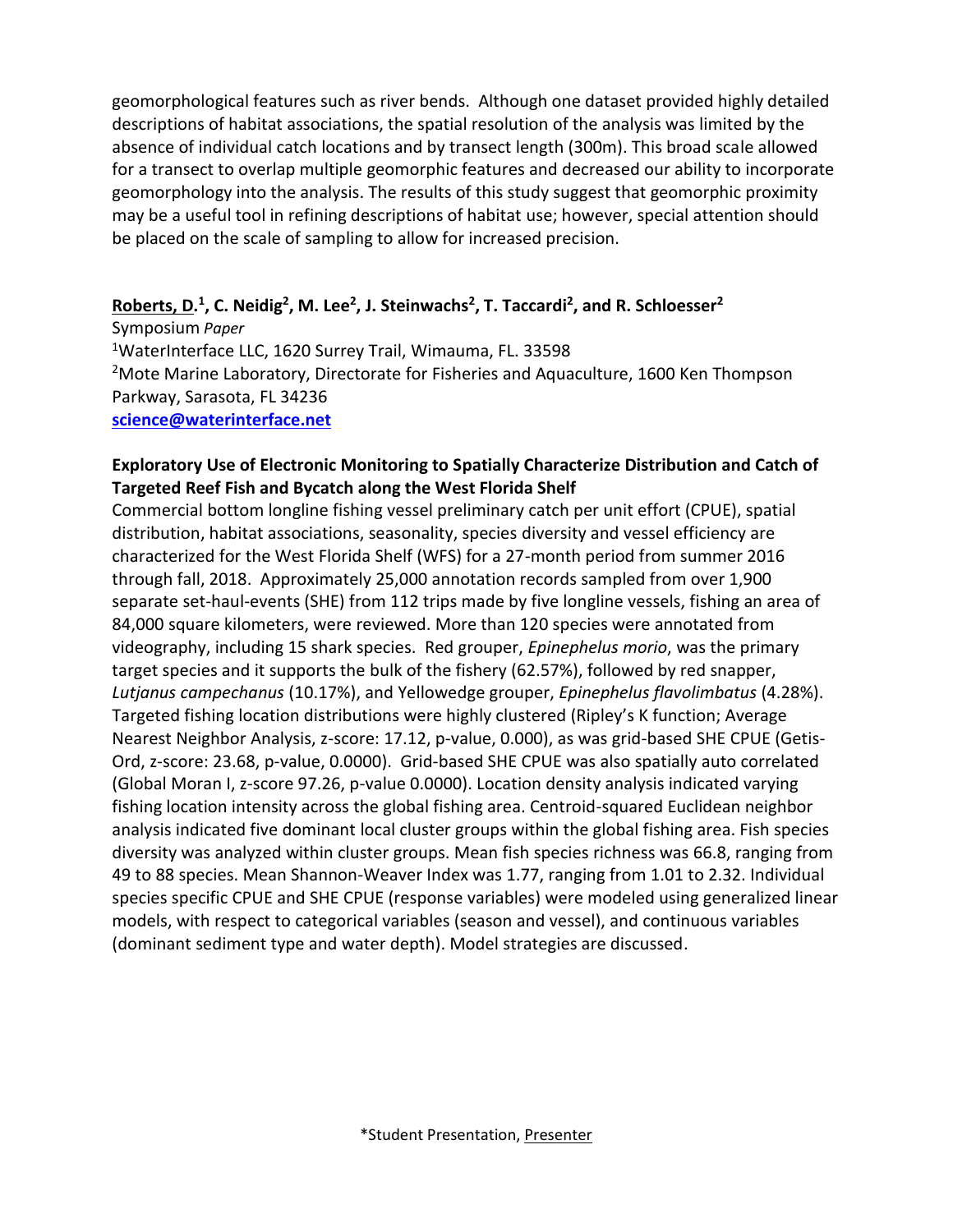geomorphological features such as river bends. Although one dataset provided highly detailed descriptions of habitat associations, the spatial resolution of the analysis was limited by the absence of individual catch locations and by transect length (300m). This broad scale allowed for a transect to overlap multiple geomorphic features and decreased our ability to incorporate geomorphology into the analysis. The results of this study suggest that geomorphic proximity may be a useful tool in refining descriptions of habitat use; however, special attention should be placed on the scale of sampling to allow for increased precision.

#### **Roberts, D. 1 , C. Neidig<sup>2</sup> , M. Lee<sup>2</sup> , J. Steinwachs<sup>2</sup> , T. Taccardi<sup>2</sup> , and R. Schloesser<sup>2</sup>**

Symposium *Paper* <sup>1</sup>WaterInterface LLC, 1620 Surrey Trail, Wimauma, FL. 33598 <sup>2</sup>Mote Marine Laboratory, Directorate for Fisheries and Aquaculture, 1600 Ken Thompson Parkway, Sarasota, FL 34236 **[science@waterinterface.net](mailto:science@waterinterface.net)**

#### **Exploratory Use of Electronic Monitoring to Spatially Characterize Distribution and Catch of Targeted Reef Fish and Bycatch along the West Florida Shelf**

Commercial bottom longline fishing vessel preliminary catch per unit effort (CPUE), spatial distribution, habitat associations, seasonality, species diversity and vessel efficiency are characterized for the West Florida Shelf (WFS) for a 27-month period from summer 2016 through fall, 2018. Approximately 25,000 annotation records sampled from over 1,900 separate set-haul-events (SHE) from 112 trips made by five longline vessels, fishing an area of 84,000 square kilometers, were reviewed. More than 120 species were annotated from videography, including 15 shark species. Red grouper, *Epinephelus morio*, was the primary target species and it supports the bulk of the fishery (62.57%), followed by red snapper, *Lutjanus campechanus* (10.17%), and Yellowedge grouper, *Epinephelus flavolimbatus* (4.28%). Targeted fishing location distributions were highly clustered (Ripley's K function; Average Nearest Neighbor Analysis, z-score: 17.12, p-value, 0.000), as was grid-based SHE CPUE (Getis-Ord, z-score: 23.68, p-value, 0.0000). Grid-based SHE CPUE was also spatially auto correlated (Global Moran I, z-score 97.26, p-value 0.0000). Location density analysis indicated varying fishing location intensity across the global fishing area. Centroid-squared Euclidean neighbor analysis indicated five dominant local cluster groups within the global fishing area. Fish species diversity was analyzed within cluster groups. Mean fish species richness was 66.8, ranging from 49 to 88 species. Mean Shannon-Weaver Index was 1.77, ranging from 1.01 to 2.32. Individual species specific CPUE and SHE CPUE (response variables) were modeled using generalized linear models, with respect to categorical variables (season and vessel), and continuous variables (dominant sediment type and water depth). Model strategies are discussed.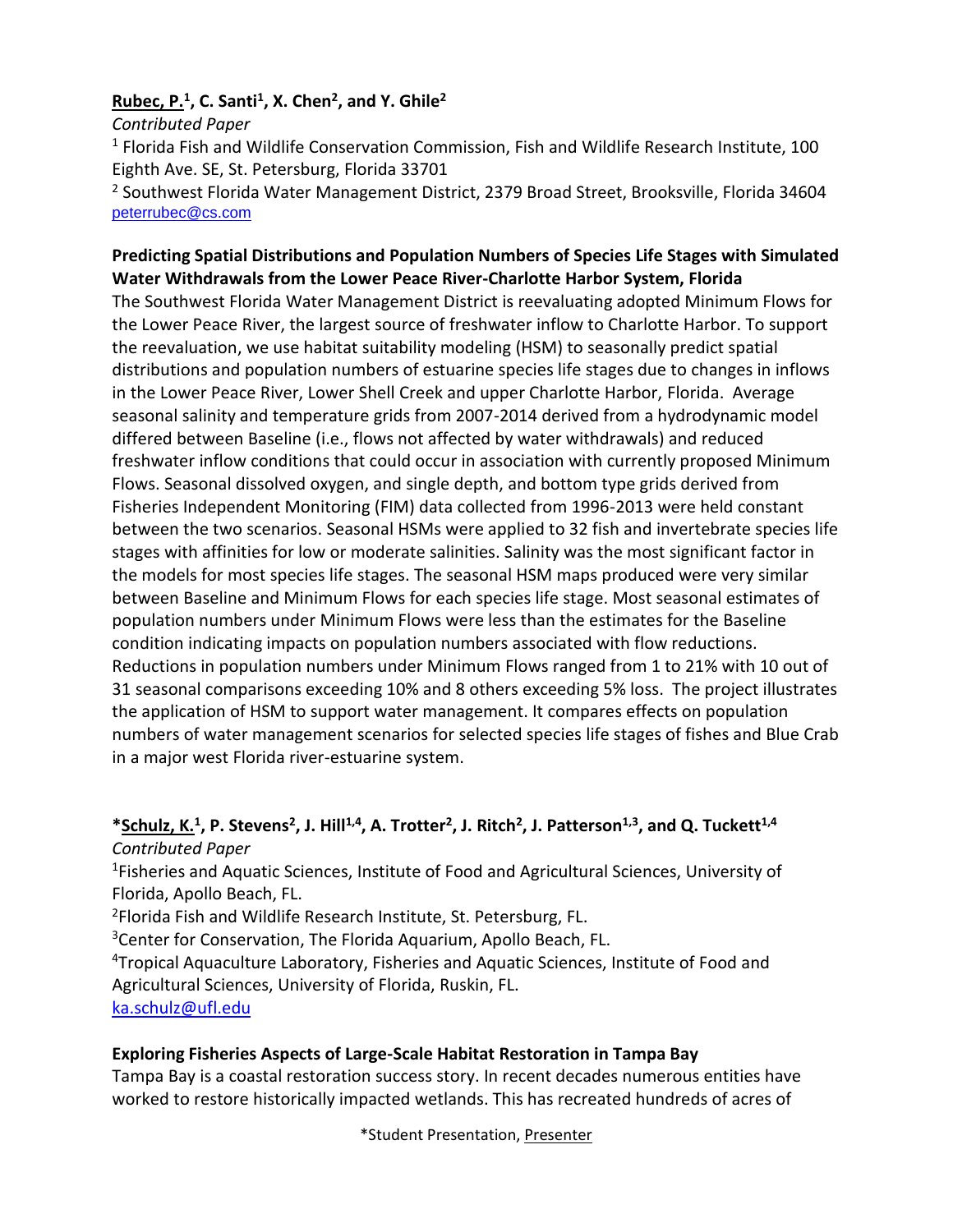#### **Rubec, P.<sup>1</sup> , C. Santi<sup>1</sup> , X. Chen<sup>2</sup> , and Y. Ghile<sup>2</sup>**

*Contributed Paper* <sup>1</sup> Florida Fish and Wildlife Conservation Commission, Fish and Wildlife Research Institute, 100 Eighth Ave. SE, St. Petersburg, Florida 33701 <sup>2</sup> Southwest Florida Water Management District, 2379 Broad Street, Brooksville, Florida 34604 [peterrubec@cs.com](mailto:peterrubec@cs.com)

#### **Predicting Spatial Distributions and Population Numbers of Species Life Stages with Simulated Water Withdrawals from the Lower Peace River-Charlotte Harbor System, Florida**

The Southwest Florida Water Management District is reevaluating adopted Minimum Flows for the Lower Peace River, the largest source of freshwater inflow to Charlotte Harbor. To support the reevaluation, we use habitat suitability modeling (HSM) to seasonally predict spatial distributions and population numbers of estuarine species life stages due to changes in inflows in the Lower Peace River, Lower Shell Creek and upper Charlotte Harbor, Florida. Average seasonal salinity and temperature grids from 2007-2014 derived from a hydrodynamic model differed between Baseline (i.e., flows not affected by water withdrawals) and reduced freshwater inflow conditions that could occur in association with currently proposed Minimum Flows. Seasonal dissolved oxygen, and single depth, and bottom type grids derived from Fisheries Independent Monitoring (FIM) data collected from 1996-2013 were held constant between the two scenarios. Seasonal HSMs were applied to 32 fish and invertebrate species life stages with affinities for low or moderate salinities. Salinity was the most significant factor in the models for most species life stages. The seasonal HSM maps produced were very similar between Baseline and Minimum Flows for each species life stage. Most seasonal estimates of population numbers under Minimum Flows were less than the estimates for the Baseline condition indicating impacts on population numbers associated with flow reductions. Reductions in population numbers under Minimum Flows ranged from 1 to 21% with 10 out of 31 seasonal comparisons exceeding 10% and 8 others exceeding 5% loss. The project illustrates the application of HSM to support water management. It compares effects on population numbers of water management scenarios for selected species life stages of fishes and Blue Crab in a major west Florida river-estuarine system.

#### **\*Schulz, K.<sup>1</sup> , P. Stevens<sup>2</sup> , J. Hill1,4, A. Trotter<sup>2</sup> , J. Ritch<sup>2</sup> , J. Patterson1,3 , and Q. Tuckett1,4** *Contributed Paper*

<sup>1</sup>Fisheries and Aquatic Sciences, Institute of Food and Agricultural Sciences, University of Florida, Apollo Beach, FL.

<sup>2</sup>Florida Fish and Wildlife Research Institute, St. Petersburg, FL.

<sup>3</sup>Center for Conservation, The Florida Aquarium, Apollo Beach, FL.

<sup>4</sup>Tropical Aquaculture Laboratory, Fisheries and Aquatic Sciences, Institute of Food and Agricultural Sciences, University of Florida, Ruskin, FL.

[ka.schulz@ufl.edu](mailto:ka.schulz@ufl.edu)

#### **Exploring Fisheries Aspects of Large-Scale Habitat Restoration in Tampa Bay**

Tampa Bay is a coastal restoration success story. In recent decades numerous entities have worked to restore historically impacted wetlands. This has recreated hundreds of acres of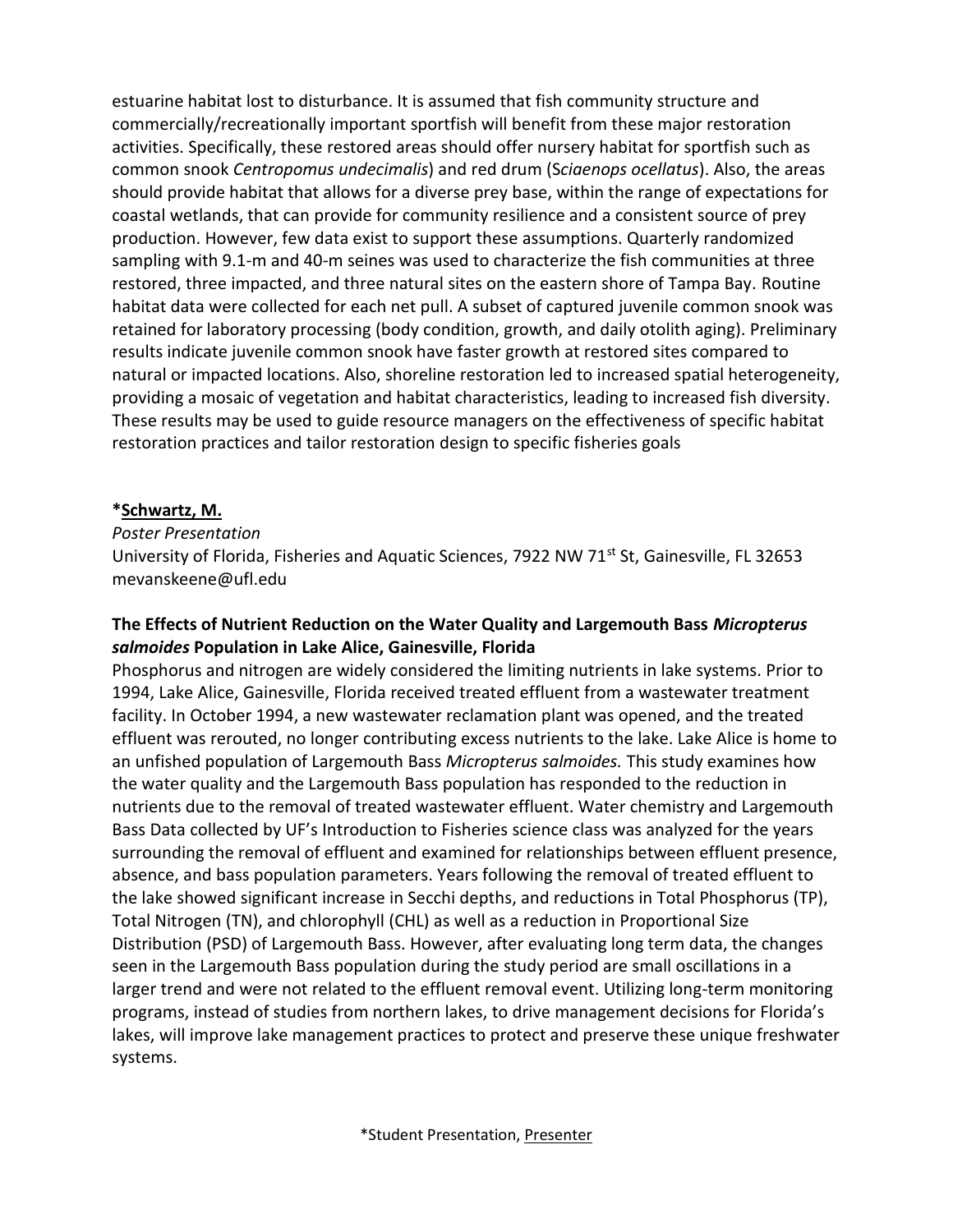estuarine habitat lost to disturbance. It is assumed that fish community structure and commercially/recreationally important sportfish will benefit from these major restoration activities. Specifically, these restored areas should offer nursery habitat for sportfish such as common snook *Centropomus undecimalis*) and red drum (S*ciaenops ocellatus*). Also, the areas should provide habitat that allows for a diverse prey base, within the range of expectations for coastal wetlands, that can provide for community resilience and a consistent source of prey production. However, few data exist to support these assumptions. Quarterly randomized sampling with 9.1-m and 40-m seines was used to characterize the fish communities at three restored, three impacted, and three natural sites on the eastern shore of Tampa Bay. Routine habitat data were collected for each net pull. A subset of captured juvenile common snook was retained for laboratory processing (body condition, growth, and daily otolith aging). Preliminary results indicate juvenile common snook have faster growth at restored sites compared to natural or impacted locations. Also, shoreline restoration led to increased spatial heterogeneity, providing a mosaic of vegetation and habitat characteristics, leading to increased fish diversity. These results may be used to guide resource managers on the effectiveness of specific habitat restoration practices and tailor restoration design to specific fisheries goals

#### **\*Schwartz, M.**

#### *Poster Presentation*

University of Florida, Fisheries and Aquatic Sciences, 7922 NW 71 $^{st}$  St, Gainesville, FL 32653 mevanskeene@ufl.edu

#### **The Effects of Nutrient Reduction on the Water Quality and Largemouth Bass** *Micropterus salmoides* **Population in Lake Alice, Gainesville, Florida**

Phosphorus and nitrogen are widely considered the limiting nutrients in lake systems. Prior to 1994, Lake Alice, Gainesville, Florida received treated effluent from a wastewater treatment facility. In October 1994, a new wastewater reclamation plant was opened, and the treated effluent was rerouted, no longer contributing excess nutrients to the lake. Lake Alice is home to an unfished population of Largemouth Bass *Micropterus salmoides.* This study examines how the water quality and the Largemouth Bass population has responded to the reduction in nutrients due to the removal of treated wastewater effluent. Water chemistry and Largemouth Bass Data collected by UF's Introduction to Fisheries science class was analyzed for the years surrounding the removal of effluent and examined for relationships between effluent presence, absence, and bass population parameters. Years following the removal of treated effluent to the lake showed significant increase in Secchi depths, and reductions in Total Phosphorus (TP), Total Nitrogen (TN), and chlorophyll (CHL) as well as a reduction in Proportional Size Distribution (PSD) of Largemouth Bass. However, after evaluating long term data, the changes seen in the Largemouth Bass population during the study period are small oscillations in a larger trend and were not related to the effluent removal event. Utilizing long-term monitoring programs, instead of studies from northern lakes, to drive management decisions for Florida's lakes, will improve lake management practices to protect and preserve these unique freshwater systems.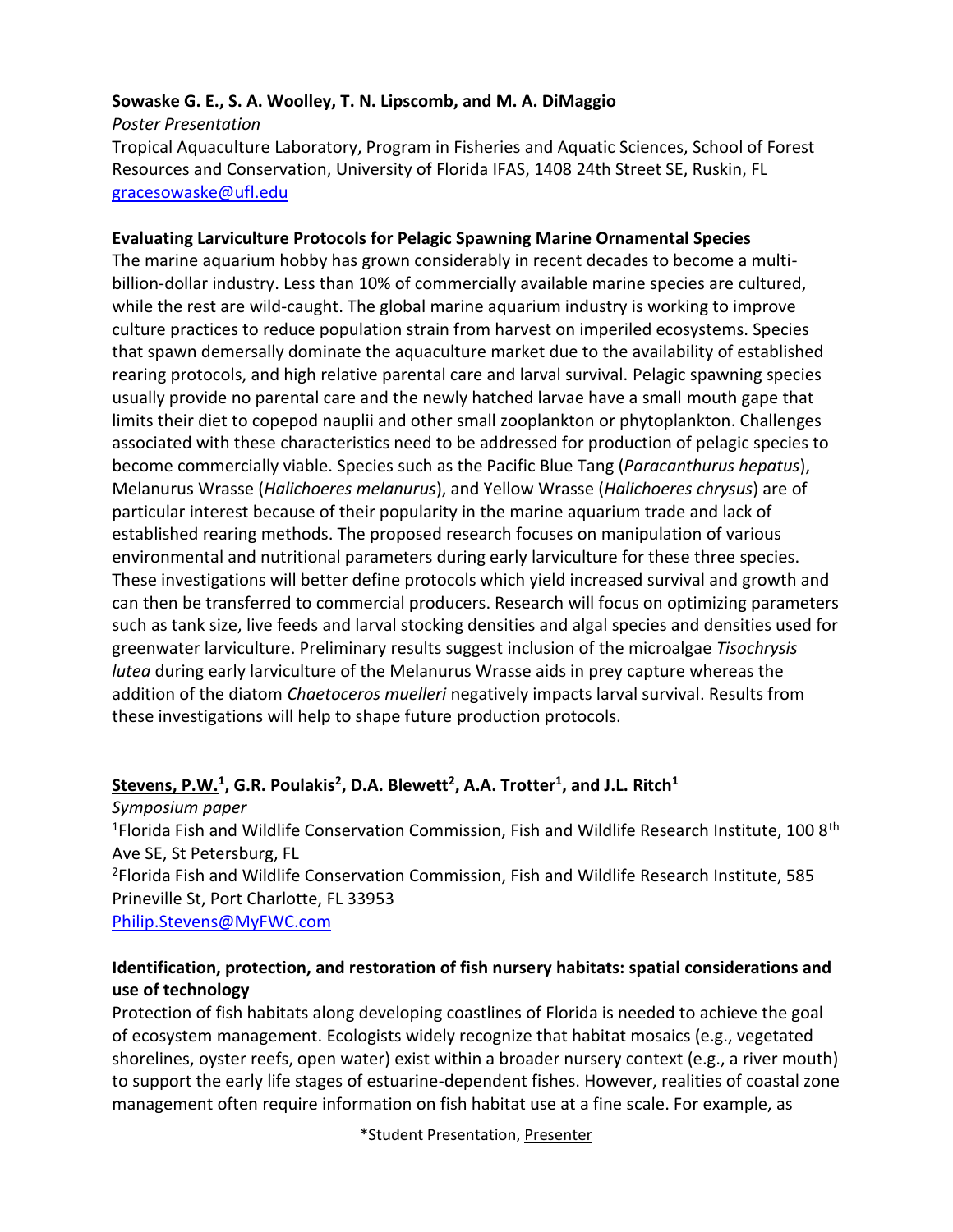#### **Sowaske G. E., S. A. Woolley, T. N. Lipscomb, and M. A. DiMaggio**

*Poster Presentation*

Tropical Aquaculture Laboratory, Program in Fisheries and Aquatic Sciences, School of Forest Resources and Conservation, University of Florida IFAS, 1408 24th Street SE, Ruskin, FL [gracesowaske@ufl.edu](mailto:gracesowaske@ufl.edu)

#### **Evaluating Larviculture Protocols for Pelagic Spawning Marine Ornamental Species**

The marine aquarium hobby has grown considerably in recent decades to become a multibillion-dollar industry. Less than 10% of commercially available marine species are cultured, while the rest are wild-caught. The global marine aquarium industry is working to improve culture practices to reduce population strain from harvest on imperiled ecosystems. Species that spawn demersally dominate the aquaculture market due to the availability of established rearing protocols, and high relative parental care and larval survival. Pelagic spawning species usually provide no parental care and the newly hatched larvae have a small mouth gape that limits their diet to copepod nauplii and other small zooplankton or phytoplankton. Challenges associated with these characteristics need to be addressed for production of pelagic species to become commercially viable. Species such as the Pacific Blue Tang (*Paracanthurus hepatus*), Melanurus Wrasse (*Halichoeres melanurus*), and Yellow Wrasse (*Halichoeres chrysus*) are of particular interest because of their popularity in the marine aquarium trade and lack of established rearing methods. The proposed research focuses on manipulation of various environmental and nutritional parameters during early larviculture for these three species. These investigations will better define protocols which yield increased survival and growth and can then be transferred to commercial producers. Research will focus on optimizing parameters such as tank size, live feeds and larval stocking densities and algal species and densities used for greenwater larviculture. Preliminary results suggest inclusion of the microalgae *Tisochrysis lutea* during early larviculture of the Melanurus Wrasse aids in prey capture whereas the addition of the diatom *Chaetoceros muelleri* negatively impacts larval survival. Results from these investigations will help to shape future production protocols.

#### **Stevens, P.W.<sup>1</sup> , G.R. Poulakis<sup>2</sup> , D.A. Blewett<sup>2</sup> , A.A. Trotter<sup>1</sup> , and J.L. Ritch<sup>1</sup>**

*Symposium paper* <sup>1</sup>Florida Fish and Wildlife Conservation Commission, Fish and Wildlife Research Institute, 100 8<sup>th</sup> Ave SE, St Petersburg, FL <sup>2</sup>Florida Fish and Wildlife Conservation Commission, Fish and Wildlife Research Institute, 585 Prineville St, Port Charlotte, FL 33953 [Philip.Stevens@MyFWC.com](mailto:Philip.Stevens@MyFWC.com)

#### **Identification, protection, and restoration of fish nursery habitats: spatial considerations and use of technology**

Protection of fish habitats along developing coastlines of Florida is needed to achieve the goal of ecosystem management. Ecologists widely recognize that habitat mosaics (e.g., vegetated shorelines, oyster reefs, open water) exist within a broader nursery context (e.g., a river mouth) to support the early life stages of estuarine-dependent fishes. However, realities of coastal zone management often require information on fish habitat use at a fine scale. For example, as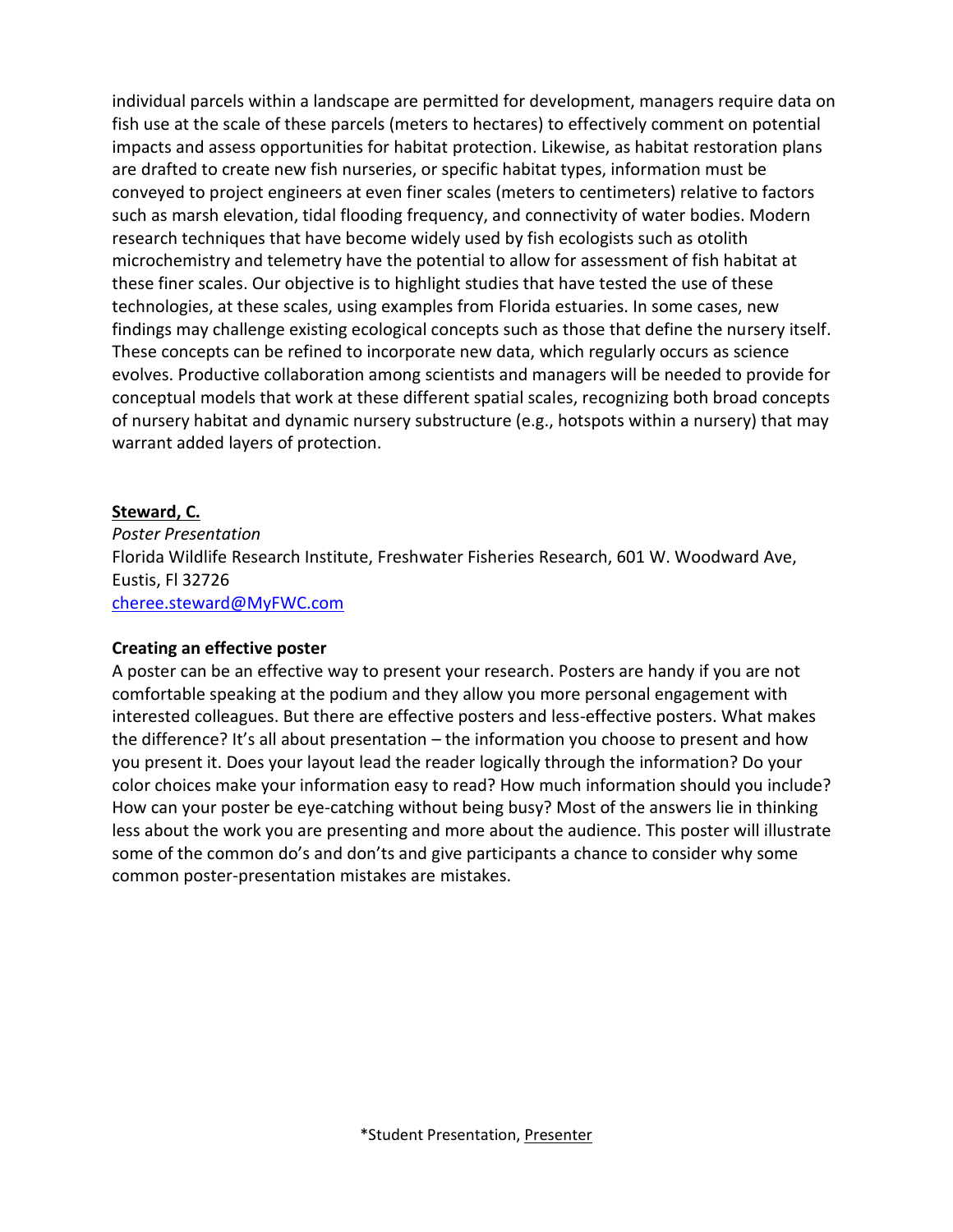individual parcels within a landscape are permitted for development, managers require data on fish use at the scale of these parcels (meters to hectares) to effectively comment on potential impacts and assess opportunities for habitat protection. Likewise, as habitat restoration plans are drafted to create new fish nurseries, or specific habitat types, information must be conveyed to project engineers at even finer scales (meters to centimeters) relative to factors such as marsh elevation, tidal flooding frequency, and connectivity of water bodies. Modern research techniques that have become widely used by fish ecologists such as otolith microchemistry and telemetry have the potential to allow for assessment of fish habitat at these finer scales. Our objective is to highlight studies that have tested the use of these technologies, at these scales, using examples from Florida estuaries. In some cases, new findings may challenge existing ecological concepts such as those that define the nursery itself. These concepts can be refined to incorporate new data, which regularly occurs as science evolves. Productive collaboration among scientists and managers will be needed to provide for conceptual models that work at these different spatial scales, recognizing both broad concepts of nursery habitat and dynamic nursery substructure (e.g., hotspots within a nursery) that may warrant added layers of protection.

#### **Steward, C.**

*Poster Presentation* Florida Wildlife Research Institute, Freshwater Fisheries Research, 601 W. Woodward Ave, Eustis, Fl 32726 [cheree.steward@MyFWC.com](mailto:cheree.steward@MyFWC.com)

#### **Creating an effective poster**

A poster can be an effective way to present your research. Posters are handy if you are not comfortable speaking at the podium and they allow you more personal engagement with interested colleagues. But there are effective posters and less-effective posters. What makes the difference? It's all about presentation – the information you choose to present and how you present it. Does your layout lead the reader logically through the information? Do your color choices make your information easy to read? How much information should you include? How can your poster be eye-catching without being busy? Most of the answers lie in thinking less about the work you are presenting and more about the audience. This poster will illustrate some of the common do's and don'ts and give participants a chance to consider why some common poster-presentation mistakes are mistakes.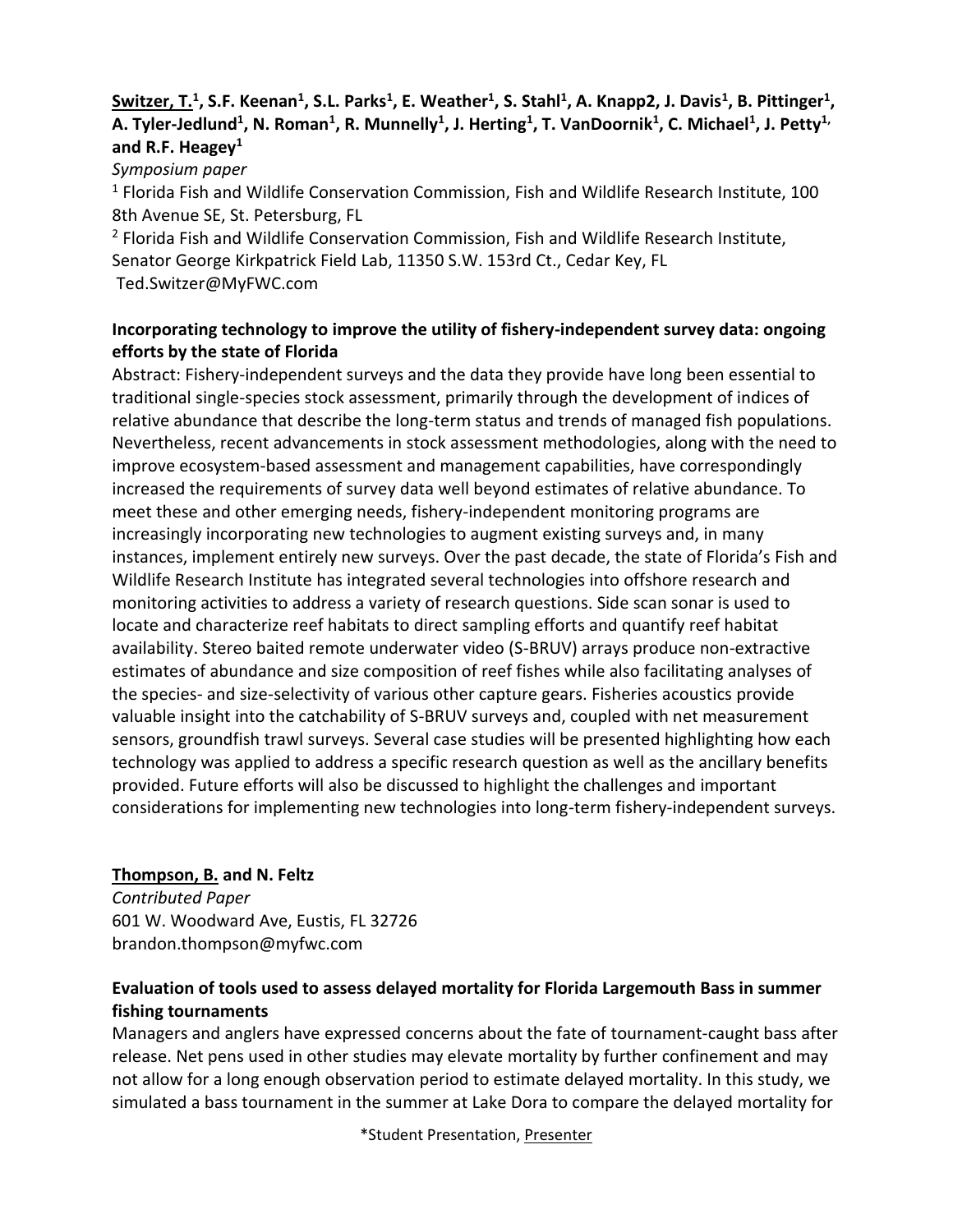#### **Switzer, T.<sup>1</sup> , S.F. Keenan<sup>1</sup> , S.L. Parks<sup>1</sup> , E. Weather<sup>1</sup> , S. Stahl<sup>1</sup> , A. Knapp2, J. Davis<sup>1</sup> , B. Pittinger<sup>1</sup> , A. Tyler-Jedlund<sup>1</sup> , N. Roman<sup>1</sup> , R. Munnelly<sup>1</sup> , J. Herting<sup>1</sup> , T. VanDoornik<sup>1</sup> , C. Michael<sup>1</sup> , J. Petty1, and R.F. Heagey<sup>1</sup>**

*Symposium paper*

<sup>1</sup> Florida Fish and Wildlife Conservation Commission, Fish and Wildlife Research Institute, 100 8th Avenue SE, St. Petersburg, FL

<sup>2</sup> Florida Fish and Wildlife Conservation Commission, Fish and Wildlife Research Institute, Senator George Kirkpatrick Field Lab, 11350 S.W. 153rd Ct., Cedar Key, FL Ted.Switzer@MyFWC.com

#### **Incorporating technology to improve the utility of fishery-independent survey data: ongoing efforts by the state of Florida**

Abstract: Fishery-independent surveys and the data they provide have long been essential to traditional single-species stock assessment, primarily through the development of indices of relative abundance that describe the long-term status and trends of managed fish populations. Nevertheless, recent advancements in stock assessment methodologies, along with the need to improve ecosystem-based assessment and management capabilities, have correspondingly increased the requirements of survey data well beyond estimates of relative abundance. To meet these and other emerging needs, fishery-independent monitoring programs are increasingly incorporating new technologies to augment existing surveys and, in many instances, implement entirely new surveys. Over the past decade, the state of Florida's Fish and Wildlife Research Institute has integrated several technologies into offshore research and monitoring activities to address a variety of research questions. Side scan sonar is used to locate and characterize reef habitats to direct sampling efforts and quantify reef habitat availability. Stereo baited remote underwater video (S-BRUV) arrays produce non-extractive estimates of abundance and size composition of reef fishes while also facilitating analyses of the species- and size-selectivity of various other capture gears. Fisheries acoustics provide valuable insight into the catchability of S-BRUV surveys and, coupled with net measurement sensors, groundfish trawl surveys. Several case studies will be presented highlighting how each technology was applied to address a specific research question as well as the ancillary benefits provided. Future efforts will also be discussed to highlight the challenges and important considerations for implementing new technologies into long-term fishery-independent surveys.

#### **Thompson, B. and N. Feltz**

*Contributed Paper* 601 W. Woodward Ave, Eustis, FL 32726 brandon.thompson@myfwc.com

#### **Evaluation of tools used to assess delayed mortality for Florida Largemouth Bass in summer fishing tournaments**

Managers and anglers have expressed concerns about the fate of tournament-caught bass after release. Net pens used in other studies may elevate mortality by further confinement and may not allow for a long enough observation period to estimate delayed mortality. In this study, we simulated a bass tournament in the summer at Lake Dora to compare the delayed mortality for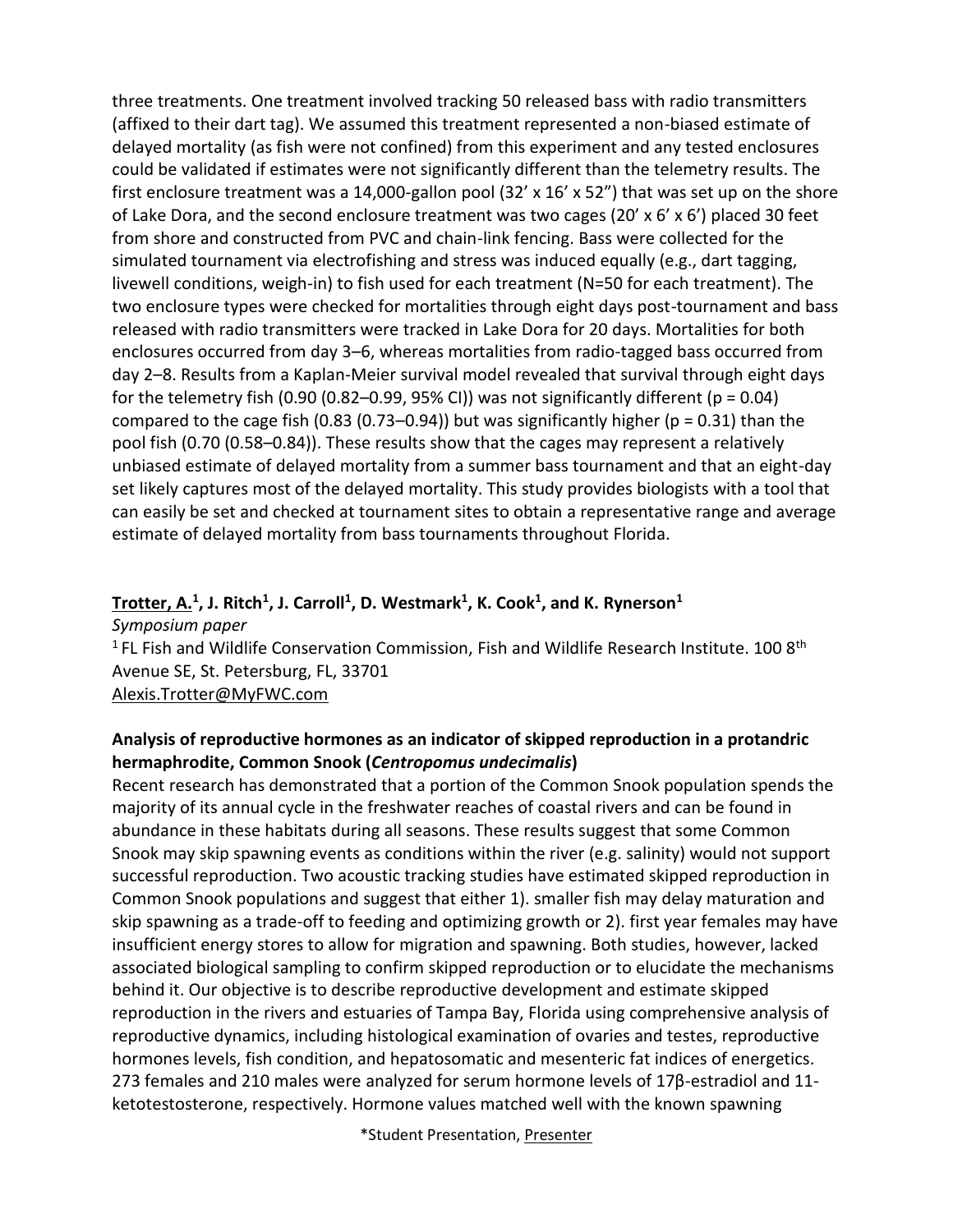three treatments. One treatment involved tracking 50 released bass with radio transmitters (affixed to their dart tag). We assumed this treatment represented a non-biased estimate of delayed mortality (as fish were not confined) from this experiment and any tested enclosures could be validated if estimates were not significantly different than the telemetry results. The first enclosure treatment was a 14,000-gallon pool  $(32' \times 16' \times 52'')$  that was set up on the shore of Lake Dora, and the second enclosure treatment was two cages (20' x  $6'$  x  $6'$ ) placed 30 feet from shore and constructed from PVC and chain-link fencing. Bass were collected for the simulated tournament via electrofishing and stress was induced equally (e.g., dart tagging, livewell conditions, weigh-in) to fish used for each treatment (N=50 for each treatment). The two enclosure types were checked for mortalities through eight days post-tournament and bass released with radio transmitters were tracked in Lake Dora for 20 days. Mortalities for both enclosures occurred from day 3–6, whereas mortalities from radio-tagged bass occurred from day 2–8. Results from a Kaplan-Meier survival model revealed that survival through eight days for the telemetry fish (0.90 (0.82–0.99, 95% CI)) was not significantly different ( $p = 0.04$ ) compared to the cage fish (0.83 (0.73–0.94)) but was significantly higher ( $p = 0.31$ ) than the pool fish (0.70 (0.58–0.84)). These results show that the cages may represent a relatively unbiased estimate of delayed mortality from a summer bass tournament and that an eight-day set likely captures most of the delayed mortality. This study provides biologists with a tool that can easily be set and checked at tournament sites to obtain a representative range and average estimate of delayed mortality from bass tournaments throughout Florida.

#### **Trotter, A.<sup>1</sup> , J. Ritch<sup>1</sup> , J. Carroll<sup>1</sup> , D. Westmark<sup>1</sup> , K. Cook<sup>1</sup> , and K. Rynerson<sup>1</sup>**

*Symposium paper* <sup>1</sup> FL Fish and Wildlife Conservation Commission, Fish and Wildlife Research Institute. 100 8<sup>th</sup> Avenue SE, St. Petersburg, FL, 33701 [Alexis.Trotter@MyFWC.com](mailto:Alexis.Trotter@MyFWC.com)

#### **Analysis of reproductive hormones as an indicator of skipped reproduction in a protandric hermaphrodite, Common Snook (***Centropomus undecimalis***)**

Recent research has demonstrated that a portion of the Common Snook population spends the majority of its annual cycle in the freshwater reaches of coastal rivers and can be found in abundance in these habitats during all seasons. These results suggest that some Common Snook may skip spawning events as conditions within the river (e.g. salinity) would not support successful reproduction. Two acoustic tracking studies have estimated skipped reproduction in Common Snook populations and suggest that either 1). smaller fish may delay maturation and skip spawning as a trade-off to feeding and optimizing growth or 2). first year females may have insufficient energy stores to allow for migration and spawning. Both studies, however, lacked associated biological sampling to confirm skipped reproduction or to elucidate the mechanisms behind it. Our objective is to describe reproductive development and estimate skipped reproduction in the rivers and estuaries of Tampa Bay, Florida using comprehensive analysis of reproductive dynamics, including histological examination of ovaries and testes, reproductive hormones levels, fish condition, and hepatosomatic and mesenteric fat indices of energetics. 273 females and 210 males were analyzed for serum hormone levels of 17β-estradiol and 11 ketotestosterone, respectively. Hormone values matched well with the known spawning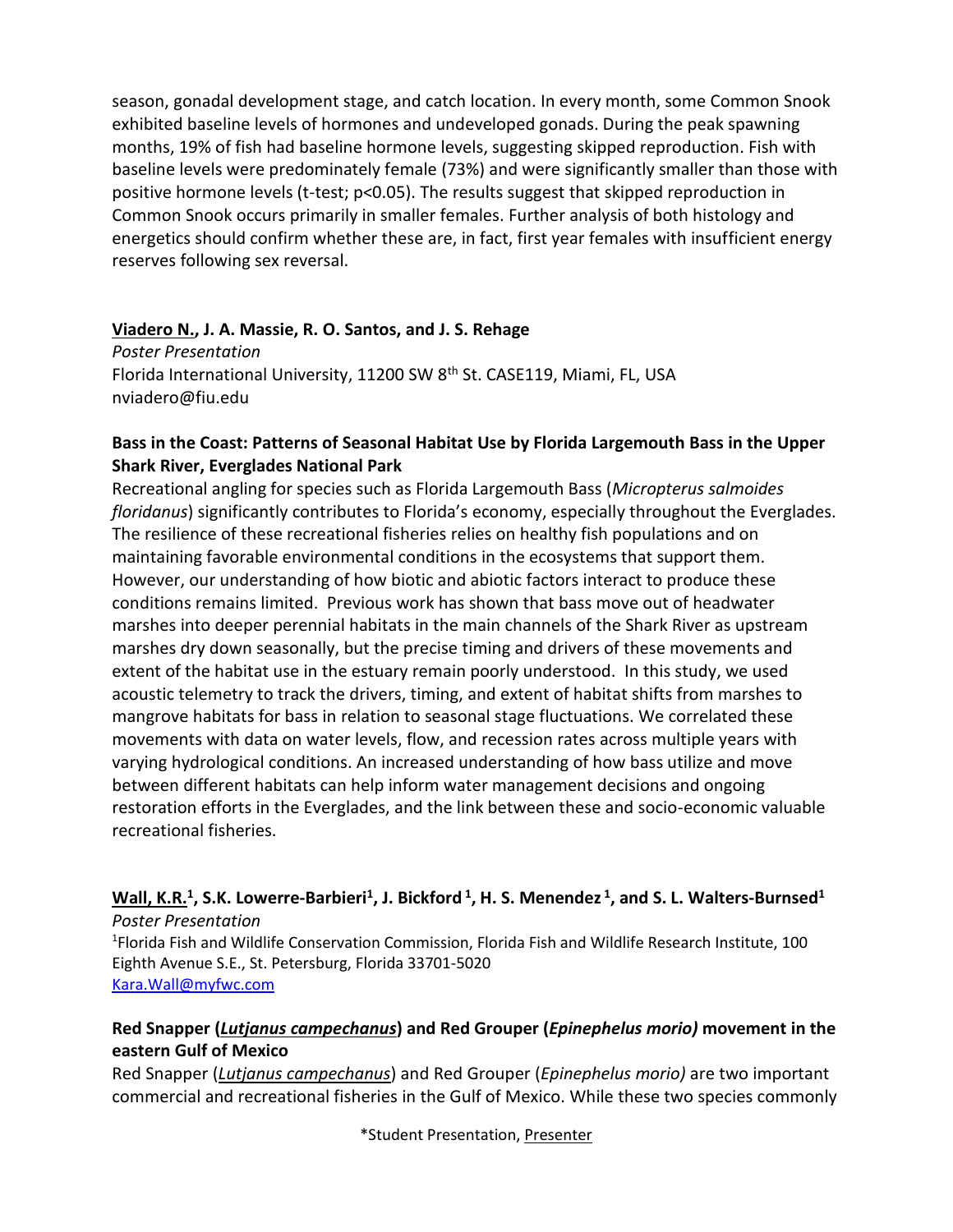season, gonadal development stage, and catch location. In every month, some Common Snook exhibited baseline levels of hormones and undeveloped gonads. During the peak spawning months, 19% of fish had baseline hormone levels, suggesting skipped reproduction. Fish with baseline levels were predominately female (73%) and were significantly smaller than those with positive hormone levels (t-test; p<0.05). The results suggest that skipped reproduction in Common Snook occurs primarily in smaller females. Further analysis of both histology and energetics should confirm whether these are, in fact, first year females with insufficient energy reserves following sex reversal.

#### **Viadero N., J. A. Massie, R. O. Santos, and J. S. Rehage**

*Poster Presentation* Florida International University, 11200 SW 8<sup>th</sup> St. CASE119, Miami, FL, USA nviadero@fiu.edu

#### **Bass in the Coast: Patterns of Seasonal Habitat Use by Florida Largemouth Bass in the Upper Shark River, Everglades National Park**

Recreational angling for species such as Florida Largemouth Bass (*Micropterus salmoides floridanus*) significantly contributes to Florida's economy, especially throughout the Everglades. The resilience of these recreational fisheries relies on healthy fish populations and on maintaining favorable environmental conditions in the ecosystems that support them. However, our understanding of how biotic and abiotic factors interact to produce these conditions remains limited. Previous work has shown that bass move out of headwater marshes into deeper perennial habitats in the main channels of the Shark River as upstream marshes dry down seasonally, but the precise timing and drivers of these movements and extent of the habitat use in the estuary remain poorly understood. In this study, we used acoustic telemetry to track the drivers, timing, and extent of habitat shifts from marshes to mangrove habitats for bass in relation to seasonal stage fluctuations. We correlated these movements with data on water levels, flow, and recession rates across multiple years with varying hydrological conditions. An increased understanding of how bass utilize and move between different habitats can help inform water management decisions and ongoing restoration efforts in the Everglades, and the link between these and socio-economic valuable recreational fisheries.

#### **Wall, K.R.<sup>1</sup> , S.K. Lowerre-Barbieri<sup>1</sup> , J. Bickford <sup>1</sup> , H. S. Menendez <sup>1</sup> , and S. L. Walters-Burnsed<sup>1</sup>** *Poster Presentation*

1 Florida Fish and Wildlife Conservation Commission, Florida Fish and Wildlife Research Institute, 100 Eighth Avenue S.E., St. Petersburg, Florida 33701-5020 [Kara.Wall@myfwc.com](mailto:Kara.Wall@myfwc.com)

#### **Red Snapper (***Lutjanus campechanus***) and Red Grouper (***Epinephelus morio)* **movement in the eastern Gulf of Mexico**

Red Snapper (*Lutjanus campechanus*) and Red Grouper (*Epinephelus morio)* are two important commercial and recreational fisheries in the Gulf of Mexico. While these two species commonly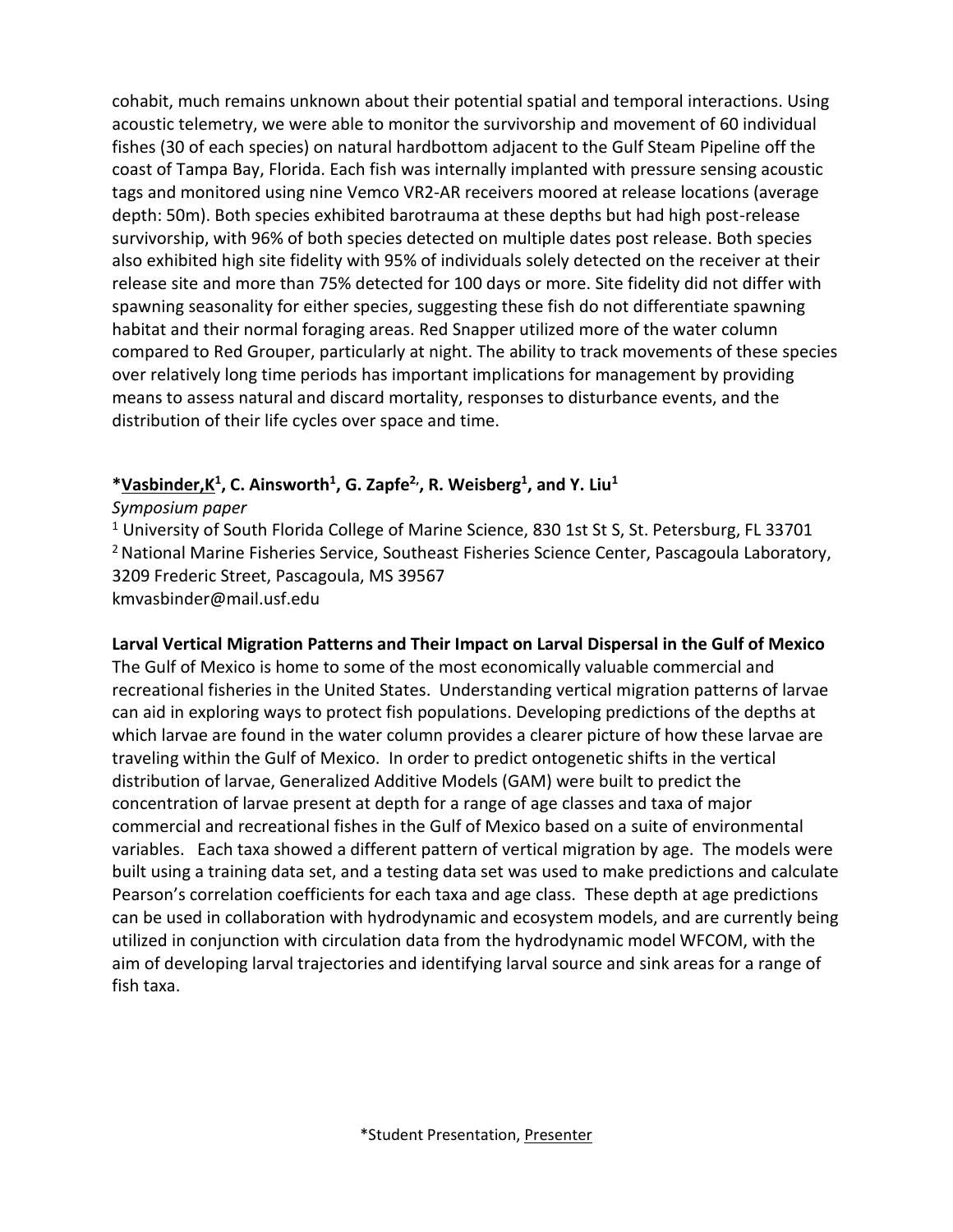cohabit, much remains unknown about their potential spatial and temporal interactions. Using acoustic telemetry, we were able to monitor the survivorship and movement of 60 individual fishes (30 of each species) on natural hardbottom adjacent to the Gulf Steam Pipeline off the coast of Tampa Bay, Florida. Each fish was internally implanted with pressure sensing acoustic tags and monitored using nine Vemco VR2-AR receivers moored at release locations (average depth: 50m). Both species exhibited barotrauma at these depths but had high post-release survivorship, with 96% of both species detected on multiple dates post release. Both species also exhibited high site fidelity with 95% of individuals solely detected on the receiver at their release site and more than 75% detected for 100 days or more. Site fidelity did not differ with spawning seasonality for either species, suggesting these fish do not differentiate spawning habitat and their normal foraging areas. Red Snapper utilized more of the water column compared to Red Grouper, particularly at night. The ability to track movements of these species over relatively long time periods has important implications for management by providing means to assess natural and discard mortality, responses to disturbance events, and the distribution of their life cycles over space and time.

#### **\*Vasbinder,K<sup>1</sup> , C. Ainsworth<sup>1</sup> , G. Zapfe2,, R. Weisberg<sup>1</sup> , and Y. Liu<sup>1</sup>**

*Symposium paper*

<sup>1</sup> University of South Florida College of Marine Science, 830 1st St S, St. Petersburg, FL 33701 <sup>2</sup> National Marine Fisheries Service, Southeast Fisheries Science Center, Pascagoula Laboratory, 3209 Frederic Street, Pascagoula, MS 39567 kmvasbinder@mail.usf.edu

**Larval Vertical Migration Patterns and Their Impact on Larval Dispersal in the Gulf of Mexico** The Gulf of Mexico is home to some of the most economically valuable commercial and recreational fisheries in the United States. Understanding vertical migration patterns of larvae can aid in exploring ways to protect fish populations. Developing predictions of the depths at which larvae are found in the water column provides a clearer picture of how these larvae are traveling within the Gulf of Mexico. In order to predict ontogenetic shifts in the vertical distribution of larvae, Generalized Additive Models (GAM) were built to predict the concentration of larvae present at depth for a range of age classes and taxa of major commercial and recreational fishes in the Gulf of Mexico based on a suite of environmental variables. Each taxa showed a different pattern of vertical migration by age. The models were built using a training data set, and a testing data set was used to make predictions and calculate Pearson's correlation coefficients for each taxa and age class. These depth at age predictions can be used in collaboration with hydrodynamic and ecosystem models, and are currently being utilized in conjunction with circulation data from the hydrodynamic model WFCOM, with the aim of developing larval trajectories and identifying larval source and sink areas for a range of fish taxa.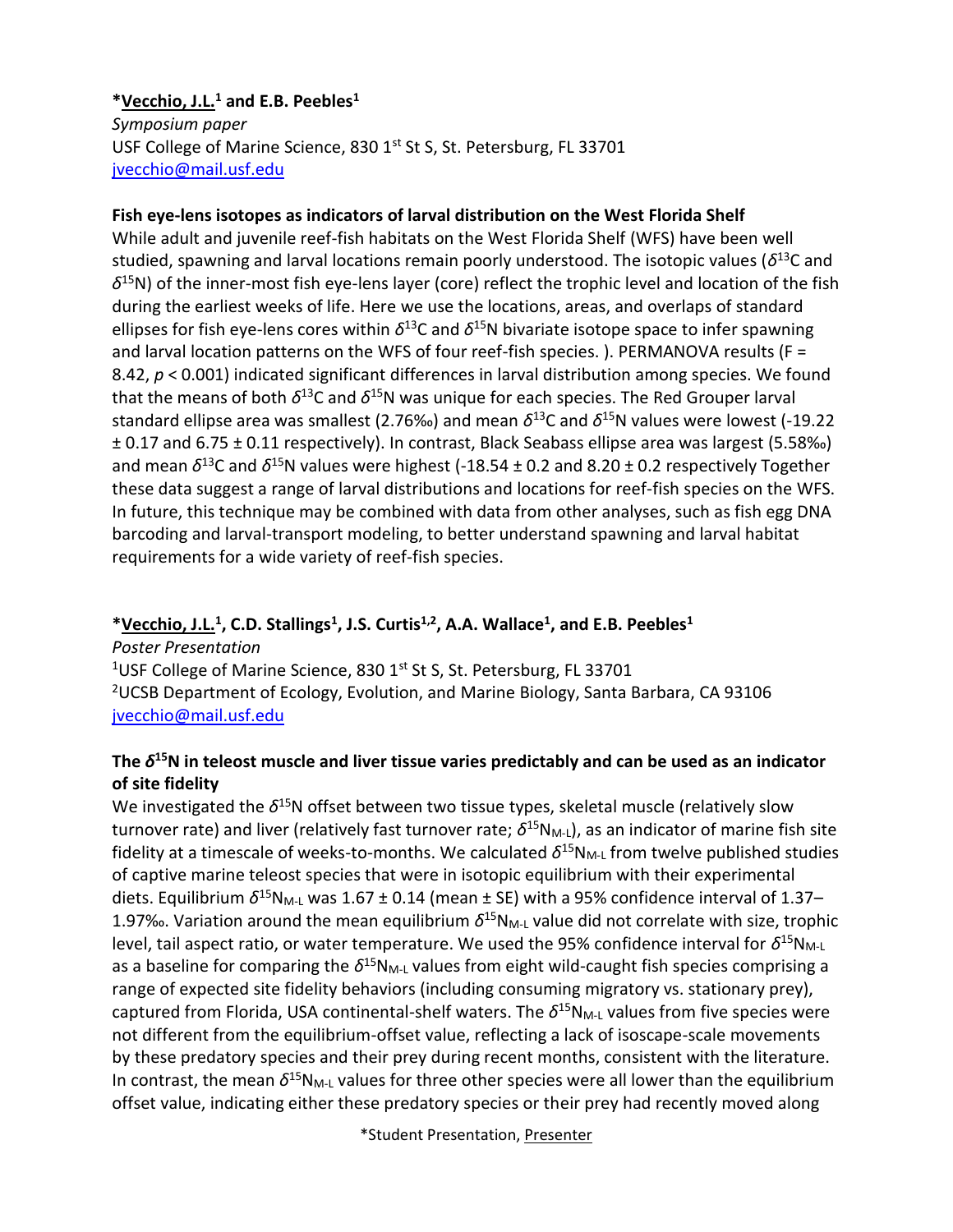#### **\*Vecchio, J.L. <sup>1</sup> and E.B. Peebles<sup>1</sup>**

*Symposium paper* USF College of Marine Science, 830 1st St S, St. Petersburg, FL 33701 [jvecchio@mail.usf.edu](mailto:jvecchio@mail.usf.edu)

#### **Fish eye-lens isotopes as indicators of larval distribution on the West Florida Shelf**

While adult and juvenile reef-fish habitats on the West Florida Shelf (WFS) have been well studied, spawning and larval locations remain poorly understood. The isotopic values (*δ* <sup>13</sup>C and *δ* <sup>15</sup>N) of the inner-most fish eye-lens layer (core) reflect the trophic level and location of the fish during the earliest weeks of life. Here we use the locations, areas, and overlaps of standard ellipses for fish eye-lens cores within  $δ$ <sup>13</sup>C and  $δ$ <sup>15</sup>N bivariate isotope space to infer spawning and larval location patterns on the WFS of four reef-fish species. ). PERMANOVA results (F = 8.42, *p* < 0.001) indicated significant differences in larval distribution among species. We found that the means of both  $δ$ <sup>13</sup>C and  $δ$ <sup>15</sup>N was unique for each species. The Red Grouper larval standard ellipse area was smallest (2.76‰) and mean *δ* <sup>13</sup>C and *δ* <sup>15</sup>N values were lowest (-19.22 ± 0.17 and 6.75 ± 0.11 respectively). In contrast, Black Seabass ellipse area was largest (5.58‰) and mean  $\delta^{13}$ C and  $\delta^{15}$ N values were highest (-18.54 ± 0.2 and 8.20 ± 0.2 respectively Together these data suggest a range of larval distributions and locations for reef-fish species on the WFS. In future, this technique may be combined with data from other analyses, such as fish egg DNA barcoding and larval-transport modeling, to better understand spawning and larval habitat requirements for a wide variety of reef-fish species.

#### **\*Vecchio, J.L. 1 , C.D. Stallings<sup>1</sup> , J.S. Curtis1,2, A.A. Wallace<sup>1</sup> , and E.B. Peebles<sup>1</sup>**

*Poster Presentation* <sup>1</sup>USF College of Marine Science, 830 1st St S, St. Petersburg, FL 33701 <sup>2</sup>UCSB Department of Ecology, Evolution, and Marine Biology, Santa Barbara, CA 93106 [jvecchio@mail.usf.edu](mailto:jvecchio@mail.usf.edu)

#### **The** *δ* **<sup>15</sup>N in teleost muscle and liver tissue varies predictably and can be used as an indicator of site fidelity**

We investigated the δ<sup>15</sup>N offset between two tissue types, skeletal muscle (relatively slow turnover rate) and liver (relatively fast turnover rate;  $\delta^{15}N_{M\text{-}1}$ ), as an indicator of marine fish site fidelity at a timescale of weeks-to-months. We calculated  $\delta^{15}N_{M\text{-}L}$  from twelve published studies of captive marine teleost species that were in isotopic equilibrium with their experimental diets. Equilibrium δ<sup>15</sup>N<sub>M-L</sub> was 1.67 ± 0.14 (mean ± SE) with a 95% confidence interval of 1.37– 1.97‰. Variation around the mean equilibrium  $\delta^{15}N_{M-L}$  value did not correlate with size, trophic level, tail aspect ratio, or water temperature. We used the 95% confidence interval for δ<sup>15</sup>N<sub>M-L</sub> as a baseline for comparing the δ<sup>15</sup>N<sub>M-L</sub> values from eight wild-caught fish species comprising a range of expected site fidelity behaviors (including consuming migratory vs. stationary prey), captured from Florida, USA continental-shelf waters. The *δ* <sup>15</sup>NM-L values from five species were not different from the equilibrium-offset value, reflecting a lack of isoscape-scale movements by these predatory species and their prey during recent months, consistent with the literature. In contrast, the mean δ<sup>15</sup>N<sub>M-L</sub> values for three other species were all lower than the equilibrium offset value, indicating either these predatory species or their prey had recently moved along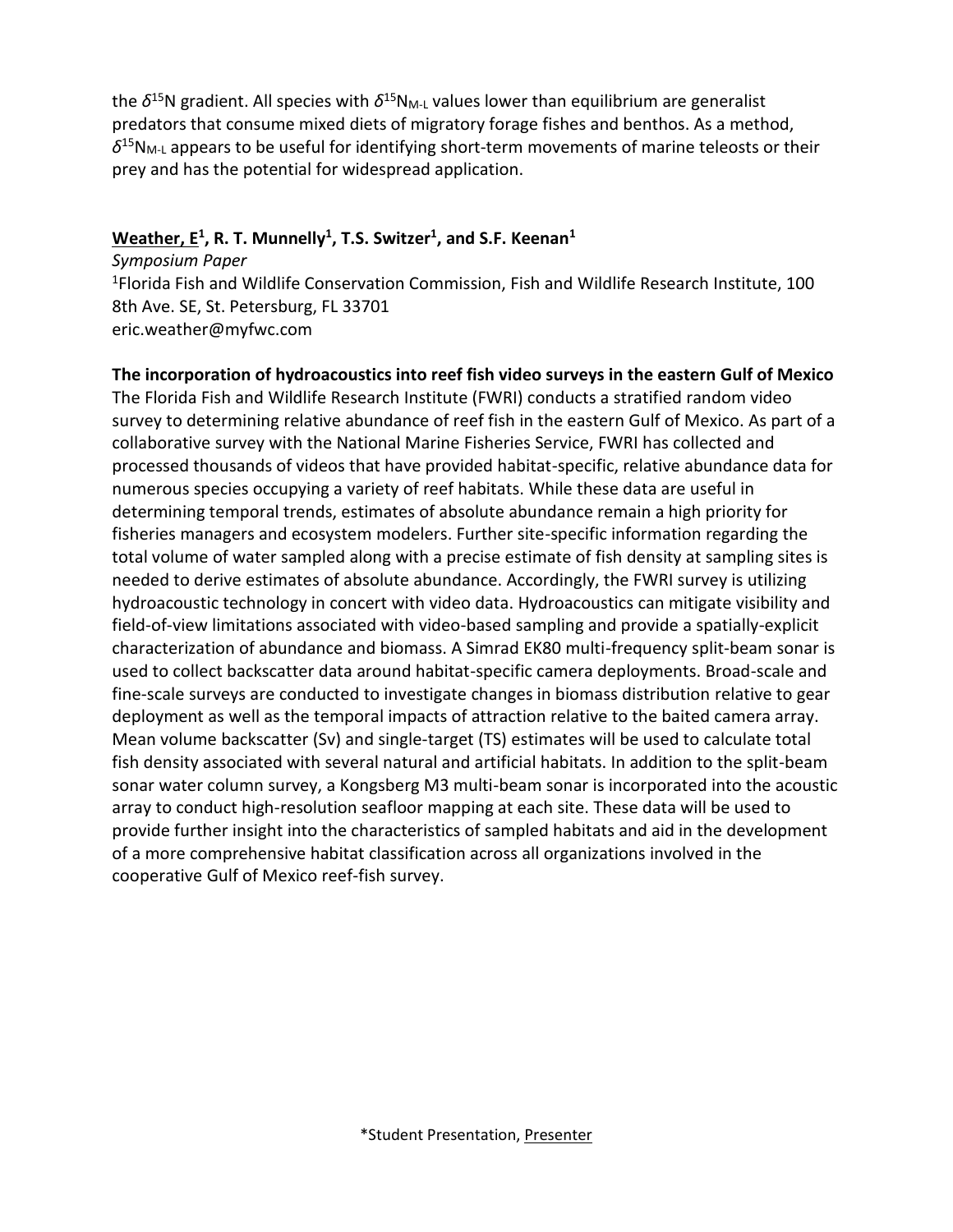the δ<sup>15</sup>N gradient. All species with δ<sup>15</sup>N<sub>M-L</sub> values lower than equilibrium are generalist predators that consume mixed diets of migratory forage fishes and benthos. As a method,  $\delta^{15}N_{M-L}$  appears to be useful for identifying short-term movements of marine teleosts or their prey and has the potential for widespread application.

#### **Weather, E<sup>1</sup> , R. T. Munnelly<sup>1</sup> , T.S. Switzer<sup>1</sup> , and S.F. Keenan<sup>1</sup>**

*Symposium Paper* <sup>1</sup>Florida Fish and Wildlife Conservation Commission, Fish and Wildlife Research Institute, 100 8th Ave. SE, St. Petersburg, FL 33701 eric.weather@myfwc.com

#### **The incorporation of hydroacoustics into reef fish video surveys in the eastern Gulf of Mexico**

The Florida Fish and Wildlife Research Institute (FWRI) conducts a stratified random video survey to determining relative abundance of reef fish in the eastern Gulf of Mexico. As part of a collaborative survey with the National Marine Fisheries Service, FWRI has collected and processed thousands of videos that have provided habitat-specific, relative abundance data for numerous species occupying a variety of reef habitats. While these data are useful in determining temporal trends, estimates of absolute abundance remain a high priority for fisheries managers and ecosystem modelers. Further site-specific information regarding the total volume of water sampled along with a precise estimate of fish density at sampling sites is needed to derive estimates of absolute abundance. Accordingly, the FWRI survey is utilizing hydroacoustic technology in concert with video data. Hydroacoustics can mitigate visibility and field-of-view limitations associated with video-based sampling and provide a spatially-explicit characterization of abundance and biomass. A Simrad EK80 multi-frequency split-beam sonar is used to collect backscatter data around habitat-specific camera deployments. Broad-scale and fine-scale surveys are conducted to investigate changes in biomass distribution relative to gear deployment as well as the temporal impacts of attraction relative to the baited camera array. Mean volume backscatter (Sv) and single-target (TS) estimates will be used to calculate total fish density associated with several natural and artificial habitats. In addition to the split-beam sonar water column survey, a Kongsberg M3 multi-beam sonar is incorporated into the acoustic array to conduct high-resolution seafloor mapping at each site. These data will be used to provide further insight into the characteristics of sampled habitats and aid in the development of a more comprehensive habitat classification across all organizations involved in the cooperative Gulf of Mexico reef-fish survey.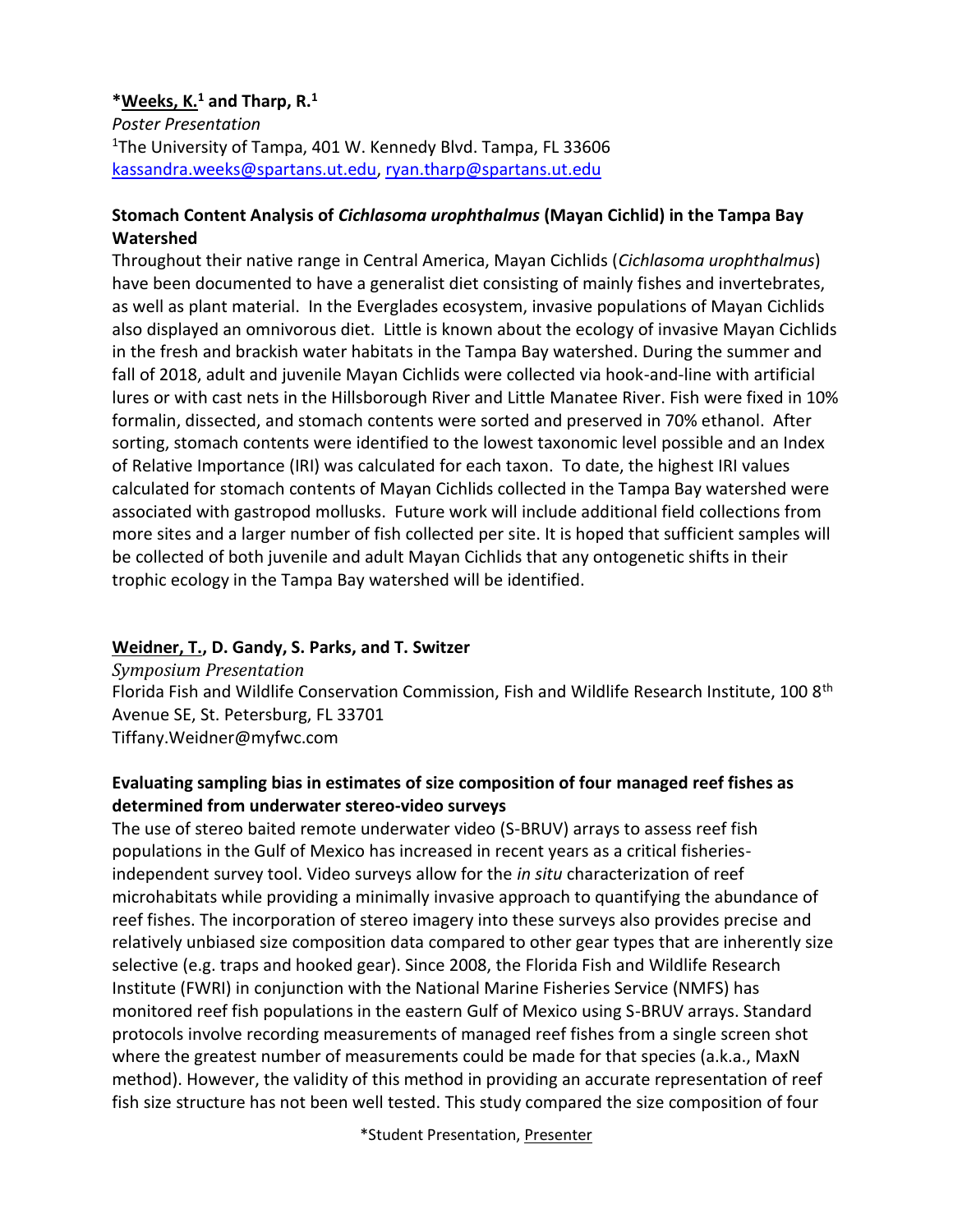#### **\*Weeks, K.<sup>1</sup> and Tharp, R.<sup>1</sup>**

*Poster Presentation* <sup>1</sup>The University of Tampa, 401 W. Kennedy Blvd. Tampa, FL 33606 [kassandra.weeks@spartans.ut.edu,](mailto:kassandra.weeks@spartans.ut.edu) [ryan.tharp@spartans.ut.edu](mailto:ryan.tharp@spartans.ut.edu)

#### **Stomach Content Analysis of** *Cichlasoma urophthalmus* **(Mayan Cichlid) in the Tampa Bay Watershed**

Throughout their native range in Central America, Mayan Cichlids (*Cichlasoma urophthalmus*) have been documented to have a generalist diet consisting of mainly fishes and invertebrates, as well as plant material. In the Everglades ecosystem, invasive populations of Mayan Cichlids also displayed an omnivorous diet. Little is known about the ecology of invasive Mayan Cichlids in the fresh and brackish water habitats in the Tampa Bay watershed. During the summer and fall of 2018, adult and juvenile Mayan Cichlids were collected via hook-and-line with artificial lures or with cast nets in the Hillsborough River and Little Manatee River. Fish were fixed in 10% formalin, dissected, and stomach contents were sorted and preserved in 70% ethanol. After sorting, stomach contents were identified to the lowest taxonomic level possible and an Index of Relative Importance (IRI) was calculated for each taxon. To date, the highest IRI values calculated for stomach contents of Mayan Cichlids collected in the Tampa Bay watershed were associated with gastropod mollusks. Future work will include additional field collections from more sites and a larger number of fish collected per site. It is hoped that sufficient samples will be collected of both juvenile and adult Mayan Cichlids that any ontogenetic shifts in their trophic ecology in the Tampa Bay watershed will be identified.

#### **Weidner, T., D. Gandy, S. Parks, and T. Switzer**

*Symposium Presentation*

Florida Fish and Wildlife Conservation Commission, Fish and Wildlife Research Institute, 100 8<sup>th</sup> Avenue SE, St. Petersburg, FL 33701 Tiffany.Weidner@myfwc.com

#### **Evaluating sampling bias in estimates of size composition of four managed reef fishes as determined from underwater stereo-video surveys**

The use of stereo baited remote underwater video (S-BRUV) arrays to assess reef fish populations in the Gulf of Mexico has increased in recent years as a critical fisheriesindependent survey tool. Video surveys allow for the *in situ* characterization of reef microhabitats while providing a minimally invasive approach to quantifying the abundance of reef fishes. The incorporation of stereo imagery into these surveys also provides precise and relatively unbiased size composition data compared to other gear types that are inherently size selective (e.g. traps and hooked gear). Since 2008, the Florida Fish and Wildlife Research Institute (FWRI) in conjunction with the National Marine Fisheries Service (NMFS) has monitored reef fish populations in the eastern Gulf of Mexico using S-BRUV arrays. Standard protocols involve recording measurements of managed reef fishes from a single screen shot where the greatest number of measurements could be made for that species (a.k.a., MaxN method). However, the validity of this method in providing an accurate representation of reef fish size structure has not been well tested. This study compared the size composition of four